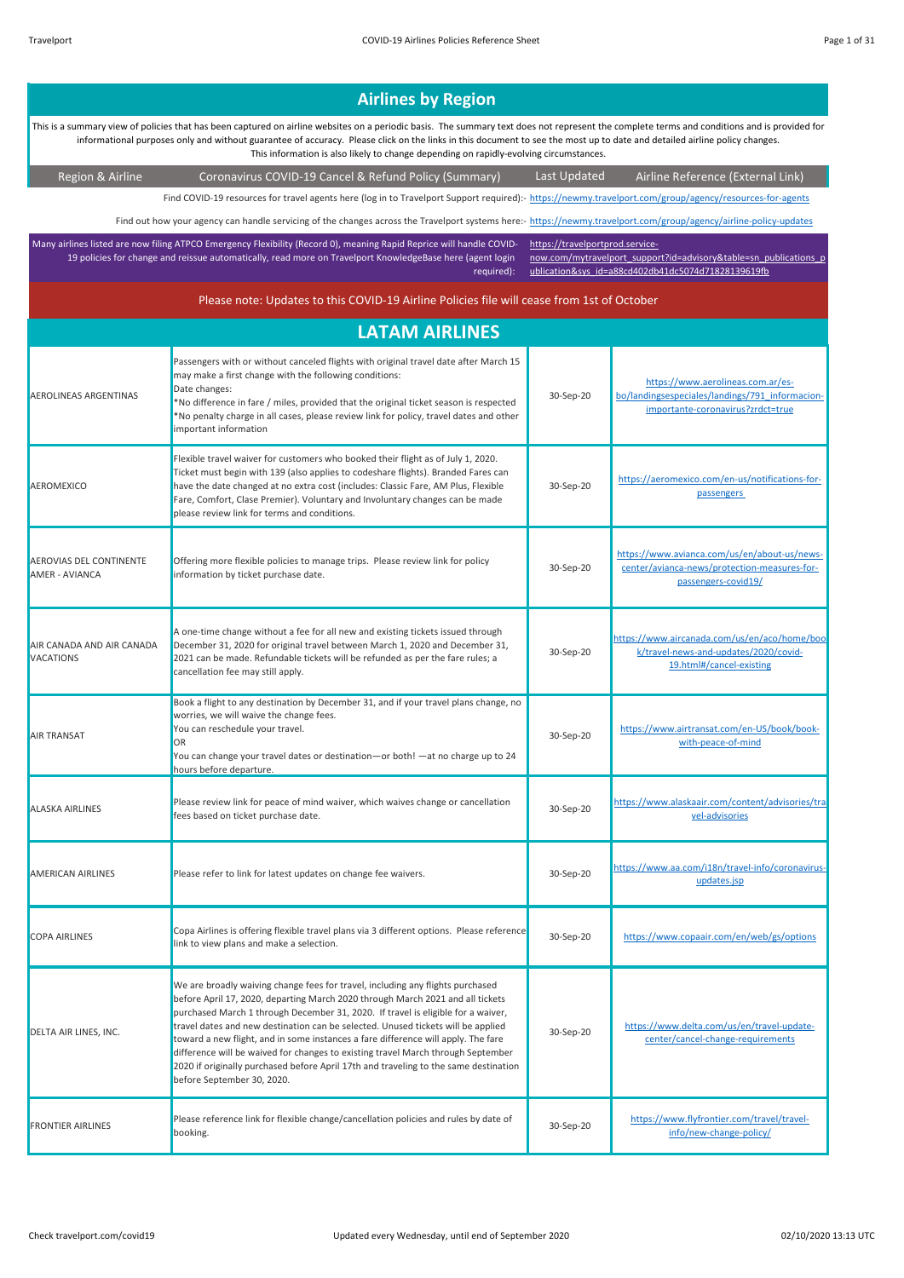| <b>Airlines by Region</b>                                                                                                                                                                                                                                                                                                                                                                                                                                           |                                                                                                                                                                                                                                                                                                                                                                                                                                                                                                                                                                                                                                         |                                 |                                                                                                                           |
|---------------------------------------------------------------------------------------------------------------------------------------------------------------------------------------------------------------------------------------------------------------------------------------------------------------------------------------------------------------------------------------------------------------------------------------------------------------------|-----------------------------------------------------------------------------------------------------------------------------------------------------------------------------------------------------------------------------------------------------------------------------------------------------------------------------------------------------------------------------------------------------------------------------------------------------------------------------------------------------------------------------------------------------------------------------------------------------------------------------------------|---------------------------------|---------------------------------------------------------------------------------------------------------------------------|
| This is a summary view of policies that has been captured on airline websites on a periodic basis. The summary text does not represent the complete terms and conditions and is provided for<br>informational purposes only and without guarantee of accuracy. Please click on the links in this document to see the most up to date and detailed airline policy changes.<br>This information is also likely to change depending on rapidly-evolving circumstances. |                                                                                                                                                                                                                                                                                                                                                                                                                                                                                                                                                                                                                                         |                                 |                                                                                                                           |
| Region & Airline                                                                                                                                                                                                                                                                                                                                                                                                                                                    | Coronavirus COVID-19 Cancel & Refund Policy (Summary)                                                                                                                                                                                                                                                                                                                                                                                                                                                                                                                                                                                   | Last Updated                    | Airline Reference (External Link)                                                                                         |
|                                                                                                                                                                                                                                                                                                                                                                                                                                                                     | Find COVID-19 resources for travel agents here (log in to Travelport Support required):- https://newmy.travelport.com/group/agency/resources-for-agents                                                                                                                                                                                                                                                                                                                                                                                                                                                                                 |                                 |                                                                                                                           |
|                                                                                                                                                                                                                                                                                                                                                                                                                                                                     | Find out how your agency can handle servicing of the changes across the Travelport systems here:- https://newmy.travelport.com/group/agency/airline-policy-updates                                                                                                                                                                                                                                                                                                                                                                                                                                                                      |                                 |                                                                                                                           |
|                                                                                                                                                                                                                                                                                                                                                                                                                                                                     | Many airlines listed are now filing ATPCO Emergency Flexibility (Record 0), meaning Rapid Reprice will handle COVID-<br>19 policies for change and reissue automatically, read more on Travelport KnowledgeBase here (agent login<br>required):                                                                                                                                                                                                                                                                                                                                                                                         | https://travelportprod.service- | now.com/mytravelport support?id=advisory&table=sn publications p<br>ublication&sys_id=a88cd402db41dc5074d71828139619fb    |
|                                                                                                                                                                                                                                                                                                                                                                                                                                                                     | Please note: Updates to this COVID-19 Airline Policies file will cease from 1st of October                                                                                                                                                                                                                                                                                                                                                                                                                                                                                                                                              |                                 |                                                                                                                           |
|                                                                                                                                                                                                                                                                                                                                                                                                                                                                     | <b>LATAM AIRLINES</b>                                                                                                                                                                                                                                                                                                                                                                                                                                                                                                                                                                                                                   |                                 |                                                                                                                           |
| <b>AEROLINEAS ARGENTINAS</b>                                                                                                                                                                                                                                                                                                                                                                                                                                        | Passengers with or without canceled flights with original travel date after March 15<br>may make a first change with the following conditions:<br>Date changes:<br>*No difference in fare / miles, provided that the original ticket season is respected<br>*No penalty charge in all cases, please review link for policy, travel dates and other<br>important information                                                                                                                                                                                                                                                             | 30-Sep-20                       | https://www.aerolineas.com.ar/es-<br>bo/landingsespeciales/landings/791 informacion-<br>importante-coronavirus?zrdct=true |
| AEROMEXICO                                                                                                                                                                                                                                                                                                                                                                                                                                                          | Flexible travel waiver for customers who booked their flight as of July 1, 2020.<br>Ticket must begin with 139 (also applies to codeshare flights). Branded Fares can<br>have the date changed at no extra cost (includes: Classic Fare, AM Plus, Flexible<br>Fare, Comfort, Clase Premier). Voluntary and Involuntary changes can be made<br>please review link for terms and conditions.                                                                                                                                                                                                                                              | 30-Sep-20                       | https://aeromexico.com/en-us/notifications-for-<br>passengers                                                             |
| AEROVIAS DEL CONTINENTE<br>AMER - AVIANCA                                                                                                                                                                                                                                                                                                                                                                                                                           | Offering more flexible policies to manage trips. Please review link for policy<br>information by ticket purchase date.                                                                                                                                                                                                                                                                                                                                                                                                                                                                                                                  | 30-Sep-20                       | https://www.avianca.com/us/en/about-us/news-<br>center/avianca-news/protection-measures-for-<br>passengers-covid19/       |
| AIR CANADA AND AIR CANADA<br>VACATIONS                                                                                                                                                                                                                                                                                                                                                                                                                              | A one-time change without a fee for all new and existing tickets issued through<br>December 31, 2020 for original travel between March 1, 2020 and December 31,<br>2021 can be made. Refundable tickets will be refunded as per the fare rules; a<br>cancellation fee may still apply.                                                                                                                                                                                                                                                                                                                                                  | 30-Sep-20                       | https://www.aircanada.com/us/en/aco/home/boo<br>k/travel-news-and-updates/2020/covid-<br>19.html#/cancel-existing         |
| AIR TRANSAT                                                                                                                                                                                                                                                                                                                                                                                                                                                         | Book a flight to any destination by December 31, and if your travel plans change, no<br>worries, we will waive the change fees.<br>You can reschedule your travel.<br>OR<br>You can change your travel dates or destination-or both! - at no charge up to 24<br>hours before departure.                                                                                                                                                                                                                                                                                                                                                 | 30-Sep-20                       | https://www.airtransat.com/en-US/book/book-<br>with-peace-of-mind                                                         |
| ALASKA AIRLINES                                                                                                                                                                                                                                                                                                                                                                                                                                                     | Please review link for peace of mind waiver, which waives change or cancellation<br>fees based on ticket purchase date.                                                                                                                                                                                                                                                                                                                                                                                                                                                                                                                 | 30-Sep-20                       | https://www.alaskaair.com/content/advisories/tra<br>vel-advisories                                                        |
| AMERICAN AIRLINES                                                                                                                                                                                                                                                                                                                                                                                                                                                   | Please refer to link for latest updates on change fee waivers.                                                                                                                                                                                                                                                                                                                                                                                                                                                                                                                                                                          | 30-Sep-20                       | https://www.aa.com/i18n/travel-info/coronavirus-<br>updates.jsp                                                           |
| <b>COPA AIRLINES</b>                                                                                                                                                                                                                                                                                                                                                                                                                                                | Copa Airlines is offering flexible travel plans via 3 different options. Please reference<br>link to view plans and make a selection.                                                                                                                                                                                                                                                                                                                                                                                                                                                                                                   | 30-Sep-20                       | https://www.copaair.com/en/web/gs/options                                                                                 |
| DELTA AIR LINES, INC.                                                                                                                                                                                                                                                                                                                                                                                                                                               | We are broadly waiving change fees for travel, including any flights purchased<br>before April 17, 2020, departing March 2020 through March 2021 and all tickets<br>purchased March 1 through December 31, 2020. If travel is eligible for a waiver,<br>travel dates and new destination can be selected. Unused tickets will be applied<br>toward a new flight, and in some instances a fare difference will apply. The fare<br>difference will be waived for changes to existing travel March through September<br>2020 if originally purchased before April 17th and traveling to the same destination<br>before September 30, 2020. | 30-Sep-20                       | https://www.delta.com/us/en/travel-update-<br>center/cancel-change-requirements                                           |
| <b>FRONTIER AIRLINES</b>                                                                                                                                                                                                                                                                                                                                                                                                                                            | Please reference link for flexible change/cancellation policies and rules by date of<br>booking.                                                                                                                                                                                                                                                                                                                                                                                                                                                                                                                                        | 30-Sep-20                       | https://www.flyfrontier.com/travel/travel-<br>info/new-change-policy/                                                     |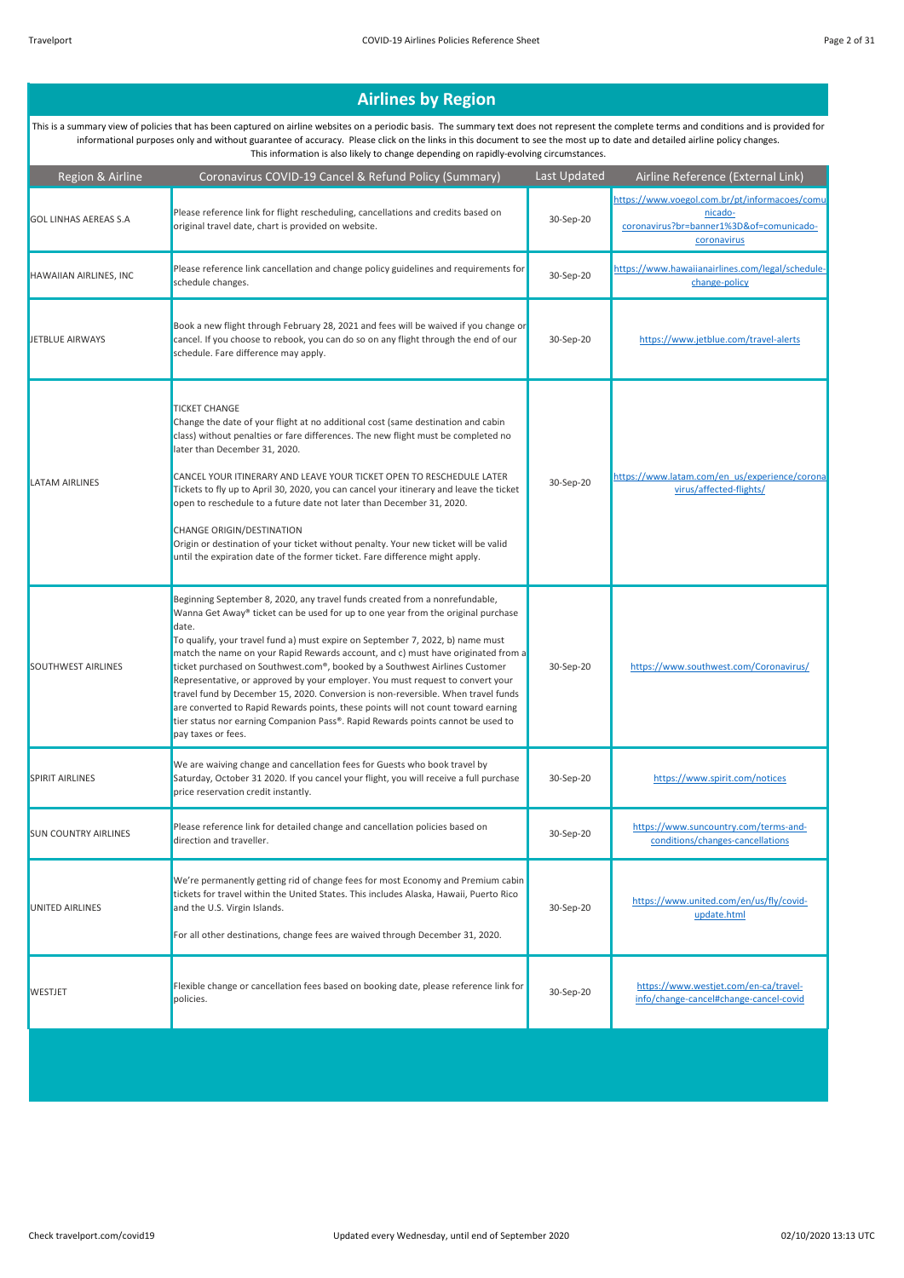| Region & Airline             | Coronavirus COVID-19 Cancel & Refund Policy (Summary)                                                                                                                                                                                                                                                                                                                                                                                                                                                                                                                                                                                                                                                                                                                                              | Last Updated | Airline Reference (External Link)                                                                                   |
|------------------------------|----------------------------------------------------------------------------------------------------------------------------------------------------------------------------------------------------------------------------------------------------------------------------------------------------------------------------------------------------------------------------------------------------------------------------------------------------------------------------------------------------------------------------------------------------------------------------------------------------------------------------------------------------------------------------------------------------------------------------------------------------------------------------------------------------|--------------|---------------------------------------------------------------------------------------------------------------------|
| <b>GOL LINHAS AEREAS S.A</b> | Please reference link for flight rescheduling, cancellations and credits based on<br>original travel date, chart is provided on website.                                                                                                                                                                                                                                                                                                                                                                                                                                                                                                                                                                                                                                                           | 30-Sep-20    | https://www.voegol.com.br/pt/informacoes/comu<br>nicado-<br>coronavirus?br=banner1%3D&of=comunicado-<br>coronavirus |
| HAWAIIAN AIRLINES, INC       | Please reference link cancellation and change policy guidelines and requirements for<br>schedule changes.                                                                                                                                                                                                                                                                                                                                                                                                                                                                                                                                                                                                                                                                                          | 30-Sep-20    | https://www.hawaiianairlines.com/legal/schedule-<br>change-policy                                                   |
| JETBLUE AIRWAYS              | Book a new flight through February 28, 2021 and fees will be waived if you change or<br>cancel. If you choose to rebook, you can do so on any flight through the end of our<br>schedule. Fare difference may apply.                                                                                                                                                                                                                                                                                                                                                                                                                                                                                                                                                                                | 30-Sep-20    | https://www.jetblue.com/travel-alerts                                                                               |
| <b>LATAM AIRLINES</b>        | <b>TICKET CHANGE</b><br>Change the date of your flight at no additional cost (same destination and cabin<br>class) without penalties or fare differences. The new flight must be completed no<br>later than December 31, 2020.<br>CANCEL YOUR ITINERARY AND LEAVE YOUR TICKET OPEN TO RESCHEDULE LATER<br>Tickets to fly up to April 30, 2020, you can cancel your itinerary and leave the ticket<br>open to reschedule to a future date not later than December 31, 2020.<br>CHANGE ORIGIN/DESTINATION<br>Origin or destination of your ticket without penalty. Your new ticket will be valid<br>until the expiration date of the former ticket. Fare difference might apply.                                                                                                                     | 30-Sep-20    | https://www.latam.com/en_us/experience/corona<br>virus/affected-flights/                                            |
| <b>SOUTHWEST AIRLINES</b>    | Beginning September 8, 2020, any travel funds created from a nonrefundable,<br>Wanna Get Away® ticket can be used for up to one year from the original purchase<br>date.<br>To qualify, your travel fund a) must expire on September 7, 2022, b) name must<br>match the name on your Rapid Rewards account, and c) must have originated from a<br>ticket purchased on Southwest.com®, booked by a Southwest Airlines Customer<br>Representative, or approved by your employer. You must request to convert your<br>travel fund by December 15, 2020. Conversion is non-reversible. When travel funds<br>are converted to Rapid Rewards points, these points will not count toward earning<br>tier status nor earning Companion Pass®. Rapid Rewards points cannot be used to<br>pay taxes or fees. | 30-Sep-20    | https://www.southwest.com/Coronavirus/                                                                              |
| <b>SPIRIT AIRLINES</b>       | We are waiving change and cancellation fees for Guests who book travel by<br>Saturday, October 31 2020. If you cancel your flight, you will receive a full purchase<br>price reservation credit instantly.                                                                                                                                                                                                                                                                                                                                                                                                                                                                                                                                                                                         | 30-Sep-20    | https://www.spirit.com/notices                                                                                      |
| <b>SUN COUNTRY AIRLINES</b>  | Please reference link for detailed change and cancellation policies based on<br>direction and traveller.                                                                                                                                                                                                                                                                                                                                                                                                                                                                                                                                                                                                                                                                                           | 30-Sep-20    | https://www.suncountry.com/terms-and-<br>conditions/changes-cancellations                                           |
| <b>UNITED AIRLINES</b>       | We're permanently getting rid of change fees for most Economy and Premium cabin<br>tickets for travel within the United States. This includes Alaska, Hawaii, Puerto Rico<br>and the U.S. Virgin Islands.<br>For all other destinations, change fees are waived through December 31, 2020.                                                                                                                                                                                                                                                                                                                                                                                                                                                                                                         | 30-Sep-20    | https://www.united.com/en/us/fly/covid-<br>update.html                                                              |
| <b>WESTJET</b>               | Flexible change or cancellation fees based on booking date, please reference link for<br>policies.                                                                                                                                                                                                                                                                                                                                                                                                                                                                                                                                                                                                                                                                                                 | 30-Sep-20    | https://www.westjet.com/en-ca/travel-<br>info/change-cancel#change-cancel-covid                                     |
|                              |                                                                                                                                                                                                                                                                                                                                                                                                                                                                                                                                                                                                                                                                                                                                                                                                    |              |                                                                                                                     |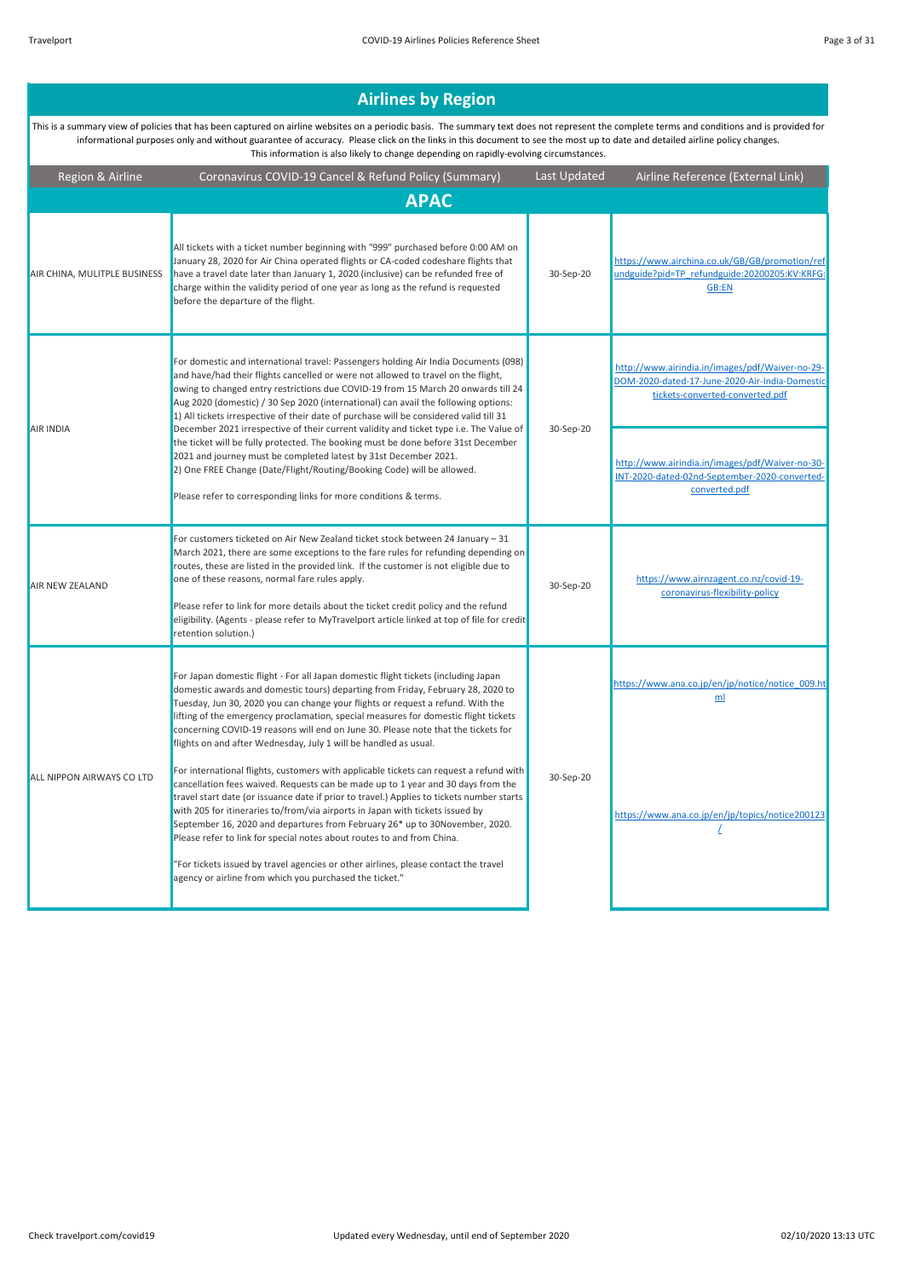#### Region & Airline Coronavirus COVID-19 Cancel & Refund Policy (Summary) Last Updated Airline Reference (External Link) **Airlines by Region**  This is a summary view of policies that has been captured on airline websites on a periodic basis. The summary text does not represent the complete terms and conditions and is provided for informational purposes only and without guarantee of accuracy. Please click on the links in this document to see the most up to date and detailed airline policy changes. This information is also likely to change depending on rapidly-evolving circumstances. AIR CHINA, MULITPLE BUSINESS All tickets with a ticket number beginning with "999" purchased before 0:00 AM on January 28, 2020 for Air China operated flights or CA-coded codeshare flights that have a travel date later than January 1, 2020 (inclusive) can be refunded free of charge within the validity period of one year as long as the refund is requested before the departure of the flight. 30-Sep-20 https://www.airchina.co.uk/GB/GB/promotion/ref undguide?pid=TP\_refundguide:20200205:KV:KRFG: GB:EN http://www.airindia.in/images/pdf/Waiver-no-29- DOM-2020-dated-17-June-2020-Air-India-Domesti tickets-converted-converted.pdf http://www.airindia.in/images/pdf/Waiver-no-30- INT-2020-dated-02nd-September-2020-convertedconverted.pdf AIR NEW ZEALAND For customers ticketed on Air New Zealand ticket stock between 24 January – 31 March 2021, there are some exceptions to the fare rules for refunding depending or routes, these are listed in the provided link. If the customer is not eligible due to one of these reasons, normal fare rules apply. Please refer to link for more details about the ticket credit policy and the refund eligibility. (Agents - please refer to MyTravelport article linked at top of file for credit retention solution.) 30-Sep-20 https://www.airnzagent.co.nz/covid-19 coronavirus-flexibility-policy https://www.ana.co.jp/en/jp/notice/notice\_009.ht ml https://www.ana.co.jp/en/jp/topics/notice200123 / AIR INDIA For domestic and international travel: Passengers holding Air India Documents (098) and have/had their flights cancelled or were not allowed to travel on the flight, owing to changed entry restrictions due COVID-19 from 15 March 20 onwards till 24 Aug 2020 (domestic) / 30 Sep 2020 (international) can avail the following options: 1) All tickets irrespective of their date of purchase will be considered valid till 31 December 2021 irrespective of their current validity and ticket type i.e. The Value of the ticket will be fully protected. The booking must be done before 31st December 2021 and journey must be completed latest by 31st December 2021. 2) One FREE Change (Date/Flight/Routing/Booking Code) will be allowed. Please refer to corresponding links for more conditions & terms. 30-Sep-20 ALL NIPPON AIRWAYS CO LTD cancellation fees waived. Requests can be made up to 1 year and 30 days from the 30-Sep-20 For Japan domestic flight - For all Japan domestic flight tickets (including Japan domestic awards and domestic tours) departing from Friday, February 28, 2020 to Tuesday, Jun 30, 2020 you can change your flights or request a refund. With the lifting of the emergency proclamation, special measures for domestic flight tickets concerning COVID-19 reasons will end on June 30. Please note that the tickets for flights on and after Wednesday, July 1 will be handled as usual. For international flights, customers with applicable tickets can request a refund with travel start date (or issuance date if prior to travel.) Applies to tickets number starts with 205 for itineraries to/from/via airports in Japan with tickets issued by September 16, 2020 and departures from February 26\* up to 30November, 2020. **APAC**

Please refer to link for special notes about routes to and from China.

agency or airline from which you purchased the ticket."

"For tickets issued by travel agencies or other airlines, please contact the travel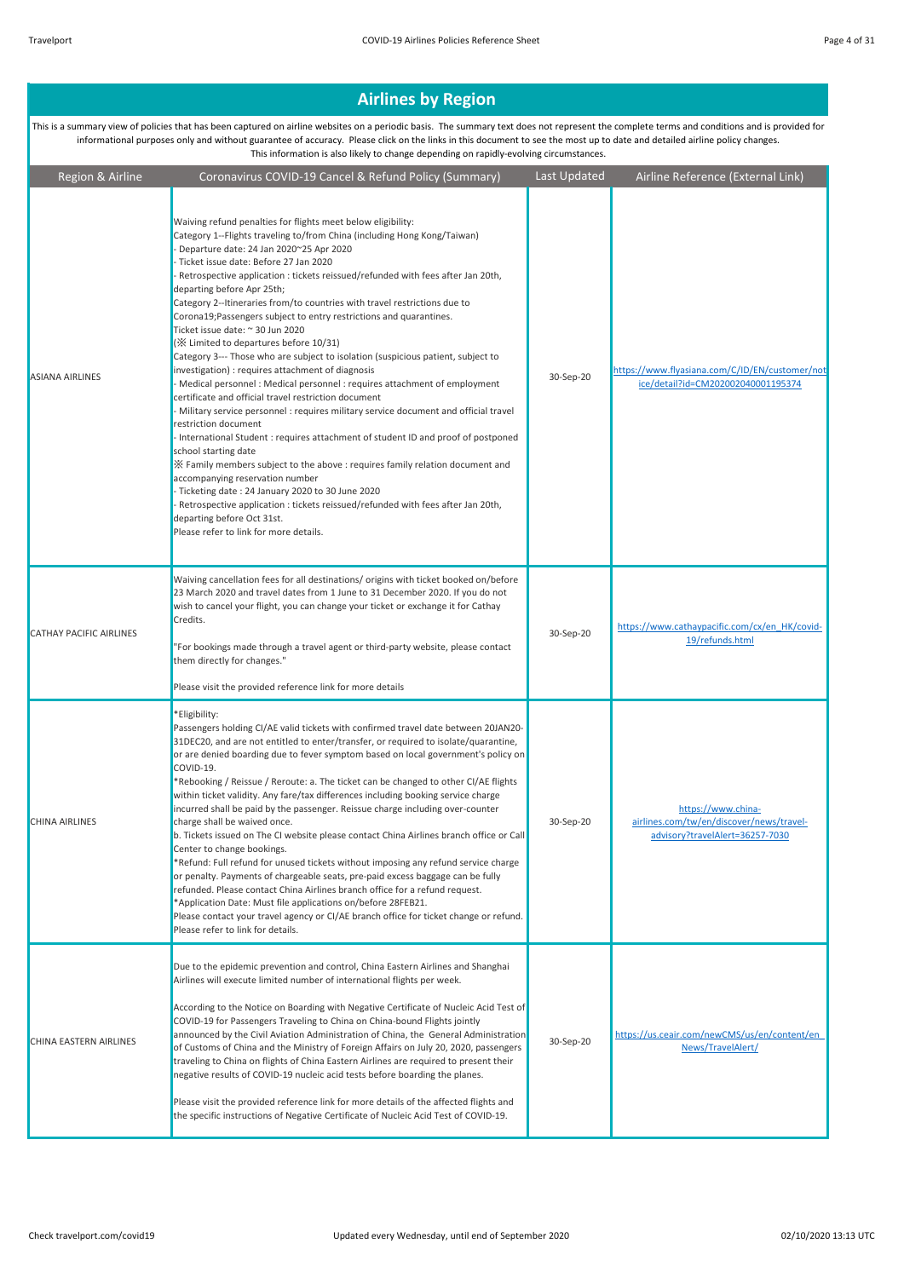| Region & Airline               | Coronavirus COVID-19 Cancel & Refund Policy (Summary)                                                                                                                                                                                                                                                                                                                                                                                                                                                                                                                                                                                                                                                                                                                                                                                                                                                                                                                                                                                                                                                                                                                                                                                                                                                                                                                                                                                      | Last Updated | Airline Reference (External Link)                                                                 |
|--------------------------------|--------------------------------------------------------------------------------------------------------------------------------------------------------------------------------------------------------------------------------------------------------------------------------------------------------------------------------------------------------------------------------------------------------------------------------------------------------------------------------------------------------------------------------------------------------------------------------------------------------------------------------------------------------------------------------------------------------------------------------------------------------------------------------------------------------------------------------------------------------------------------------------------------------------------------------------------------------------------------------------------------------------------------------------------------------------------------------------------------------------------------------------------------------------------------------------------------------------------------------------------------------------------------------------------------------------------------------------------------------------------------------------------------------------------------------------------|--------------|---------------------------------------------------------------------------------------------------|
| <b>ASIANA AIRLINES</b>         | Waiving refund penalties for flights meet below eligibility:<br>Category 1--Flights traveling to/from China (including Hong Kong/Taiwan)<br>- Departure date: 24 Jan 2020~25 Apr 2020<br>- Ticket issue date: Before 27 Jan 2020<br>- Retrospective application : tickets reissued/refunded with fees after Jan 20th,<br>departing before Apr 25th;<br>Category 2--Itineraries from/to countries with travel restrictions due to<br>Corona19; Passengers subject to entry restrictions and quarantines.<br>Ticket issue date: ~ 30 Jun 2020<br>(※ Limited to departures before 10/31)<br>Category 3--- Those who are subject to isolation (suspicious patient, subject to<br>investigation) : requires attachment of diagnosis<br>- Medical personnel : Medical personnel : requires attachment of employment<br>certificate and official travel restriction document<br>- Military service personnel : requires military service document and official travel<br>restriction document<br>- International Student : requires attachment of student ID and proof of postponed<br>school starting date<br>X Family members subject to the above : requires family relation document and<br>accompanying reservation number<br>- Ticketing date: 24 January 2020 to 30 June 2020<br>- Retrospective application : tickets reissued/refunded with fees after Jan 20th,<br>departing before Oct 31st.<br>Please refer to link for more details. | 30-Sep-20    | https://www.flyasiana.com/C/ID/EN/customer/not<br>ice/detail?id=CM202002040001195374              |
| <b>CATHAY PACIFIC AIRLINES</b> | Waiving cancellation fees for all destinations/ origins with ticket booked on/before<br>23 March 2020 and travel dates from 1 June to 31 December 2020. If you do not<br>wish to cancel your flight, you can change your ticket or exchange it for Cathay<br>Credits.<br>"For bookings made through a travel agent or third-party website, please contact<br>them directly for changes."<br>Please visit the provided reference link for more details                                                                                                                                                                                                                                                                                                                                                                                                                                                                                                                                                                                                                                                                                                                                                                                                                                                                                                                                                                                      | 30-Sep-20    | https://www.cathaypacific.com/cx/en HK/covid-<br>19/refunds.html                                  |
| <b>CHINA AIRLINES</b>          | *Eligibility:<br>Passengers holding CI/AE valid tickets with confirmed travel date between 20JAN20-<br>31DEC20, and are not entitled to enter/transfer, or required to isolate/quarantine,<br>or are denied boarding due to fever symptom based on local government's policy on<br>COVID-19.<br>*Rebooking / Reissue / Reroute: a. The ticket can be changed to other CI/AE flights<br>within ticket validity. Any fare/tax differences including booking service charge<br>incurred shall be paid by the passenger. Reissue charge including over-counter<br>charge shall be waived once.<br>b. Tickets issued on The CI website please contact China Airlines branch office or Call<br>Center to change bookings.<br>*Refund: Full refund for unused tickets without imposing any refund service charge<br>or penalty. Payments of chargeable seats, pre-paid excess baggage can be fully<br>refunded. Please contact China Airlines branch office for a refund request.<br>*Application Date: Must file applications on/before 28FEB21.<br>Please contact your travel agency or CI/AE branch office for ticket change or refund.<br>Please refer to link for details.                                                                                                                                                                                                                                                                   | 30-Sep-20    | https://www.china-<br>airlines.com/tw/en/discover/news/travel-<br>advisory?travelAlert=36257-7030 |
| CHINA EASTERN AIRLINES         | Due to the epidemic prevention and control, China Eastern Airlines and Shanghai<br>Airlines will execute limited number of international flights per week.<br>According to the Notice on Boarding with Negative Certificate of Nucleic Acid Test of<br>COVID-19 for Passengers Traveling to China on China-bound Flights jointly<br>announced by the Civil Aviation Administration of China, the General Administration<br>of Customs of China and the Ministry of Foreign Affairs on July 20, 2020, passengers<br>traveling to China on flights of China Eastern Airlines are required to present their<br>negative results of COVID-19 nucleic acid tests before boarding the planes.<br>Please visit the provided reference link for more details of the affected flights and<br>the specific instructions of Negative Certificate of Nucleic Acid Test of COVID-19.                                                                                                                                                                                                                                                                                                                                                                                                                                                                                                                                                                    | 30-Sep-20    | https://us.ceair.com/newCMS/us/en/content/en<br>News/TravelAlert/                                 |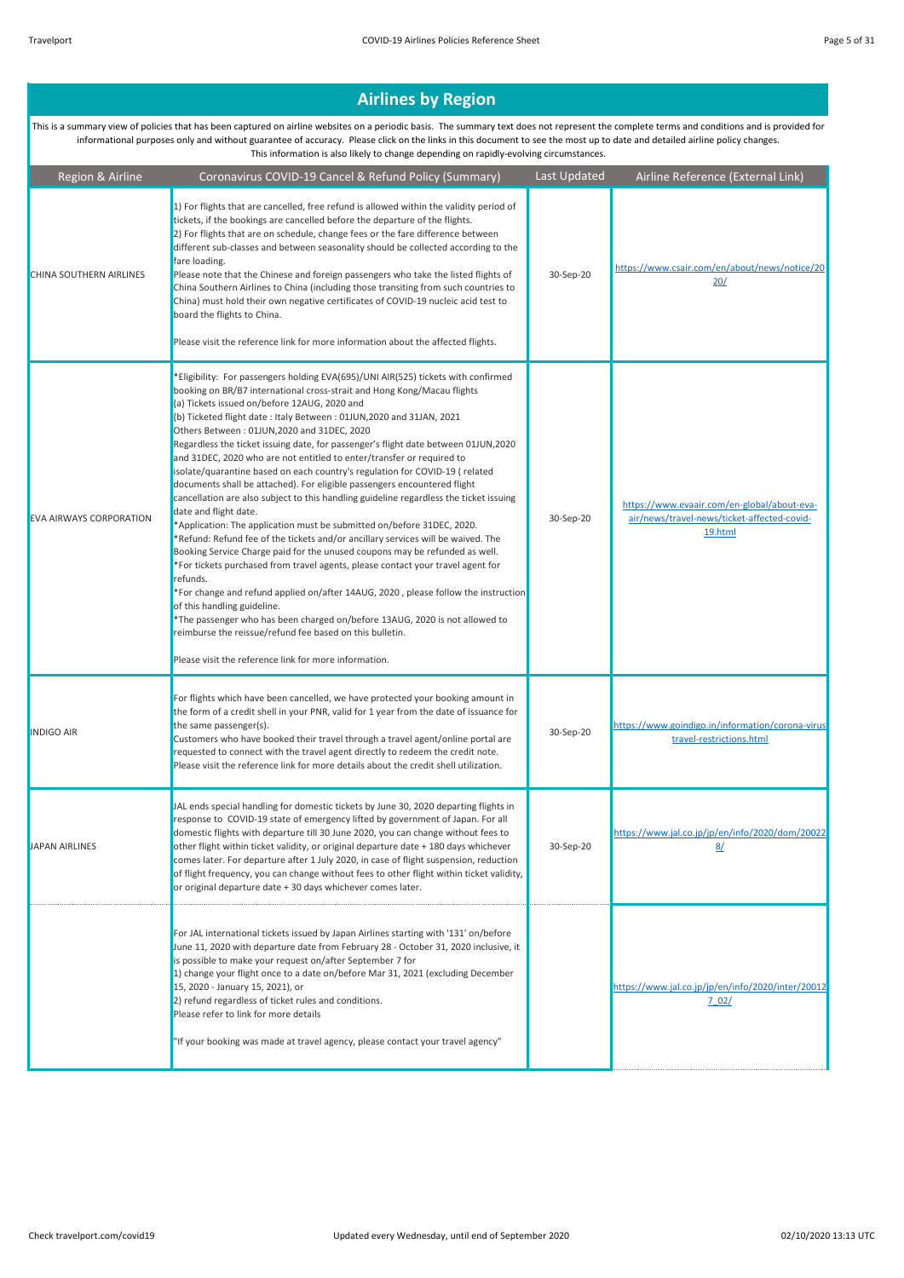| Region & Airline               | Coronavirus COVID-19 Cancel & Refund Policy (Summary)                                                                                                                                                                                                                                                                                                                                                                                                                                                                                                                                                                                                                                                                                                                                                                                                                                                                                                                                                                                                                                                                                                                                                                                                                                                                                                                                                                                                | Last Updated | Airline Reference (External Link)                                                                     |
|--------------------------------|------------------------------------------------------------------------------------------------------------------------------------------------------------------------------------------------------------------------------------------------------------------------------------------------------------------------------------------------------------------------------------------------------------------------------------------------------------------------------------------------------------------------------------------------------------------------------------------------------------------------------------------------------------------------------------------------------------------------------------------------------------------------------------------------------------------------------------------------------------------------------------------------------------------------------------------------------------------------------------------------------------------------------------------------------------------------------------------------------------------------------------------------------------------------------------------------------------------------------------------------------------------------------------------------------------------------------------------------------------------------------------------------------------------------------------------------------|--------------|-------------------------------------------------------------------------------------------------------|
| CHINA SOUTHERN AIRLINES        | 1) For flights that are cancelled, free refund is allowed within the validity period of<br>tickets, if the bookings are cancelled before the departure of the flights.<br>2) For flights that are on schedule, change fees or the fare difference between<br>different sub-classes and between seasonality should be collected according to the<br>fare loading.<br>Please note that the Chinese and foreign passengers who take the listed flights of<br>China Southern Airlines to China (including those transiting from such countries to<br>China) must hold their own negative certificates of COVID-19 nucleic acid test to<br>board the flights to China.<br>Please visit the reference link for more information about the affected flights.                                                                                                                                                                                                                                                                                                                                                                                                                                                                                                                                                                                                                                                                                                | 30-Sep-20    | https://www.csair.com/en/about/news/notice/20<br>20/                                                  |
| <b>EVA AIRWAYS CORPORATION</b> | *Eligibility: For passengers holding EVA(695)/UNI AIR(525) tickets with confirmed<br>booking on BR/B7 international cross-strait and Hong Kong/Macau flights<br>(a) Tickets issued on/before 12AUG, 2020 and<br>(b) Ticketed flight date: Italy Between: 01JUN, 2020 and 31JAN, 2021<br>Others Between: 01JUN,2020 and 31DEC, 2020<br>Regardless the ticket issuing date, for passenger's flight date between 01JUN,2020<br>and 31DEC, 2020 who are not entitled to enter/transfer or required to<br>isolate/quarantine based on each country's regulation for COVID-19 (related<br>documents shall be attached). For eligible passengers encountered flight<br>cancellation are also subject to this handling guideline regardless the ticket issuing<br>date and flight date.<br>*Application: The application must be submitted on/before 31DEC, 2020.<br>*Refund: Refund fee of the tickets and/or ancillary services will be waived. The<br>Booking Service Charge paid for the unused coupons may be refunded as well.<br>*For tickets purchased from travel agents, please contact your travel agent for<br>refunds.<br>*For change and refund applied on/after 14AUG, 2020, please follow the instruction<br>of this handling guideline.<br>*The passenger who has been charged on/before 13AUG, 2020 is not allowed to<br>reimburse the reissue/refund fee based on this bulletin.<br>Please visit the reference link for more information. | 30-Sep-20    | https://www.evaair.com/en-global/about-eva-<br>air/news/travel-news/ticket-affected-covid-<br>19.html |
| <b>INDIGO AIR</b>              | For flights which have been cancelled, we have protected your booking amount in<br>the form of a credit shell in your PNR, valid for 1 year from the date of issuance for<br>the same passenger(s).<br>Customers who have booked their travel through a travel agent/online portal are<br>requested to connect with the travel agent directly to redeem the credit note.<br>Please visit the reference link for more details about the credit shell utilization.                                                                                                                                                                                                                                                                                                                                                                                                                                                                                                                                                                                                                                                                                                                                                                                                                                                                                                                                                                                     | 30-Sep-20    | https://www.goindigo.in/information/corona-virus<br>travel-restrictions.html                          |
| <b>JAPAN AIRLINES</b>          | JAL ends special handling for domestic tickets by June 30, 2020 departing flights in<br>response to COVID-19 state of emergency lifted by government of Japan. For all<br>domestic flights with departure till 30 June 2020, you can change without fees to<br>other flight within ticket validity, or original departure date + 180 days whichever<br>comes later. For departure after 1 July 2020, in case of flight suspension, reduction<br>of flight frequency, you can change without fees to other flight within ticket validity,<br>or original departure date + 30 days whichever comes later.                                                                                                                                                                                                                                                                                                                                                                                                                                                                                                                                                                                                                                                                                                                                                                                                                                              | 30-Sep-20    | https://www.jal.co.jp/jp/en/info/2020/dom/20022<br>8/                                                 |
|                                | For JAL international tickets issued by Japan Airlines starting with '131' on/before<br>June 11, 2020 with departure date from February 28 - October 31, 2020 inclusive, it<br>is possible to make your request on/after September 7 for<br>1) change your flight once to a date on/before Mar 31, 2021 (excluding December<br>15, 2020 - January 15, 2021), or<br>2) refund regardless of ticket rules and conditions.<br>Please refer to link for more details<br>"If your booking was made at travel agency, please contact your travel agency"                                                                                                                                                                                                                                                                                                                                                                                                                                                                                                                                                                                                                                                                                                                                                                                                                                                                                                   |              | https://www.jal.co.jp/jp/en/info/2020/inter/20012<br>702/                                             |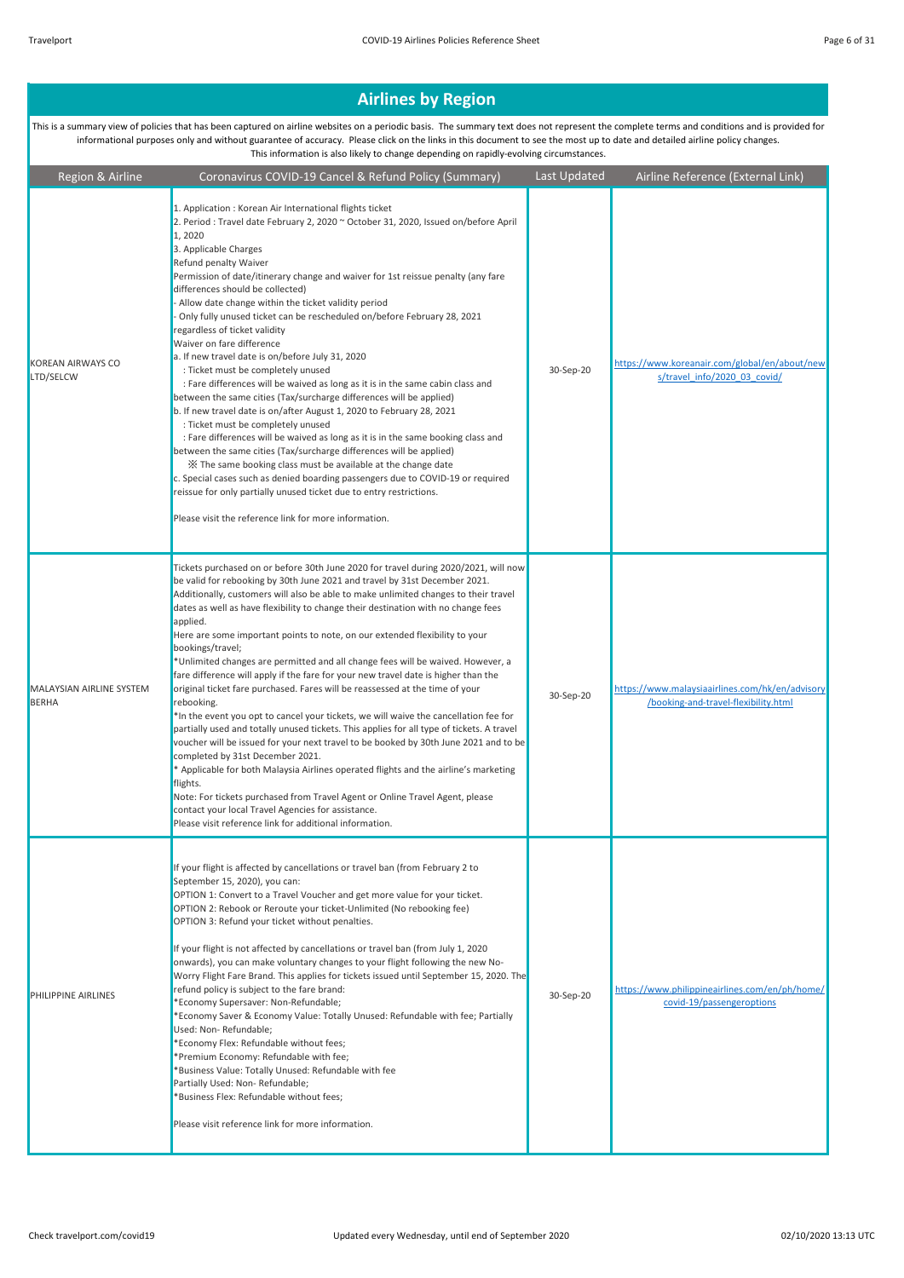This is a summary view of policies that has been captured on airline websites on a periodic basis. The summary text does not represent the complete terms and conditions and is provided for informational purposes only and without guarantee of accuracy. Please click on the links in this document to see the most up to date and detailed airline policy changes. This information is also likely to change depending on rapidly-evolving circumstances.

Region & Airline Coronavirus COVID-19 Cancel & Refund Policy (Summary) Last Updated Airline Reference (External Link) KOREAN AIRWAYS CO LTD/SELCW 1. Application : Korean Air International flights ticket 2. Period : Travel date February 2, 2020 ~ October 31, 2020, Issued on/before April 1, 2020 3. Applicable Charges Refund penalty Waiver Permission of date/itinerary change and waiver for 1st reissue penalty (any fare differences should be collected) - Allow date change within the ticket validity period - Only fully unused ticket can be rescheduled on/before February 28, 2021 regardless of ticket validity Waiver on fare difference a. If new travel date is on/before July 31, 2020 : Ticket must be completely unused : Fare differences will be waived as long as it is in the same cabin class and between the same cities (Tax/surcharge differences will be applied) b. If new travel date is on/after August 1, 2020 to February 28, 2021 : Ticket must be completely unused : Fare differences will be waived as long as it is in the same booking class and between the same cities (Tax/surcharge differences will be applied) ※ The same booking class must be available at the change date c. Special cases such as denied boarding passengers due to COVID-19 or required reissue for only partially unused ticket due to entry restrictions. Please visit the reference link for more information. 30-Sep-20 https://www.koreanair.com/global/en/about/new s/travel\_info/2020\_03\_covid/ MALAYSIAN AIRLINE SYSTEM BERHA Tickets purchased on or before 30th June 2020 for travel during 2020/2021, will now be valid for rebooking by 30th June 2021 and travel by 31st December 2021. Additionally, customers will also be able to make unlimited changes to their travel dates as well as have flexibility to change their destination with no change fees applied. Here are some important points to note, on our extended flexibility to your bookings/travel; \*Unlimited changes are permitted and all change fees will be waived. However, a fare difference will apply if the fare for your new travel date is higher than the original ticket fare purchased. Fares will be reassessed at the time of your rebooking. \*In the event you opt to cancel your tickets, we will waive the cancellation fee for partially used and totally unused tickets. This applies for all type of tickets. A travel voucher will be issued for your next travel to be booked by 30th June 2021 and to be completed by 31st December 2021. \* Applicable for both Malaysia Airlines operated flights and the airline's marketing flights. Note: For tickets purchased from Travel Agent or Online Travel Agent, please contact your local Travel Agencies for assistance. Please visit reference link for additional information. 30-Sep-20 https://www.malaysiaairlines.com/hk/en/advisory /booking-and-travel-flexibility.html **PHILIPPINE AIRLINES** If your flight is affected by cancellations or travel ban (from February 2 to September 15, 2020), you can: OPTION 1: Convert to a Travel Voucher and get more value for your ticket. OPTION 2: Rebook or Reroute your ticket-Unlimited (No rebooking fee) OPTION 3: Refund your ticket without penalties. If your flight is not affected by cancellations or travel ban (from July 1, 2020 onwards), you can make voluntary changes to your flight following the new No-Worry Flight Fare Brand. This applies for tickets issued until September 15, 2020. The refund policy is subject to the fare brand: \*Economy Supersaver: Non-Refundable; \*Economy Saver & Economy Value: Totally Unused: Refundable with fee; Partially Used: Non- Refundable; \*Economy Flex: Refundable without fees; \*Premium Economy: Refundable with fee; \*Business Value: Totally Unused: Refundable with fee Partially Used: Non- Refundable; \*Business Flex: Refundable without fees; Please visit reference link for more information. 30-Sep-20 https://www.philippineairlines.com/en/ph/home/ covid-19/passengeroptions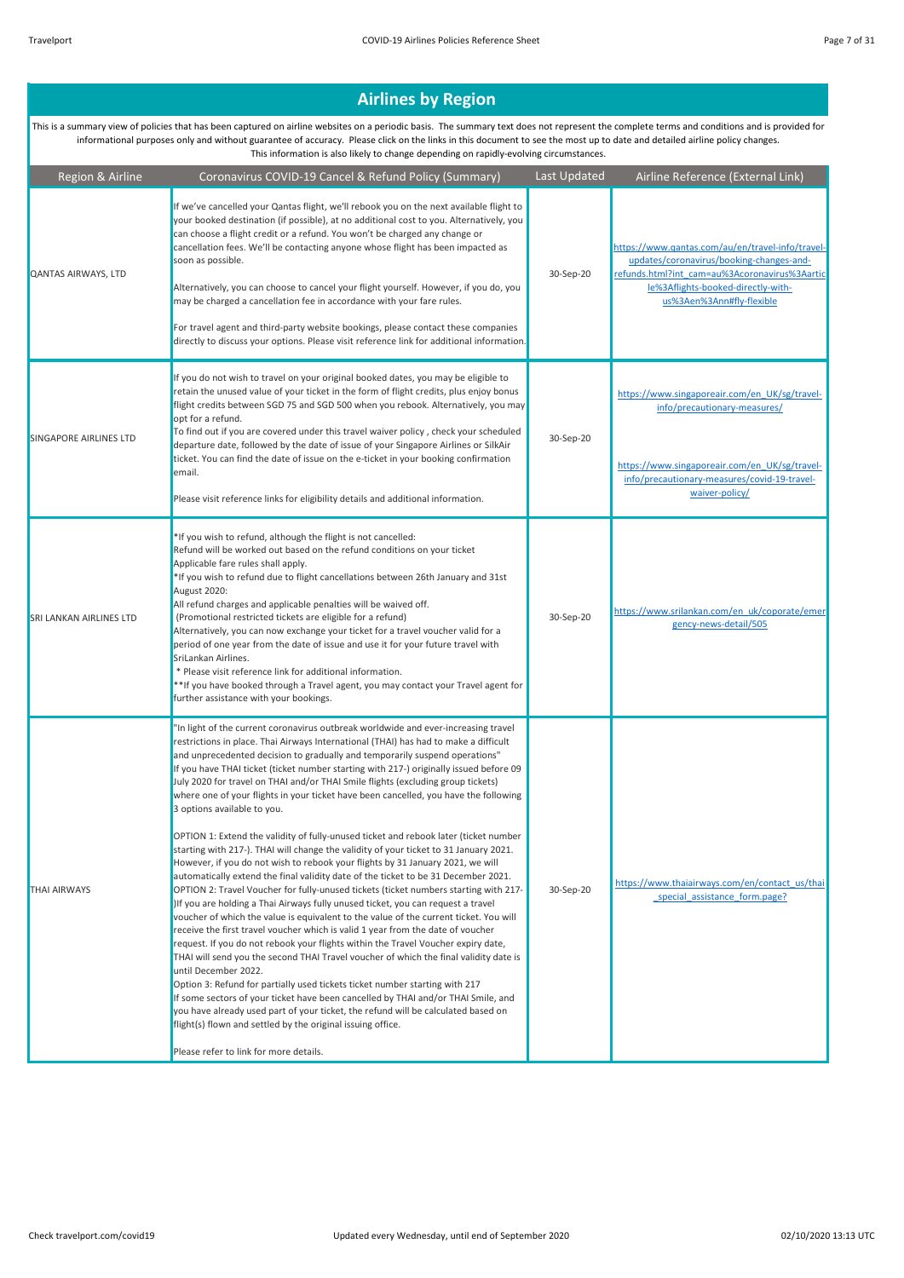| Region & Airline              | Coronavirus COVID-19 Cancel & Refund Policy (Summary)                                                                                                                                                                                                                                                                                                                                                                                                                                                                                                                                                                                                                                                                                                                                                                                                                                                                                                                                                                                                                                                                                                                                                                                                                                                                                                                                                                                                                                                                                                                                                                                                                                                                                                                                                                                                   | Last Updated | Airline Reference (External Link)                                                                                                                                                                                |
|-------------------------------|---------------------------------------------------------------------------------------------------------------------------------------------------------------------------------------------------------------------------------------------------------------------------------------------------------------------------------------------------------------------------------------------------------------------------------------------------------------------------------------------------------------------------------------------------------------------------------------------------------------------------------------------------------------------------------------------------------------------------------------------------------------------------------------------------------------------------------------------------------------------------------------------------------------------------------------------------------------------------------------------------------------------------------------------------------------------------------------------------------------------------------------------------------------------------------------------------------------------------------------------------------------------------------------------------------------------------------------------------------------------------------------------------------------------------------------------------------------------------------------------------------------------------------------------------------------------------------------------------------------------------------------------------------------------------------------------------------------------------------------------------------------------------------------------------------------------------------------------------------|--------------|------------------------------------------------------------------------------------------------------------------------------------------------------------------------------------------------------------------|
| QANTAS AIRWAYS, LTD           | If we've cancelled your Qantas flight, we'll rebook you on the next available flight to<br>your booked destination (if possible), at no additional cost to you. Alternatively, you<br>can choose a flight credit or a refund. You won't be charged any change or<br>cancellation fees. We'll be contacting anyone whose flight has been impacted as<br>soon as possible.<br>Alternatively, you can choose to cancel your flight yourself. However, if you do, you<br>may be charged a cancellation fee in accordance with your fare rules.<br>For travel agent and third-party website bookings, please contact these companies<br>directly to discuss your options. Please visit reference link for additional information.                                                                                                                                                                                                                                                                                                                                                                                                                                                                                                                                                                                                                                                                                                                                                                                                                                                                                                                                                                                                                                                                                                                            | 30-Sep-20    | https://www.qantas.com/au/en/travel-info/travel-<br>updates/coronavirus/booking-changes-and-<br>refunds.html?int cam=au%3Acoronavirus%3Aartic<br>le%3Aflights-booked-directly-with-<br>us%3Aen%3Ann#fly-flexible |
| <b>SINGAPORE AIRLINES LTD</b> | If you do not wish to travel on your original booked dates, you may be eligible to<br>retain the unused value of your ticket in the form of flight credits, plus enjoy bonus<br>flight credits between SGD 75 and SGD 500 when you rebook. Alternatively, you may<br>opt for a refund.<br>To find out if you are covered under this travel waiver policy, check your scheduled<br>departure date, followed by the date of issue of your Singapore Airlines or SilkAir<br>ticket. You can find the date of issue on the e-ticket in your booking confirmation<br>email.<br>Please visit reference links for eligibility details and additional information.                                                                                                                                                                                                                                                                                                                                                                                                                                                                                                                                                                                                                                                                                                                                                                                                                                                                                                                                                                                                                                                                                                                                                                                              | 30-Sep-20    | https://www.singaporeair.com/en UK/sg/travel-<br>info/precautionary-measures/<br>https://www.singaporeair.com/en UK/sg/travel-<br>info/precautionary-measures/covid-19-travel-<br>waiver-policy/                 |
| SRI LANKAN AIRLINES LTD       | *If you wish to refund, although the flight is not cancelled:<br>Refund will be worked out based on the refund conditions on your ticket<br>Applicable fare rules shall apply.<br>*If you wish to refund due to flight cancellations between 26th January and 31st<br>August 2020:<br>All refund charges and applicable penalties will be waived off.<br>(Promotional restricted tickets are eligible for a refund)<br>Alternatively, you can now exchange your ticket for a travel voucher valid for a<br>period of one year from the date of issue and use it for your future travel with<br>SriLankan Airlines.<br>* Please visit reference link for additional information.<br>**If you have booked through a Travel agent, you may contact your Travel agent for<br>further assistance with your bookings.                                                                                                                                                                                                                                                                                                                                                                                                                                                                                                                                                                                                                                                                                                                                                                                                                                                                                                                                                                                                                                         | 30-Sep-20    | https://www.srilankan.com/en_uk/coporate/emer<br>gency-news-detail/505                                                                                                                                           |
| <b>THAI AIRWAYS</b>           | 'In light of the current coronavirus outbreak worldwide and ever-increasing travel<br>restrictions in place. Thai Airways International (THAI) has had to make a difficult<br>and unprecedented decision to gradually and temporarily suspend operations"<br>If you have THAI ticket (ticket number starting with 217-) originally issued before 09<br>July 2020 for travel on THAI and/or THAI Smile flights (excluding group tickets)<br>where one of your flights in your ticket have been cancelled, you have the following<br>3 options available to you.<br>OPTION 1: Extend the validity of fully-unused ticket and rebook later (ticket number<br>starting with 217-). THAI will change the validity of your ticket to 31 January 2021.<br>However, if you do not wish to rebook your flights by 31 January 2021, we will<br>automatically extend the final validity date of the ticket to be 31 December 2021.<br>OPTION 2: Travel Voucher for fully-unused tickets (ticket numbers starting with 217-<br>)If you are holding a Thai Airways fully unused ticket, you can request a travel<br>voucher of which the value is equivalent to the value of the current ticket. You will<br>receive the first travel voucher which is valid 1 year from the date of voucher<br>request. If you do not rebook your flights within the Travel Voucher expiry date,<br>THAI will send you the second THAI Travel voucher of which the final validity date is<br>until December 2022.<br>Option 3: Refund for partially used tickets ticket number starting with 217<br>If some sectors of your ticket have been cancelled by THAI and/or THAI Smile, and<br>you have already used part of your ticket, the refund will be calculated based on<br>flight(s) flown and settled by the original issuing office.<br>Please refer to link for more details. | 30-Sep-20    | https://www.thaiairways.com/en/contact_us/thai<br>special assistance form.page?                                                                                                                                  |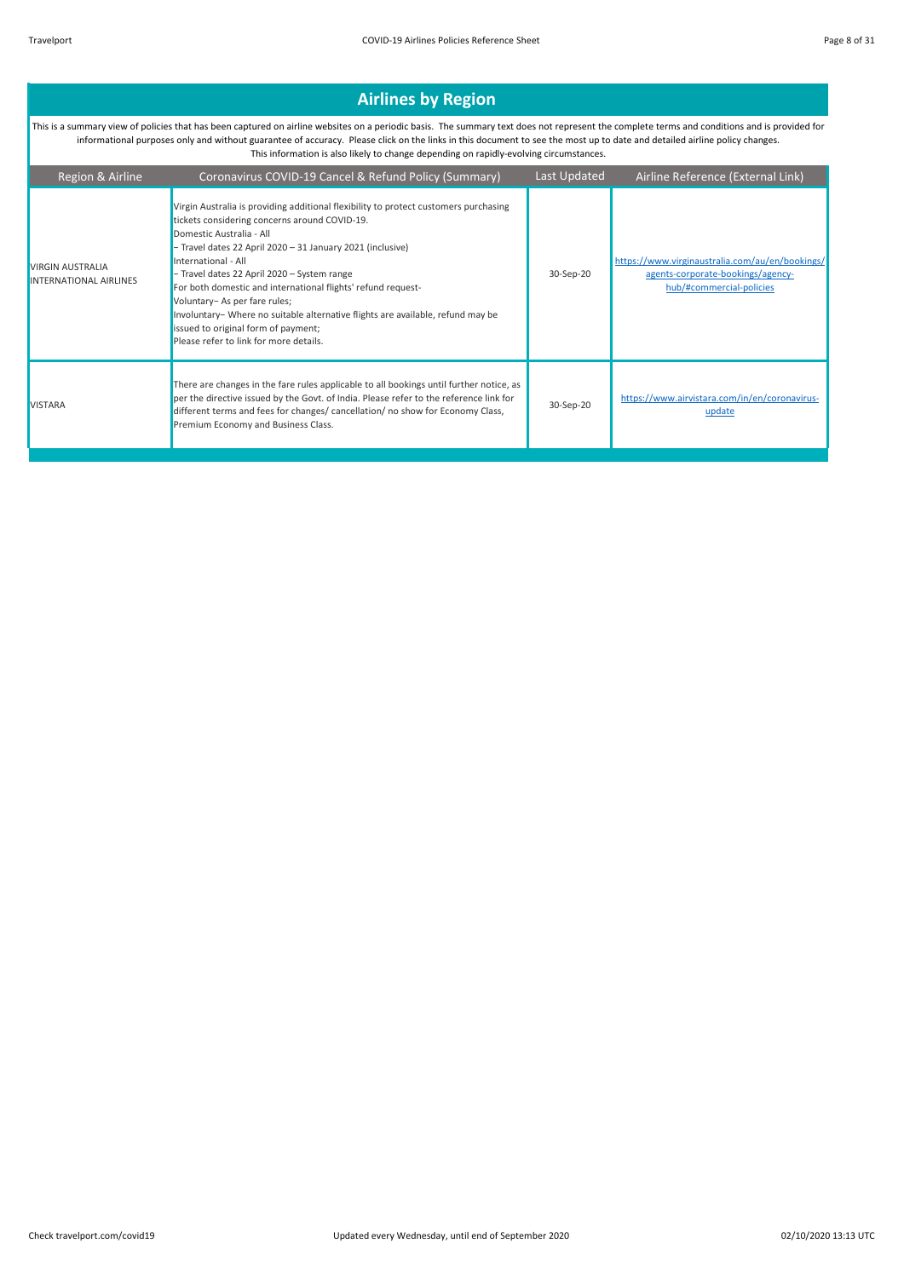| Region & Airline                                         | Coronavirus COVID-19 Cancel & Refund Policy (Summary)                                                                                                                                                                                                                                                                                                                                                                                                                                                                                                                      | Last Updated | Airline Reference (External Link)                                                                                |
|----------------------------------------------------------|----------------------------------------------------------------------------------------------------------------------------------------------------------------------------------------------------------------------------------------------------------------------------------------------------------------------------------------------------------------------------------------------------------------------------------------------------------------------------------------------------------------------------------------------------------------------------|--------------|------------------------------------------------------------------------------------------------------------------|
| <b>VIRGIN AUSTRALIA</b><br><b>INTERNATIONAL AIRLINES</b> | Virgin Australia is providing additional flexibility to protect customers purchasing<br>tickets considering concerns around COVID-19.<br>Domestic Australia - All<br>- Travel dates 22 April 2020 - 31 January 2021 (inclusive)<br>International - All<br>- Travel dates 22 April 2020 - System range<br>For both domestic and international flights' refund request-<br>Voluntary- As per fare rules;<br>Involuntary- Where no suitable alternative flights are available, refund may be<br>issued to original form of payment;<br>Please refer to link for more details. | 30-Sep-20    | https://www.virginaustralia.com/au/en/bookings/<br>agents-corporate-bookings/agency-<br>hub/#commercial-policies |
| <b>VISTARA</b>                                           | There are changes in the fare rules applicable to all bookings until further notice, as<br>per the directive issued by the Govt. of India. Please refer to the reference link for<br>different terms and fees for changes/ cancellation/ no show for Economy Class,<br>Premium Economy and Business Class.                                                                                                                                                                                                                                                                 | 30-Sep-20    | https://www.airvistara.com/in/en/coronavirus-<br>update                                                          |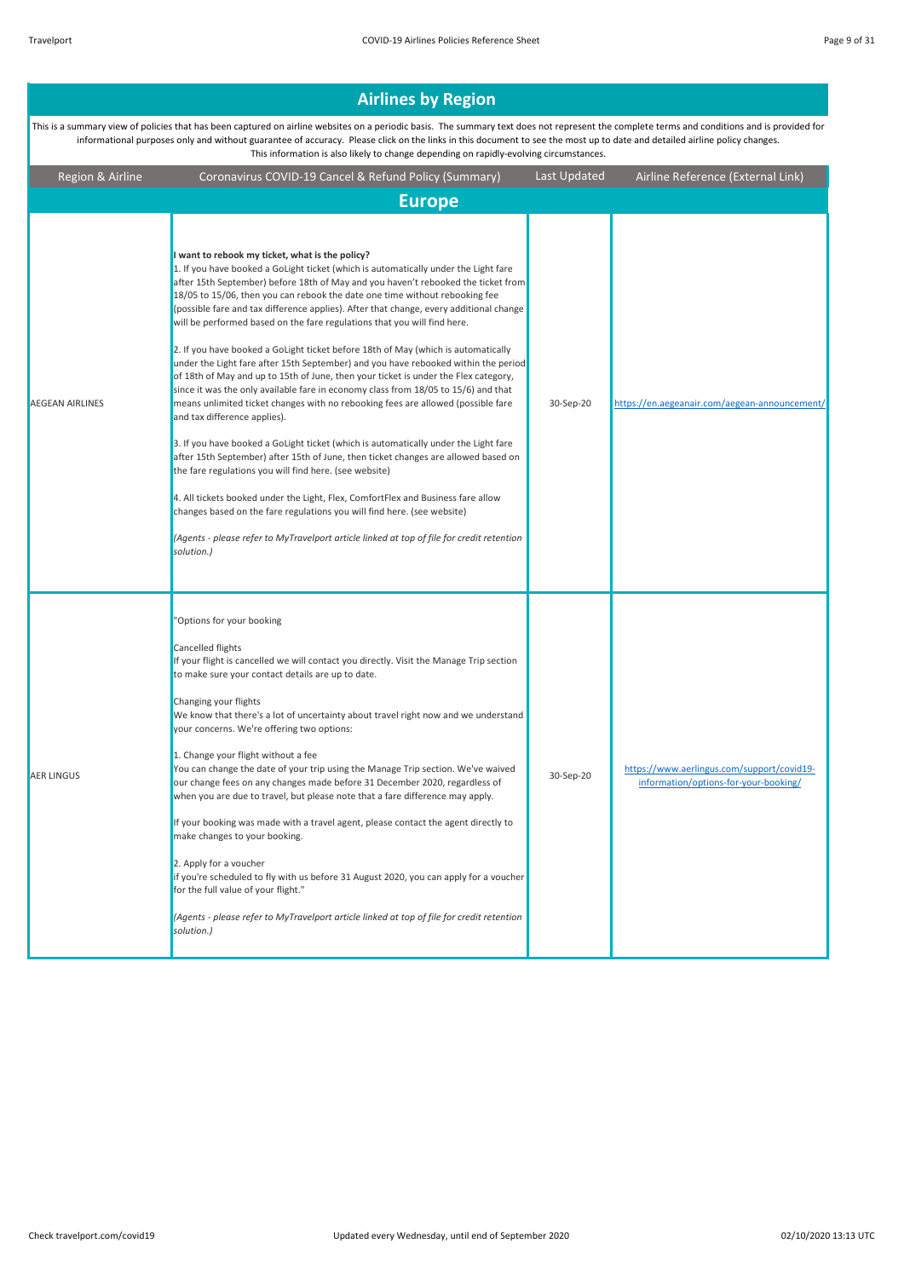|                                                                                                                                                                                                                                                                                                                                                                                                                                                                     | <b>Airlines by Region</b>                                                                                                                                                                                                                                                                                                                                                                                                                                                                                                                                                                                                                                                                                                                                                                                                                                                                                                                                                                                                                                                                                                                                                                                                                                                                                                                                                                                                                                                     |              |                                                                                     |  |
|---------------------------------------------------------------------------------------------------------------------------------------------------------------------------------------------------------------------------------------------------------------------------------------------------------------------------------------------------------------------------------------------------------------------------------------------------------------------|-------------------------------------------------------------------------------------------------------------------------------------------------------------------------------------------------------------------------------------------------------------------------------------------------------------------------------------------------------------------------------------------------------------------------------------------------------------------------------------------------------------------------------------------------------------------------------------------------------------------------------------------------------------------------------------------------------------------------------------------------------------------------------------------------------------------------------------------------------------------------------------------------------------------------------------------------------------------------------------------------------------------------------------------------------------------------------------------------------------------------------------------------------------------------------------------------------------------------------------------------------------------------------------------------------------------------------------------------------------------------------------------------------------------------------------------------------------------------------|--------------|-------------------------------------------------------------------------------------|--|
| This is a summary view of policies that has been captured on airline websites on a periodic basis. The summary text does not represent the complete terms and conditions and is provided for<br>informational purposes only and without guarantee of accuracy. Please click on the links in this document to see the most up to date and detailed airline policy changes.<br>This information is also likely to change depending on rapidly-evolving circumstances. |                                                                                                                                                                                                                                                                                                                                                                                                                                                                                                                                                                                                                                                                                                                                                                                                                                                                                                                                                                                                                                                                                                                                                                                                                                                                                                                                                                                                                                                                               |              |                                                                                     |  |
| Region & Airline                                                                                                                                                                                                                                                                                                                                                                                                                                                    | Coronavirus COVID-19 Cancel & Refund Policy (Summary)                                                                                                                                                                                                                                                                                                                                                                                                                                                                                                                                                                                                                                                                                                                                                                                                                                                                                                                                                                                                                                                                                                                                                                                                                                                                                                                                                                                                                         | Last Updated | Airline Reference (External Link)                                                   |  |
|                                                                                                                                                                                                                                                                                                                                                                                                                                                                     | <b>Europe</b>                                                                                                                                                                                                                                                                                                                                                                                                                                                                                                                                                                                                                                                                                                                                                                                                                                                                                                                                                                                                                                                                                                                                                                                                                                                                                                                                                                                                                                                                 |              |                                                                                     |  |
| <b>AEGEAN AIRLINES</b>                                                                                                                                                                                                                                                                                                                                                                                                                                              | I want to rebook my ticket, what is the policy?<br>1. If you have booked a GoLight ticket (which is automatically under the Light fare<br>after 15th September) before 18th of May and you haven't rebooked the ticket from<br>18/05 to 15/06, then you can rebook the date one time without rebooking fee<br>(possible fare and tax difference applies). After that change, every additional change<br>will be performed based on the fare regulations that you will find here.<br>2. If you have booked a GoLight ticket before 18th of May (which is automatically<br>under the Light fare after 15th September) and you have rebooked within the period<br>of 18th of May and up to 15th of June, then your ticket is under the Flex category,<br>since it was the only available fare in economy class from 18/05 to 15/6) and that<br>means unlimited ticket changes with no rebooking fees are allowed (possible fare<br>and tax difference applies).<br>3. If you have booked a GoLight ticket (which is automatically under the Light fare<br>after 15th September) after 15th of June, then ticket changes are allowed based on<br>the fare regulations you will find here. (see website)<br>4. All tickets booked under the Light, Flex, ComfortFlex and Business fare allow<br>changes based on the fare regulations you will find here. (see website)<br>(Agents - please refer to MyTravelport article linked at top of file for credit retention<br>solution.) | 30-Sep-20    | https://en.aegeanair.com/aegean-announcement/                                       |  |
| <b>AER LINGUS</b>                                                                                                                                                                                                                                                                                                                                                                                                                                                   | "Options for your booking<br>Cancelled flights<br>If your flight is cancelled we will contact you directly. Visit the Manage Trip section<br>to make sure your contact details are up to date.<br>Changing your flights<br>We know that there's a lot of uncertainty about travel right now and we understand<br>your concerns. We're offering two options:<br>1. Change your flight without a fee<br>You can change the date of your trip using the Manage Trip section. We've waived<br>our change fees on any changes made before 31 December 2020, regardless of<br>when you are due to travel, but please note that a fare difference may apply.<br>If your booking was made with a travel agent, please contact the agent directly to<br>make changes to your booking.<br>2. Apply for a voucher<br>if you're scheduled to fly with us before 31 August 2020, you can apply for a voucher<br>for the full value of your flight."<br>(Agents - please refer to MyTravelport article linked at top of file for credit retention<br>solution.)                                                                                                                                                                                                                                                                                                                                                                                                                             | 30-Sep-20    | https://www.aerlingus.com/support/covid19-<br>information/options-for-your-booking/ |  |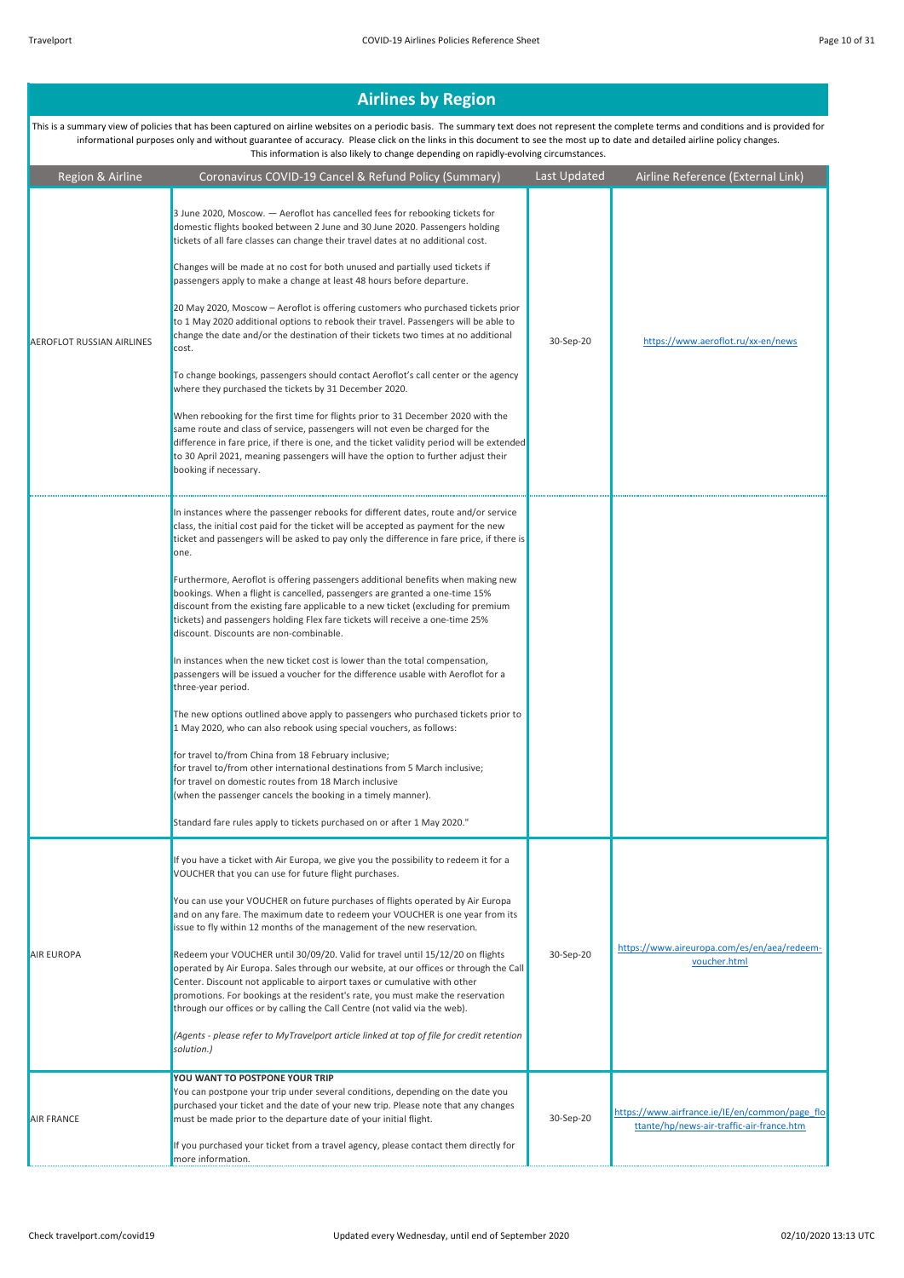| Region & Airline                 | Coronavirus COVID-19 Cancel & Refund Policy (Summary)                                                                                                                                                                                                                                                                                                                                                                                                                                                                                                                                                                                                                                                                                                                                                                                                                                                                                                                                                                                                                                                                                                                                                                                                                                                                                                               | Last Updated | Airline Reference (External Link)                                                           |
|----------------------------------|---------------------------------------------------------------------------------------------------------------------------------------------------------------------------------------------------------------------------------------------------------------------------------------------------------------------------------------------------------------------------------------------------------------------------------------------------------------------------------------------------------------------------------------------------------------------------------------------------------------------------------------------------------------------------------------------------------------------------------------------------------------------------------------------------------------------------------------------------------------------------------------------------------------------------------------------------------------------------------------------------------------------------------------------------------------------------------------------------------------------------------------------------------------------------------------------------------------------------------------------------------------------------------------------------------------------------------------------------------------------|--------------|---------------------------------------------------------------------------------------------|
| <b>AEROFLOT RUSSIAN AIRLINES</b> | 3 June 2020, Moscow. - Aeroflot has cancelled fees for rebooking tickets for<br>domestic flights booked between 2 June and 30 June 2020. Passengers holding<br>tickets of all fare classes can change their travel dates at no additional cost.<br>Changes will be made at no cost for both unused and partially used tickets if<br>passengers apply to make a change at least 48 hours before departure.<br>20 May 2020, Moscow - Aeroflot is offering customers who purchased tickets prior<br>to 1 May 2020 additional options to rebook their travel. Passengers will be able to<br>change the date and/or the destination of their tickets two times at no additional<br>cost.<br>To change bookings, passengers should contact Aeroflot's call center or the agency<br>where they purchased the tickets by 31 December 2020.<br>When rebooking for the first time for flights prior to 31 December 2020 with the<br>same route and class of service, passengers will not even be charged for the<br>difference in fare price, if there is one, and the ticket validity period will be extended<br>to 30 April 2021, meaning passengers will have the option to further adjust their<br>booking if necessary.                                                                                                                                                  | 30-Sep-20    | https://www.aeroflot.ru/xx-en/news                                                          |
|                                  | In instances where the passenger rebooks for different dates, route and/or service<br>class, the initial cost paid for the ticket will be accepted as payment for the new<br>ticket and passengers will be asked to pay only the difference in fare price, if there is<br>one.<br>Furthermore, Aeroflot is offering passengers additional benefits when making new<br>bookings. When a flight is cancelled, passengers are granted a one-time 15%<br>discount from the existing fare applicable to a new ticket (excluding for premium<br>tickets) and passengers holding Flex fare tickets will receive a one-time 25%<br>discount. Discounts are non-combinable.<br>In instances when the new ticket cost is lower than the total compensation,<br>passengers will be issued a voucher for the difference usable with Aeroflot for a<br>three-year period.<br>The new options outlined above apply to passengers who purchased tickets prior to<br>1 May 2020, who can also rebook using special vouchers, as follows:<br>for travel to/from China from 18 February inclusive;<br>for travel to/from other international destinations from 5 March inclusive;<br>for travel on domestic routes from 18 March inclusive<br>(when the passenger cancels the booking in a timely manner).<br>Standard fare rules apply to tickets purchased on or after 1 May 2020." |              |                                                                                             |
| <b>AIR EUROPA</b>                | If you have a ticket with Air Europa, we give you the possibility to redeem it for a<br>VOUCHER that you can use for future flight purchases.<br>You can use your VOUCHER on future purchases of flights operated by Air Europa<br>and on any fare. The maximum date to redeem your VOUCHER is one year from its<br>issue to fly within 12 months of the management of the new reservation.<br>Redeem your VOUCHER until 30/09/20. Valid for travel until 15/12/20 on flights<br>operated by Air Europa. Sales through our website, at our offices or through the Call<br>Center. Discount not applicable to airport taxes or cumulative with other<br>promotions. For bookings at the resident's rate, you must make the reservation<br>through our offices or by calling the Call Centre (not valid via the web).<br>(Agents - please refer to MyTravelport article linked at top of file for credit retention<br>solution.)                                                                                                                                                                                                                                                                                                                                                                                                                                      | 30-Sep-20    | https://www.aireuropa.com/es/en/aea/redeem-<br>voucher.html                                 |
| <b>AIR FRANCE</b>                | YOU WANT TO POSTPONE YOUR TRIP<br>You can postpone your trip under several conditions, depending on the date you<br>purchased your ticket and the date of your new trip. Please note that any changes<br>must be made prior to the departure date of your initial flight.<br>If you purchased your ticket from a travel agency, please contact them directly for<br>more information.                                                                                                                                                                                                                                                                                                                                                                                                                                                                                                                                                                                                                                                                                                                                                                                                                                                                                                                                                                               | 30-Sep-20    | https://www.airfrance.ie/IE/en/common/page flo<br>ttante/hp/news-air-traffic-air-france.htm |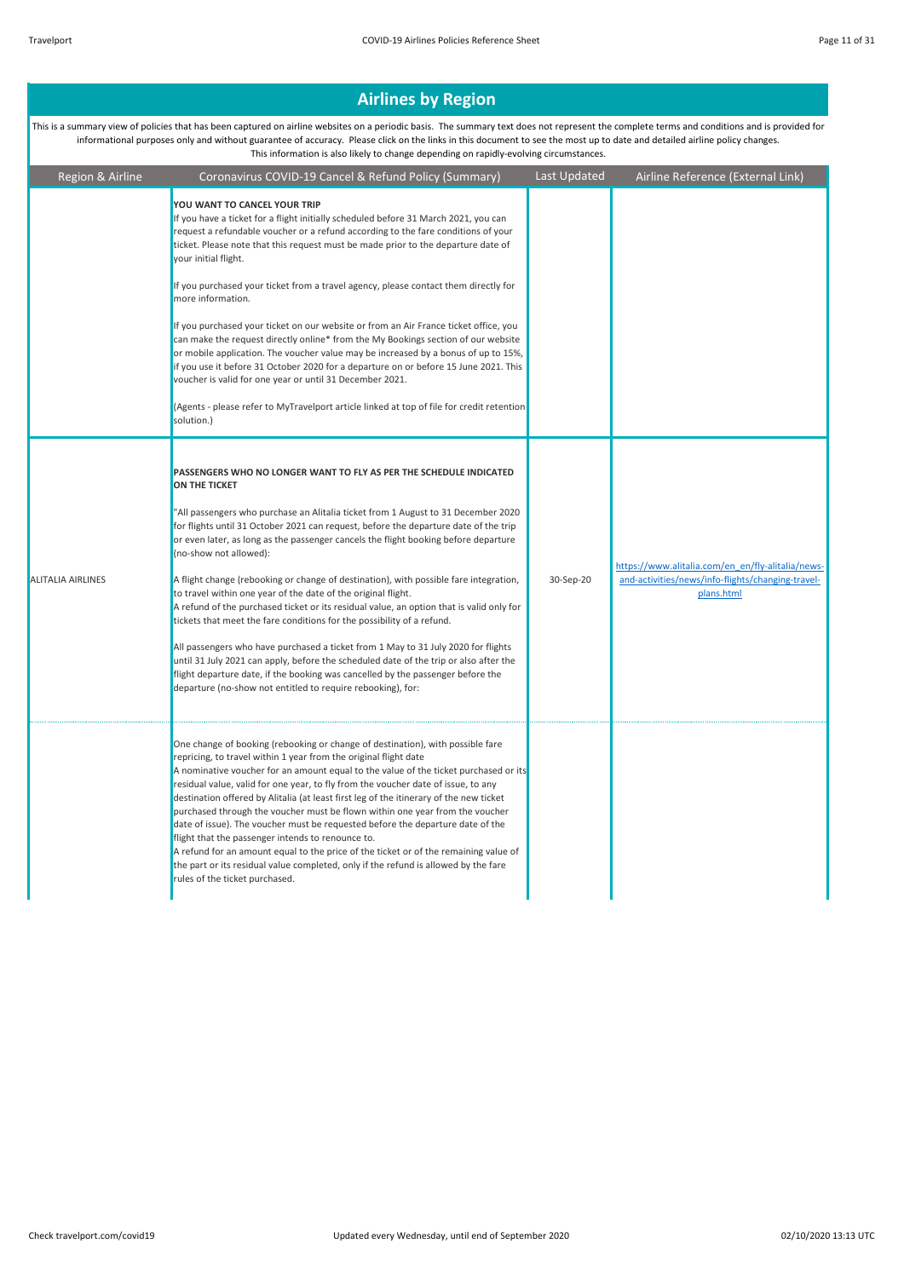| Region & Airline         | Coronavirus COVID-19 Cancel & Refund Policy (Summary)                                                                                                                                                                                                                                                                                                                                                                                                                                                                                                                                                                                                                                                                                                                                                                                                                                                                                                                                                                                             | Last Updated | Airline Reference (External Link)                                                                                    |
|--------------------------|---------------------------------------------------------------------------------------------------------------------------------------------------------------------------------------------------------------------------------------------------------------------------------------------------------------------------------------------------------------------------------------------------------------------------------------------------------------------------------------------------------------------------------------------------------------------------------------------------------------------------------------------------------------------------------------------------------------------------------------------------------------------------------------------------------------------------------------------------------------------------------------------------------------------------------------------------------------------------------------------------------------------------------------------------|--------------|----------------------------------------------------------------------------------------------------------------------|
|                          | YOU WANT TO CANCEL YOUR TRIP<br>If you have a ticket for a flight initially scheduled before 31 March 2021, you can<br>request a refundable voucher or a refund according to the fare conditions of your<br>ticket. Please note that this request must be made prior to the departure date of<br>your initial flight.<br>If you purchased your ticket from a travel agency, please contact them directly for<br>more information.<br>If you purchased your ticket on our website or from an Air France ticket office, you<br>can make the request directly online* from the My Bookings section of our website                                                                                                                                                                                                                                                                                                                                                                                                                                    |              |                                                                                                                      |
|                          | or mobile application. The voucher value may be increased by a bonus of up to 15%,<br>if you use it before 31 October 2020 for a departure on or before 15 June 2021. This<br>voucher is valid for one year or until 31 December 2021.<br>(Agents - please refer to MyTravelport article linked at top of file for credit retention<br>solution.)                                                                                                                                                                                                                                                                                                                                                                                                                                                                                                                                                                                                                                                                                                 |              |                                                                                                                      |
| <b>ALITALIA AIRLINES</b> | PASSENGERS WHO NO LONGER WANT TO FLY AS PER THE SCHEDULE INDICATED<br>ON THE TICKET<br>"All passengers who purchase an Alitalia ticket from 1 August to 31 December 2020<br>for flights until 31 October 2021 can request, before the departure date of the trip<br>or even later, as long as the passenger cancels the flight booking before departure<br>(no-show not allowed):<br>A flight change (rebooking or change of destination), with possible fare integration,<br>to travel within one year of the date of the original flight.<br>A refund of the purchased ticket or its residual value, an option that is valid only for<br>tickets that meet the fare conditions for the possibility of a refund.<br>All passengers who have purchased a ticket from 1 May to 31 July 2020 for flights<br>until 31 July 2021 can apply, before the scheduled date of the trip or also after the<br>flight departure date, if the booking was cancelled by the passenger before the<br>departure (no-show not entitled to require rebooking), for: | 30-Sep-20    | https://www.alitalia.com/en_en/fly-alitalia/news-<br>and-activities/news/info-flights/changing-travel-<br>plans.html |
|                          | One change of booking (rebooking or change of destination), with possible fare<br>repricing, to travel within 1 year from the original flight date<br>A nominative voucher for an amount equal to the value of the ticket purchased or its<br>residual value, valid for one year, to fly from the voucher date of issue, to any<br>destination offered by Alitalia (at least first leg of the itinerary of the new ticket<br>purchased through the voucher must be flown within one year from the voucher<br>date of issue). The voucher must be requested before the departure date of the<br>flight that the passenger intends to renounce to.<br>A refund for an amount equal to the price of the ticket or of the remaining value of<br>the part or its residual value completed, only if the refund is allowed by the fare<br>rules of the ticket purchased.                                                                                                                                                                                 |              |                                                                                                                      |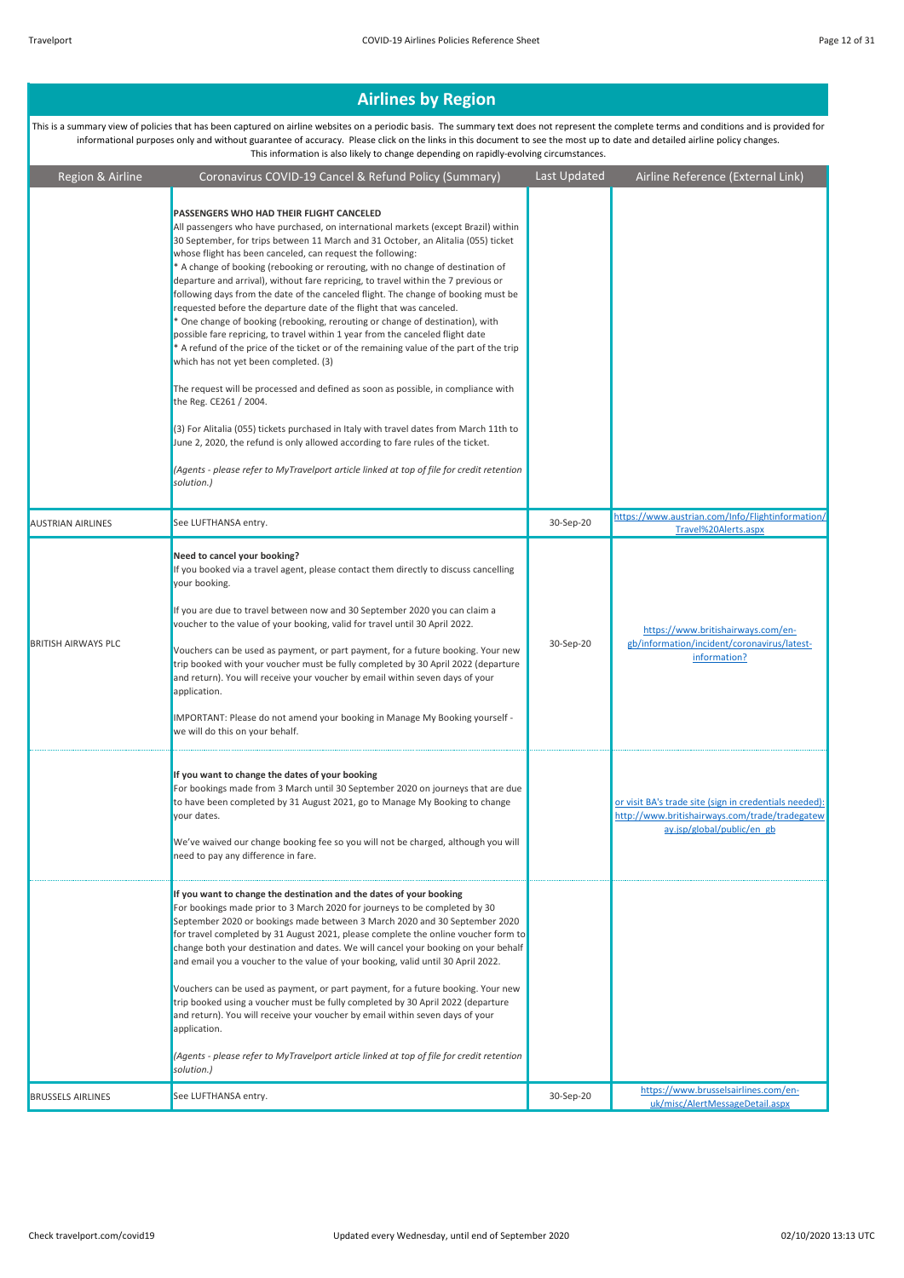| Region & Airline           | Coronavirus COVID-19 Cancel & Refund Policy (Summary)                                                                                                                                                                                                                                                                                                                                                                                                                                                                                                                                                                                                                                                                                                                                                                                                                                                                                                                                                                                                                                                                                                                                                                                                                                                                                  | Last Updated | Airline Reference (External Link)                                                                                                      |
|----------------------------|----------------------------------------------------------------------------------------------------------------------------------------------------------------------------------------------------------------------------------------------------------------------------------------------------------------------------------------------------------------------------------------------------------------------------------------------------------------------------------------------------------------------------------------------------------------------------------------------------------------------------------------------------------------------------------------------------------------------------------------------------------------------------------------------------------------------------------------------------------------------------------------------------------------------------------------------------------------------------------------------------------------------------------------------------------------------------------------------------------------------------------------------------------------------------------------------------------------------------------------------------------------------------------------------------------------------------------------|--------------|----------------------------------------------------------------------------------------------------------------------------------------|
|                            | PASSENGERS WHO HAD THEIR FLIGHT CANCELED<br>All passengers who have purchased, on international markets (except Brazil) within<br>30 September, for trips between 11 March and 31 October, an Alitalia (055) ticket<br>whose flight has been canceled, can request the following:<br>* A change of booking (rebooking or rerouting, with no change of destination of<br>departure and arrival), without fare repricing, to travel within the 7 previous or<br>following days from the date of the canceled flight. The change of booking must be<br>requested before the departure date of the flight that was canceled.<br>* One change of booking (rebooking, rerouting or change of destination), with<br>possible fare repricing, to travel within 1 year from the canceled flight date<br>* A refund of the price of the ticket or of the remaining value of the part of the trip<br>which has not yet been completed. (3)<br>The request will be processed and defined as soon as possible, in compliance with<br>the Reg. CE261 / 2004.<br>(3) For Alitalia (055) tickets purchased in Italy with travel dates from March 11th to<br>June 2, 2020, the refund is only allowed according to fare rules of the ticket.<br>(Agents - please refer to MyTravelport article linked at top of file for credit retention<br>solution.) |              |                                                                                                                                        |
| <b>AUSTRIAN AIRLINES</b>   | See LUFTHANSA entry.                                                                                                                                                                                                                                                                                                                                                                                                                                                                                                                                                                                                                                                                                                                                                                                                                                                                                                                                                                                                                                                                                                                                                                                                                                                                                                                   | 30-Sep-20    | https://www.austrian.com/Info/Flightinformation/<br>Travel%20Alerts.aspx                                                               |
| <b>BRITISH AIRWAYS PLC</b> | Need to cancel your booking?<br>If you booked via a travel agent, please contact them directly to discuss cancelling<br>your booking.<br>If you are due to travel between now and 30 September 2020 you can claim a<br>voucher to the value of your booking, valid for travel until 30 April 2022.<br>Vouchers can be used as payment, or part payment, for a future booking. Your new<br>trip booked with your voucher must be fully completed by 30 April 2022 (departure<br>and return). You will receive your voucher by email within seven days of your<br>application.<br>IMPORTANT: Please do not amend your booking in Manage My Booking yourself -<br>we will do this on your behalf.                                                                                                                                                                                                                                                                                                                                                                                                                                                                                                                                                                                                                                         | 30-Sep-20    | https://www.britishairways.com/en-<br>gb/information/incident/coronavirus/latest-<br>information?                                      |
|                            | If you want to change the dates of your booking<br>For bookings made from 3 March until 30 September 2020 on journeys that are due<br>to have been completed by 31 August 2021, go to Manage My Booking to change<br>your dates.<br>We've waived our change booking fee so you will not be charged, although you will<br>need to pay any difference in fare.                                                                                                                                                                                                                                                                                                                                                                                                                                                                                                                                                                                                                                                                                                                                                                                                                                                                                                                                                                           |              | or visit BA's trade site (sign in credentials needed):<br>http://www.britishairways.com/trade/tradegatew<br>ay.jsp/global/public/en gb |
|                            | If you want to change the destination and the dates of your booking<br>For bookings made prior to 3 March 2020 for journeys to be completed by 30<br>September 2020 or bookings made between 3 March 2020 and 30 September 2020<br>for travel completed by 31 August 2021, please complete the online voucher form to<br>change both your destination and dates. We will cancel your booking on your behalf<br>and email you a voucher to the value of your booking, valid until 30 April 2022.<br>Vouchers can be used as payment, or part payment, for a future booking. Your new<br>trip booked using a voucher must be fully completed by 30 April 2022 (departure<br>and return). You will receive your voucher by email within seven days of your<br>application.<br>(Agents - please refer to MyTravelport article linked at top of file for credit retention<br>solution.)                                                                                                                                                                                                                                                                                                                                                                                                                                                     |              |                                                                                                                                        |
| <b>BRUSSELS AIRLINES</b>   | See LUFTHANSA entry.                                                                                                                                                                                                                                                                                                                                                                                                                                                                                                                                                                                                                                                                                                                                                                                                                                                                                                                                                                                                                                                                                                                                                                                                                                                                                                                   | 30-Sep-20    | https://www.brusselsairlines.com/en-<br>uk/misc/AlertMessageDetail.aspx                                                                |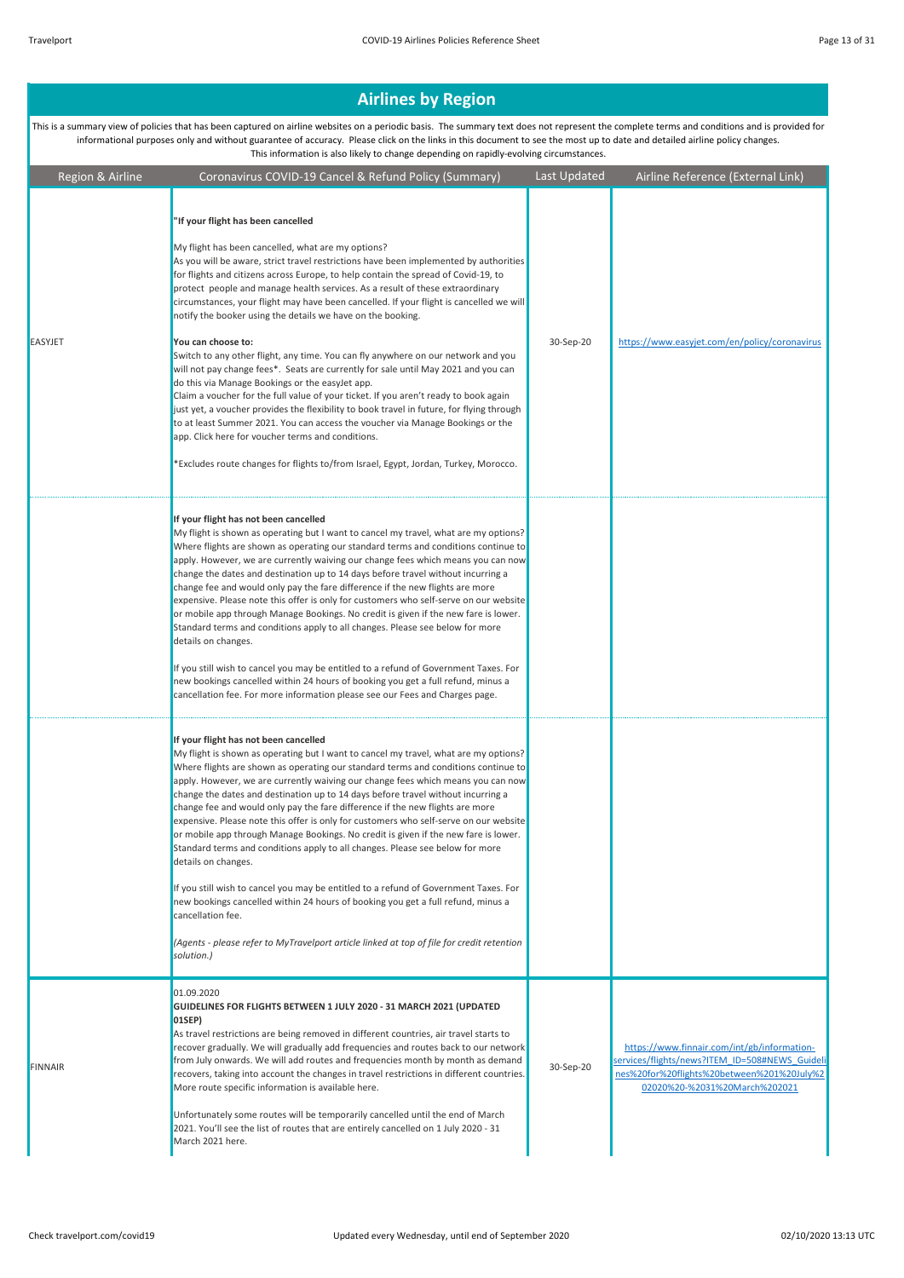#### Region & Airline Coronavirus COVID-19 Cancel & Refund Policy (Summary) Last Updated Airline Reference (External Link) **Airlines by Region**  This is a summary view of policies that has been captured on airline websites on a periodic basis. The summary text does not represent the complete terms and conditions and is provided for informational purposes only and without guarantee of accuracy. Please click on the links in this document to see the most up to date and detailed airline policy changes. This information is also likely to change depending on rapidly-evolving circumstances. EASYJET **"If your flight has been cancelled** My flight has been cancelled, what are my options? As you will be aware, strict travel restrictions have been implemented by authorities for flights and citizens across Europe, to help contain the spread of Covid-19, to protect people and manage health services. As a result of these extraordinary circumstances, your flight may have been cancelled. If your flight is cancelled we will notify the booker using the details we have on the booking. **You can choose to:** Switch to any other flight, any time. You can fly anywhere on our network and you will not pay change fees\*. Seats are currently for sale until May 2021 and you can do this via Manage Bookings or the easyJet app. Claim a voucher for the full value of your ticket. If you aren't ready to book again just yet, a voucher provides the flexibility to book travel in future, for flying through to at least Summer 2021. You can access the voucher via Manage Bookings or the app. Click here for voucher terms and conditions. \*Excludes route changes for flights to/from Israel, Egypt, Jordan, Turkey, Morocco. 30-Sep-20 https://www.easyjet.com/en/policy/coronavirus **If your flight has not been cancelled** My flight is shown as operating but I want to cancel my travel, what are my options? Where flights are shown as operating our standard terms and conditions continue to apply. However, we are currently waiving our change fees which means you can no change the dates and destination up to 14 days before travel without incurring a change fee and would only pay the fare difference if the new flights are more expensive. Please note this offer is only for customers who self-serve on our website or mobile app through Manage Bookings. No credit is given if the new fare is lower. Standard terms and conditions apply to all changes. Please see below for more details on changes. If you still wish to cancel you may be entitled to a refund of Government Taxes. For new bookings cancelled within 24 hours of booking you get a full refund, minus a cancellation fee. For more information please see our Fees and Charges page. **If your flight has not been cancelled** My flight is shown as operating but I want to cancel my travel, what are my options? Where flights are shown as operating our standard terms and conditions continue to apply. However, we are currently waiving our change fees which means you can no change the dates and destination up to 14 days before travel without incurring a change fee and would only pay the fare difference if the new flights are more expensive. Please note this offer is only for customers who self-serve on our website or mobile app through Manage Bookings. No credit is given if the new fare is lowe Standard terms and conditions apply to all changes. Please see below for more details on changes. If you still wish to cancel you may be entitled to a refund of Government Taxes. For new bookings cancelled within 24 hours of booking you get a full refund, minus a cancellation fee. *(Agents - please refer to MyTravelport article linked at top of file for credit retention solution.)* FINNAIR 01.09.2020 **GUIDELINES FOR FLIGHTS BETWEEN 1 JULY 2020 - 31 MARCH 2021 (UPDATED 01SEP)** As travel restrictions are being removed in different countries, air travel starts to recover gradually. We will gradually add frequencies and routes back to our networl from July onwards. We will add routes and frequencies month by month as demand recovers, taking into account the changes in travel restrictions in different countries. More route specific information is available here. Unfortunately some routes will be temporarily cancelled until the end of March 2021. You'll see the list of routes that are entirely cancelled on 1 July 2020 - 31 March 2021 here. 30-Sep-20 https://www.finnair.com/int/gb/informationservices/flights/news?ITEM\_ID=508#NEWS\_Guideli nes%20for%20flights%20between%201%20July%2 02020%20-%2031%20March%202021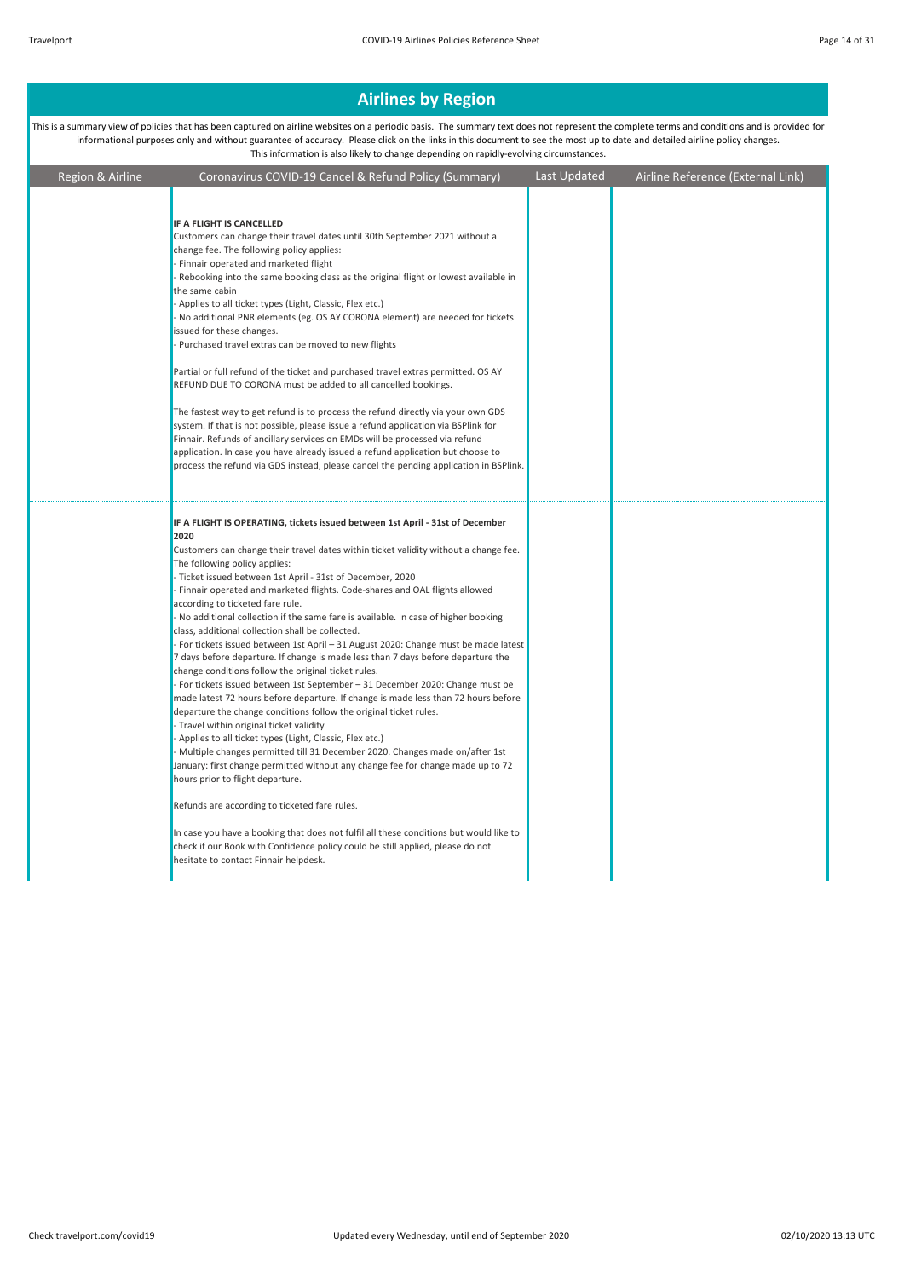| Region & Airline | Coronavirus COVID-19 Cancel & Refund Policy (Summary)                                                                                                                                                                                                                                                                                                                                                                                                                                                                                                                                                                                                                                                                                                                                                                                                                                                                                                                                                                                                                                                                                                                                                                                                                                                                                                                                                                                                                                                                                                                                                            | Last Updated | Airline Reference (External Link) |
|------------------|------------------------------------------------------------------------------------------------------------------------------------------------------------------------------------------------------------------------------------------------------------------------------------------------------------------------------------------------------------------------------------------------------------------------------------------------------------------------------------------------------------------------------------------------------------------------------------------------------------------------------------------------------------------------------------------------------------------------------------------------------------------------------------------------------------------------------------------------------------------------------------------------------------------------------------------------------------------------------------------------------------------------------------------------------------------------------------------------------------------------------------------------------------------------------------------------------------------------------------------------------------------------------------------------------------------------------------------------------------------------------------------------------------------------------------------------------------------------------------------------------------------------------------------------------------------------------------------------------------------|--------------|-----------------------------------|
|                  | IF A FLIGHT IS CANCELLED<br>Customers can change their travel dates until 30th September 2021 without a<br>change fee. The following policy applies:<br>- Finnair operated and marketed flight<br>- Rebooking into the same booking class as the original flight or lowest available in<br>the same cabin<br>- Applies to all ticket types (Light, Classic, Flex etc.)<br>- No additional PNR elements (eg. OS AY CORONA element) are needed for tickets<br>issued for these changes.<br>- Purchased travel extras can be moved to new flights<br>Partial or full refund of the ticket and purchased travel extras permitted. OS AY<br>REFUND DUE TO CORONA must be added to all cancelled bookings.<br>The fastest way to get refund is to process the refund directly via your own GDS<br>system. If that is not possible, please issue a refund application via BSPlink for<br>Finnair. Refunds of ancillary services on EMDs will be processed via refund<br>application. In case you have already issued a refund application but choose to<br>process the refund via GDS instead, please cancel the pending application in BSPlink.                                                                                                                                                                                                                                                                                                                                                                                                                                                                        |              |                                   |
|                  | IF A FLIGHT IS OPERATING, tickets issued between 1st April - 31st of December<br>2020<br>Customers can change their travel dates within ticket validity without a change fee.<br>The following policy applies:<br>- Ticket issued between 1st April - 31st of December, 2020<br>- Finnair operated and marketed flights. Code-shares and OAL flights allowed<br>according to ticketed fare rule.<br>- No additional collection if the same fare is available. In case of higher booking<br>class, additional collection shall be collected.<br>- For tickets issued between 1st April - 31 August 2020: Change must be made latest<br>7 days before departure. If change is made less than 7 days before departure the<br>change conditions follow the original ticket rules.<br>- For tickets issued between 1st September - 31 December 2020: Change must be<br>made latest 72 hours before departure. If change is made less than 72 hours before<br>departure the change conditions follow the original ticket rules.<br>- Travel within original ticket validity<br>- Applies to all ticket types (Light, Classic, Flex etc.)<br>- Multiple changes permitted till 31 December 2020. Changes made on/after 1st<br>January: first change permitted without any change fee for change made up to 72<br>hours prior to flight departure.<br>Refunds are according to ticketed fare rules.<br>In case you have a booking that does not fulfil all these conditions but would like to<br>check if our Book with Confidence policy could be still applied, please do not<br>hesitate to contact Finnair helpdesk. |              |                                   |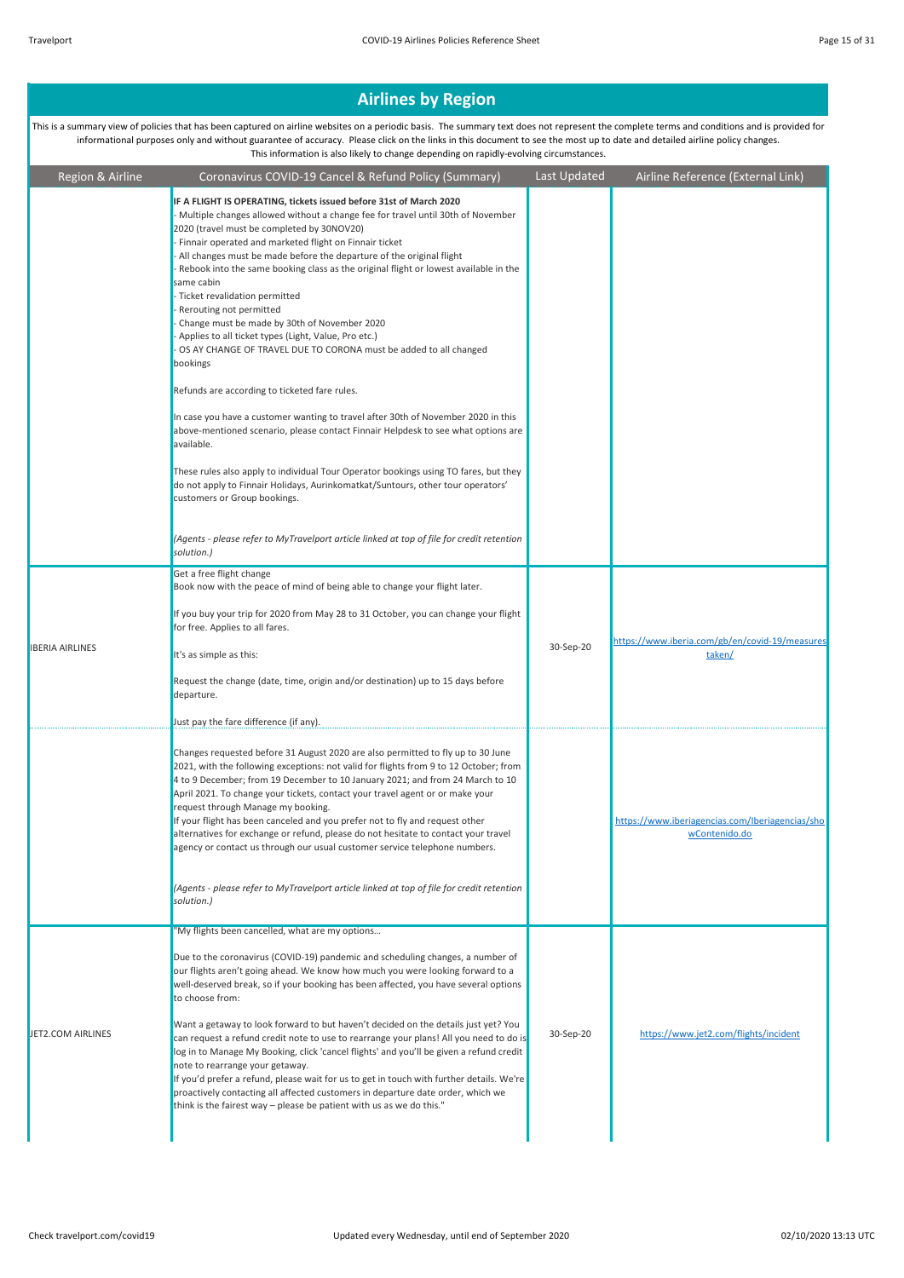| Region & Airline       | Coronavirus COVID-19 Cancel & Refund Policy (Summary)                                                                                                                                                                                                                                                                                                                                                                                                                                                                                                                                                                                                                                                                                                                                                                                                                                                                                         | Last Updated | Airline Reference (External Link)                                |
|------------------------|-----------------------------------------------------------------------------------------------------------------------------------------------------------------------------------------------------------------------------------------------------------------------------------------------------------------------------------------------------------------------------------------------------------------------------------------------------------------------------------------------------------------------------------------------------------------------------------------------------------------------------------------------------------------------------------------------------------------------------------------------------------------------------------------------------------------------------------------------------------------------------------------------------------------------------------------------|--------------|------------------------------------------------------------------|
|                        | IF A FLIGHT IS OPERATING, tickets issued before 31st of March 2020<br>- Multiple changes allowed without a change fee for travel until 30th of November<br>2020 (travel must be completed by 30NOV20)<br>- Finnair operated and marketed flight on Finnair ticket<br>- All changes must be made before the departure of the original flight<br>- Rebook into the same booking class as the original flight or lowest available in the<br>same cabin<br>- Ticket revalidation permitted<br>- Rerouting not permitted<br>- Change must be made by 30th of November 2020<br>- Applies to all ticket types (Light, Value, Pro etc.)<br>- OS AY CHANGE OF TRAVEL DUE TO CORONA must be added to all changed<br>bookings<br>Refunds are according to ticketed fare rules.<br>In case you have a customer wanting to travel after 30th of November 2020 in this<br>above-mentioned scenario, please contact Finnair Helpdesk to see what options are |              |                                                                  |
|                        | available.<br>These rules also apply to individual Tour Operator bookings using TO fares, but they<br>do not apply to Finnair Holidays, Aurinkomatkat/Suntours, other tour operators'<br>customers or Group bookings.<br>(Agents - please refer to MyTravelport article linked at top of file for credit retention<br>solution.)                                                                                                                                                                                                                                                                                                                                                                                                                                                                                                                                                                                                              |              |                                                                  |
|                        | Get a free flight change                                                                                                                                                                                                                                                                                                                                                                                                                                                                                                                                                                                                                                                                                                                                                                                                                                                                                                                      |              |                                                                  |
| <b>IBERIA AIRLINES</b> | Book now with the peace of mind of being able to change your flight later.<br>If you buy your trip for 2020 from May 28 to 31 October, you can change your flight<br>for free. Applies to all fares.<br>It's as simple as this:<br>Request the change (date, time, origin and/or destination) up to 15 days before<br>departure.                                                                                                                                                                                                                                                                                                                                                                                                                                                                                                                                                                                                              | 30-Sep-20    | https://www.iberia.com/gb/en/covid-19/measures<br>taken/         |
|                        | Just pay the fare difference (if any).                                                                                                                                                                                                                                                                                                                                                                                                                                                                                                                                                                                                                                                                                                                                                                                                                                                                                                        |              |                                                                  |
|                        | Changes requested before 31 August 2020 are also permitted to fly up to 30 June<br>2021, with the following exceptions: not valid for flights from 9 to 12 October; from<br>4 to 9 December; from 19 December to 10 January 2021; and from 24 March to 10<br>April 2021. To change your tickets, contact your travel agent or or make your<br>request through Manage my booking.<br>If your flight has been canceled and you prefer not to fly and request other<br>alternatives for exchange or refund, please do not hesitate to contact your travel<br>agency or contact us through our usual customer service telephone numbers.<br>(Agents - please refer to MyTravelport article linked at top of file for credit retention                                                                                                                                                                                                             |              | https://www.iberiagencias.com/Iberiagencias/sho<br>wContenido.do |
|                        | solution.)                                                                                                                                                                                                                                                                                                                                                                                                                                                                                                                                                                                                                                                                                                                                                                                                                                                                                                                                    |              |                                                                  |
|                        | "My flights been cancelled, what are my options                                                                                                                                                                                                                                                                                                                                                                                                                                                                                                                                                                                                                                                                                                                                                                                                                                                                                               |              |                                                                  |
| JET2.COM AIRLINES      | Due to the coronavirus (COVID-19) pandemic and scheduling changes, a number of<br>our flights aren't going ahead. We know how much you were looking forward to a<br>well-deserved break, so if your booking has been affected, you have several options<br>to choose from:<br>Want a getaway to look forward to but haven't decided on the details just yet? You<br>can request a refund credit note to use to rearrange your plans! All you need to do is<br>log in to Manage My Booking, click 'cancel flights' and you'll be given a refund credit<br>note to rearrange your getaway.<br>If you'd prefer a refund, please wait for us to get in touch with further details. We're<br>proactively contacting all affected customers in departure date order, which we<br>think is the fairest way - please be patient with us as we do this."                                                                                               | 30-Sep-20    | https://www.jet2.com/flights/incident                            |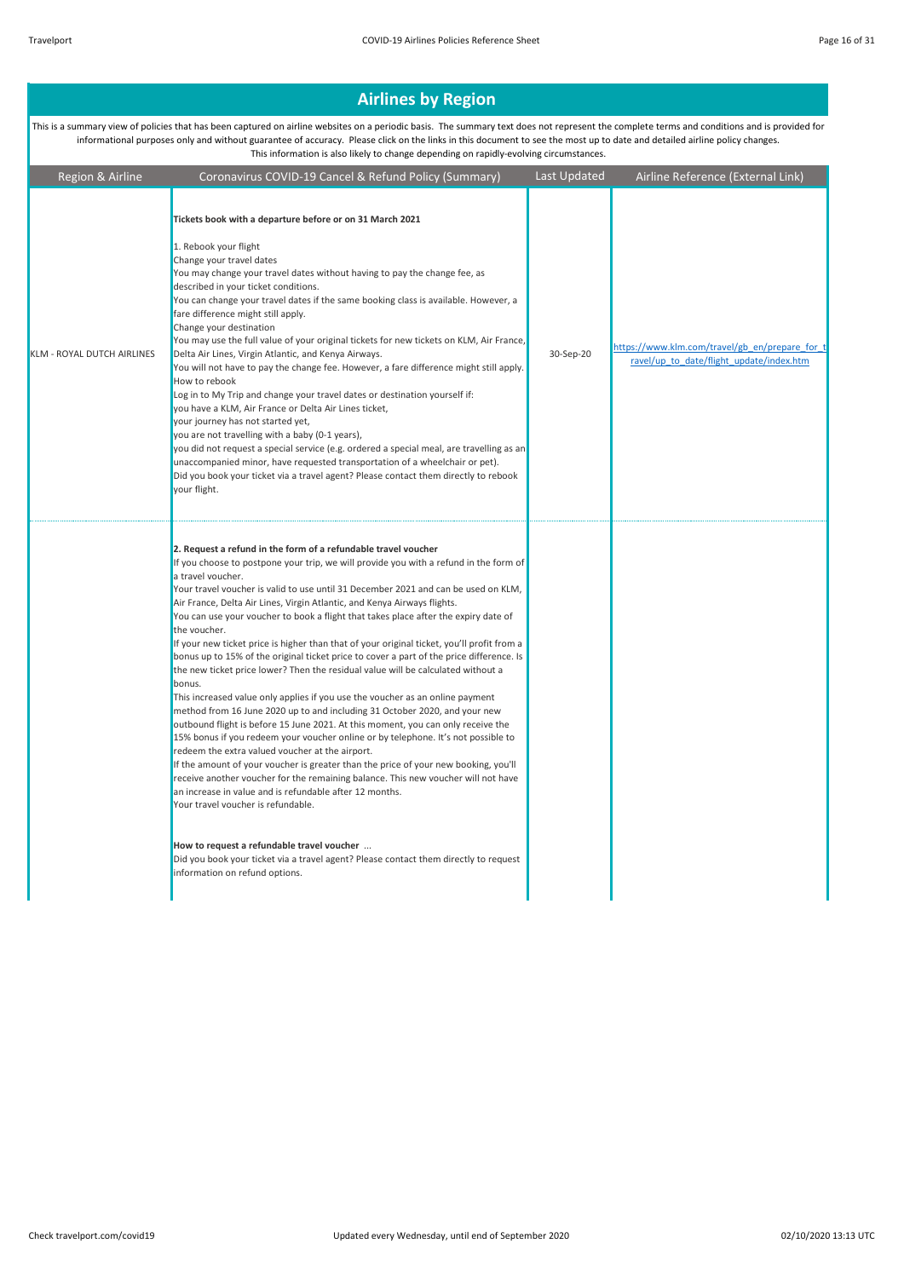| Region & Airline           | Coronavirus COVID-19 Cancel & Refund Policy (Summary)                                                                                                                                                                                                                                                                                                                                                                                                                                                                                                                                                                                                                                                                                                                                                                                                                                                                                                                                                                                                                                                                                                                                                                                                                                                                                                                                                                                                                                                                                                                                         | Last Updated | Airline Reference (External Link)                                                          |
|----------------------------|-----------------------------------------------------------------------------------------------------------------------------------------------------------------------------------------------------------------------------------------------------------------------------------------------------------------------------------------------------------------------------------------------------------------------------------------------------------------------------------------------------------------------------------------------------------------------------------------------------------------------------------------------------------------------------------------------------------------------------------------------------------------------------------------------------------------------------------------------------------------------------------------------------------------------------------------------------------------------------------------------------------------------------------------------------------------------------------------------------------------------------------------------------------------------------------------------------------------------------------------------------------------------------------------------------------------------------------------------------------------------------------------------------------------------------------------------------------------------------------------------------------------------------------------------------------------------------------------------|--------------|--------------------------------------------------------------------------------------------|
| KLM - ROYAL DUTCH AIRLINES | Tickets book with a departure before or on 31 March 2021<br>1. Rebook your flight<br>Change your travel dates<br>You may change your travel dates without having to pay the change fee, as<br>described in your ticket conditions.<br>You can change your travel dates if the same booking class is available. However, a<br>fare difference might still apply.<br>Change your destination<br>You may use the full value of your original tickets for new tickets on KLM, Air France,<br>Delta Air Lines, Virgin Atlantic, and Kenya Airways.<br>You will not have to pay the change fee. However, a fare difference might still apply.<br>How to rebook<br>Log in to My Trip and change your travel dates or destination yourself if:<br>you have a KLM, Air France or Delta Air Lines ticket,<br>your journey has not started yet,<br>you are not travelling with a baby (0-1 years),<br>you did not request a special service (e.g. ordered a special meal, are travelling as an<br>unaccompanied minor, have requested transportation of a wheelchair or pet).<br>Did you book your ticket via a travel agent? Please contact them directly to rebook<br>your flight.                                                                                                                                                                                                                                                                                                                                                                                                                     | 30-Sep-20    | https://www.klm.com/travel/gb en/prepare for t<br>ravel/up to date/flight update/index.htm |
|                            | 2. Request a refund in the form of a refundable travel voucher<br>If you choose to postpone your trip, we will provide you with a refund in the form of<br>a travel voucher.<br>Your travel voucher is valid to use until 31 December 2021 and can be used on KLM,<br>Air France, Delta Air Lines, Virgin Atlantic, and Kenya Airways flights.<br>You can use your voucher to book a flight that takes place after the expiry date of<br>the voucher.<br>If your new ticket price is higher than that of your original ticket, you'll profit from a<br>bonus up to 15% of the original ticket price to cover a part of the price difference. Is<br>the new ticket price lower? Then the residual value will be calculated without a<br>bonus.<br>This increased value only applies if you use the voucher as an online payment<br>method from 16 June 2020 up to and including 31 October 2020, and your new<br>outbound flight is before 15 June 2021. At this moment, you can only receive the<br>15% bonus if you redeem your voucher online or by telephone. It's not possible to<br>redeem the extra valued voucher at the airport.<br>If the amount of your voucher is greater than the price of your new booking, you'll<br>receive another voucher for the remaining balance. This new voucher will not have<br>an increase in value and is refundable after 12 months.<br>Your travel voucher is refundable.<br>How to request a refundable travel voucher<br>Did you book your ticket via a travel agent? Please contact them directly to request<br>information on refund options. |              |                                                                                            |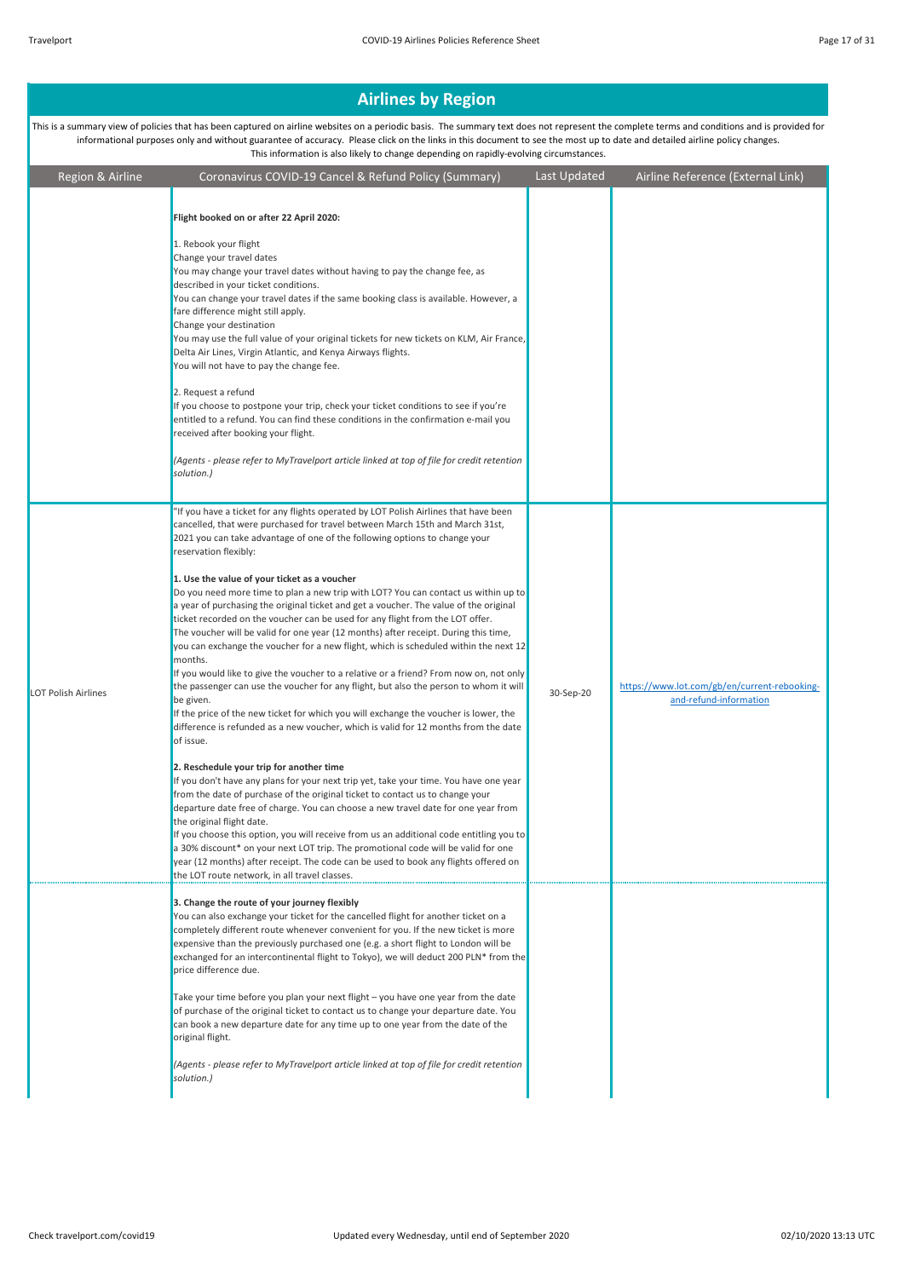| Region & Airline    | Coronavirus COVID-19 Cancel & Refund Policy (Summary)                                                                                                                                                                                                                                                                                                                                                                                                                                                                                                                                                                                                                                                                                                                                                                                                                                                                                                                                                                                                                                                                                                                                                                                                                                                                                                                                                                                                                                                                                                                                                                                                                                                                                                                                                                                             | Last Updated | Airline Reference (External Link)                                      |
|---------------------|---------------------------------------------------------------------------------------------------------------------------------------------------------------------------------------------------------------------------------------------------------------------------------------------------------------------------------------------------------------------------------------------------------------------------------------------------------------------------------------------------------------------------------------------------------------------------------------------------------------------------------------------------------------------------------------------------------------------------------------------------------------------------------------------------------------------------------------------------------------------------------------------------------------------------------------------------------------------------------------------------------------------------------------------------------------------------------------------------------------------------------------------------------------------------------------------------------------------------------------------------------------------------------------------------------------------------------------------------------------------------------------------------------------------------------------------------------------------------------------------------------------------------------------------------------------------------------------------------------------------------------------------------------------------------------------------------------------------------------------------------------------------------------------------------------------------------------------------------|--------------|------------------------------------------------------------------------|
|                     | Flight booked on or after 22 April 2020:<br>1. Rebook your flight<br>Change your travel dates<br>You may change your travel dates without having to pay the change fee, as<br>described in your ticket conditions.<br>You can change your travel dates if the same booking class is available. However, a<br>fare difference might still apply.<br>Change your destination<br>You may use the full value of your original tickets for new tickets on KLM, Air France,<br>Delta Air Lines, Virgin Atlantic, and Kenya Airways flights.<br>You will not have to pay the change fee.<br>2. Request a refund<br>If you choose to postpone your trip, check your ticket conditions to see if you're<br>entitled to a refund. You can find these conditions in the confirmation e-mail you<br>received after booking your flight.<br>(Agents - please refer to MyTravelport article linked at top of file for credit retention<br>solution.)                                                                                                                                                                                                                                                                                                                                                                                                                                                                                                                                                                                                                                                                                                                                                                                                                                                                                                            |              |                                                                        |
| LOT Polish Airlines | "If you have a ticket for any flights operated by LOT Polish Airlines that have been<br>cancelled, that were purchased for travel between March 15th and March 31st,<br>2021 you can take advantage of one of the following options to change your<br>reservation flexibly:<br>1. Use the value of your ticket as a voucher<br>Do you need more time to plan a new trip with LOT? You can contact us within up to<br>a year of purchasing the original ticket and get a voucher. The value of the original<br>ticket recorded on the voucher can be used for any flight from the LOT offer.<br>The voucher will be valid for one year (12 months) after receipt. During this time,<br>you can exchange the voucher for a new flight, which is scheduled within the next 12<br>months.<br>If you would like to give the voucher to a relative or a friend? From now on, not only<br>the passenger can use the voucher for any flight, but also the person to whom it will<br>be given.<br>If the price of the new ticket for which you will exchange the voucher is lower, the<br>difference is refunded as a new voucher, which is valid for 12 months from the date<br>of issue.<br>2. Reschedule your trip for another time<br>If you don't have any plans for your next trip yet, take your time. You have one year<br>from the date of purchase of the original ticket to contact us to change your<br>departure date free of charge. You can choose a new travel date for one year from<br>the original flight date.<br>If you choose this option, you will receive from us an additional code entitling you to<br>a 30% discount* on your next LOT trip. The promotional code will be valid for one<br>year (12 months) after receipt. The code can be used to book any flights offered on<br>the LOT route network, in all travel classes. | 30-Sep-20    | https://www.lot.com/gb/en/current-rebooking-<br>and-refund-information |
|                     | 3. Change the route of your journey flexibly<br>You can also exchange your ticket for the cancelled flight for another ticket on a<br>completely different route whenever convenient for you. If the new ticket is more<br>expensive than the previously purchased one (e.g. a short flight to London will be<br>exchanged for an intercontinental flight to Tokyo), we will deduct 200 PLN* from the<br>price difference due.<br>Take your time before you plan your next flight - you have one year from the date<br>of purchase of the original ticket to contact us to change your departure date. You<br>can book a new departure date for any time up to one year from the date of the<br>original flight.<br>(Agents - please refer to MyTravelport article linked at top of file for credit retention<br>solution.)                                                                                                                                                                                                                                                                                                                                                                                                                                                                                                                                                                                                                                                                                                                                                                                                                                                                                                                                                                                                                       |              |                                                                        |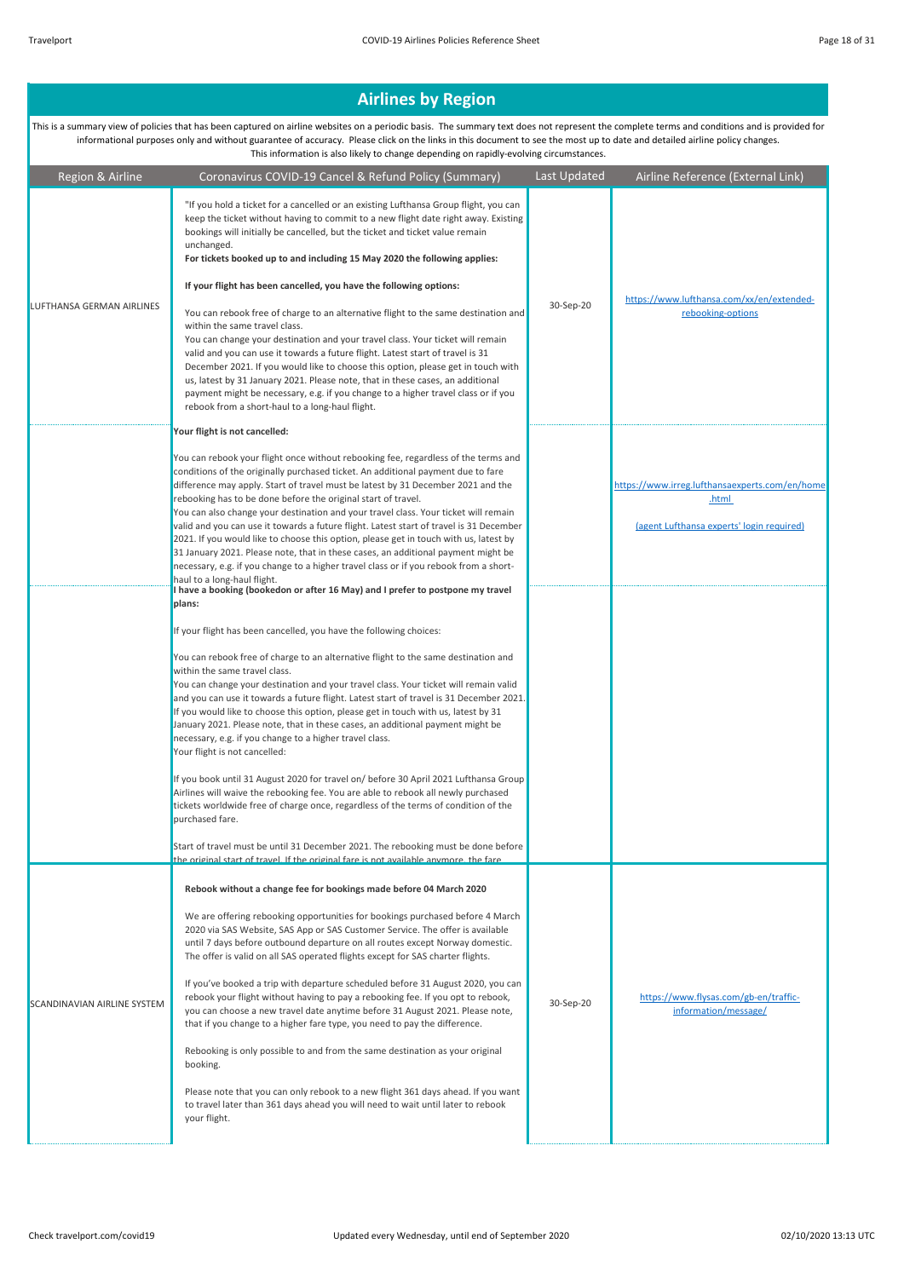| Region & Airline                 | Coronavirus COVID-19 Cancel & Refund Policy (Summary)                                                                                                                                                                                                                                                                                                                                                                                                                                                                                                                                                                                                                                                                                                                                                                                                                                                                                                                                                                                | Last Updated | Airline Reference (External Link)                                                                    |
|----------------------------------|--------------------------------------------------------------------------------------------------------------------------------------------------------------------------------------------------------------------------------------------------------------------------------------------------------------------------------------------------------------------------------------------------------------------------------------------------------------------------------------------------------------------------------------------------------------------------------------------------------------------------------------------------------------------------------------------------------------------------------------------------------------------------------------------------------------------------------------------------------------------------------------------------------------------------------------------------------------------------------------------------------------------------------------|--------------|------------------------------------------------------------------------------------------------------|
| <b>LUFTHANSA GERMAN AIRLINES</b> | "If you hold a ticket for a cancelled or an existing Lufthansa Group flight, you can<br>keep the ticket without having to commit to a new flight date right away. Existing<br>bookings will initially be cancelled, but the ticket and ticket value remain<br>unchanged.<br>For tickets booked up to and including 15 May 2020 the following applies:<br>If your flight has been cancelled, you have the following options:<br>You can rebook free of charge to an alternative flight to the same destination and<br>within the same travel class.<br>You can change your destination and your travel class. Your ticket will remain<br>valid and you can use it towards a future flight. Latest start of travel is 31<br>December 2021. If you would like to choose this option, please get in touch with<br>us, latest by 31 January 2021. Please note, that in these cases, an additional<br>payment might be necessary, e.g. if you change to a higher travel class or if you<br>rebook from a short-haul to a long-haul flight. | 30-Sep-20    | https://www.lufthansa.com/xx/en/extended-<br>rebooking-options                                       |
|                                  | Your flight is not cancelled:                                                                                                                                                                                                                                                                                                                                                                                                                                                                                                                                                                                                                                                                                                                                                                                                                                                                                                                                                                                                        |              |                                                                                                      |
|                                  | You can rebook your flight once without rebooking fee, regardless of the terms and<br>conditions of the originally purchased ticket. An additional payment due to fare<br>difference may apply. Start of travel must be latest by 31 December 2021 and the<br>rebooking has to be done before the original start of travel.<br>You can also change your destination and your travel class. Your ticket will remain<br>valid and you can use it towards a future flight. Latest start of travel is 31 December<br>2021. If you would like to choose this option, please get in touch with us, latest by<br>31 January 2021. Please note, that in these cases, an additional payment might be<br>necessary, e.g. if you change to a higher travel class or if you rebook from a short-<br>haul to a long-haul flight.<br>I have a booking (bookedon or after 16 May) and I prefer to postpone my travel                                                                                                                                |              | https://www.irreg.lufthansaexperts.com/en/home<br>.html<br>(agent Lufthansa experts' login required) |
|                                  | plans:                                                                                                                                                                                                                                                                                                                                                                                                                                                                                                                                                                                                                                                                                                                                                                                                                                                                                                                                                                                                                               |              |                                                                                                      |
|                                  | If your flight has been cancelled, you have the following choices:                                                                                                                                                                                                                                                                                                                                                                                                                                                                                                                                                                                                                                                                                                                                                                                                                                                                                                                                                                   |              |                                                                                                      |
|                                  | You can rebook free of charge to an alternative flight to the same destination and<br>within the same travel class.<br>You can change your destination and your travel class. Your ticket will remain valid<br>and you can use it towards a future flight. Latest start of travel is 31 December 2021.<br>If you would like to choose this option, please get in touch with us, latest by 31<br>January 2021. Please note, that in these cases, an additional payment might be<br>necessary, e.g. if you change to a higher travel class.<br>Your flight is not cancelled:                                                                                                                                                                                                                                                                                                                                                                                                                                                           |              |                                                                                                      |
|                                  | If you book until 31 August 2020 for travel on/ before 30 April 2021 Lufthansa Group<br>Airlines will waive the rebooking fee. You are able to rebook all newly purchased<br>tickets worldwide free of charge once, regardless of the terms of condition of the<br>purchased fare.                                                                                                                                                                                                                                                                                                                                                                                                                                                                                                                                                                                                                                                                                                                                                   |              |                                                                                                      |
|                                  | Start of travel must be until 31 December 2021. The rebooking must be done before<br>the original start of travel If the original fare is not available anymore the fare                                                                                                                                                                                                                                                                                                                                                                                                                                                                                                                                                                                                                                                                                                                                                                                                                                                             |              |                                                                                                      |
| SCANDINAVIAN AIRLINE SYSTEM      | Rebook without a change fee for bookings made before 04 March 2020<br>We are offering rebooking opportunities for bookings purchased before 4 March<br>2020 via SAS Website, SAS App or SAS Customer Service. The offer is available<br>until 7 days before outbound departure on all routes except Norway domestic.<br>The offer is valid on all SAS operated flights except for SAS charter flights.<br>If you've booked a trip with departure scheduled before 31 August 2020, you can<br>rebook your flight without having to pay a rebooking fee. If you opt to rebook,<br>you can choose a new travel date anytime before 31 August 2021. Please note,<br>that if you change to a higher fare type, you need to pay the difference.<br>Rebooking is only possible to and from the same destination as your original<br>booking.<br>Please note that you can only rebook to a new flight 361 days ahead. If you want<br>to travel later than 361 days ahead you will need to wait until later to rebook<br>your flight.         | 30-Sep-20    | https://www.flysas.com/gb-en/traffic-<br>information/message/                                        |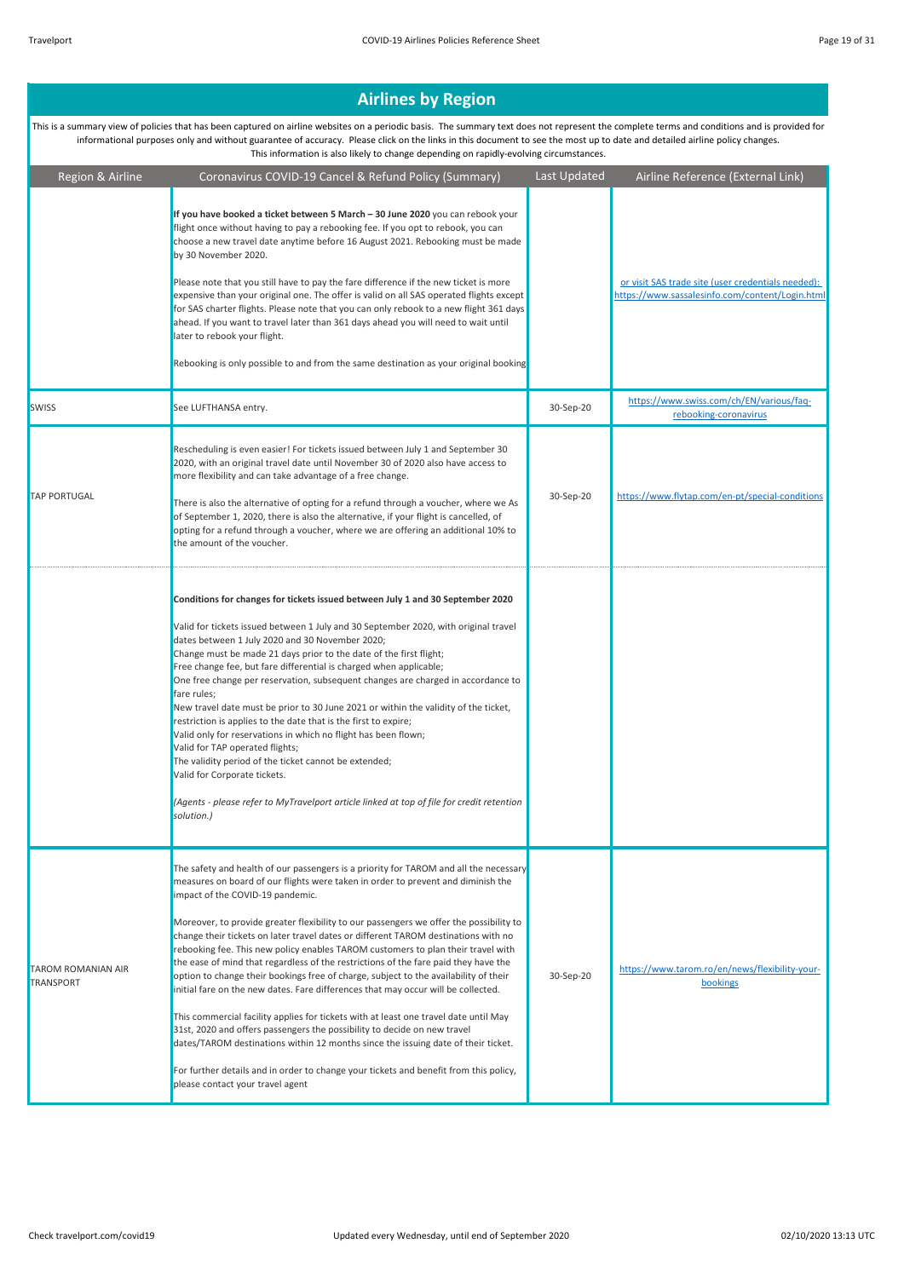| Region & Airline                              | Coronavirus COVID-19 Cancel & Refund Policy (Summary)                                                                                                                                                                                                                                                                                                                                                                                                                                                                                                                                                                                                                                                                                                                                                                                                                                                                                                                                                                                                                                                                                       | Last Updated | Airline Reference (External Link)                                                                     |
|-----------------------------------------------|---------------------------------------------------------------------------------------------------------------------------------------------------------------------------------------------------------------------------------------------------------------------------------------------------------------------------------------------------------------------------------------------------------------------------------------------------------------------------------------------------------------------------------------------------------------------------------------------------------------------------------------------------------------------------------------------------------------------------------------------------------------------------------------------------------------------------------------------------------------------------------------------------------------------------------------------------------------------------------------------------------------------------------------------------------------------------------------------------------------------------------------------|--------------|-------------------------------------------------------------------------------------------------------|
|                                               | If you have booked a ticket between 5 March - 30 June 2020 you can rebook your<br>flight once without having to pay a rebooking fee. If you opt to rebook, you can<br>choose a new travel date anytime before 16 August 2021. Rebooking must be made<br>by 30 November 2020.<br>Please note that you still have to pay the fare difference if the new ticket is more<br>expensive than your original one. The offer is valid on all SAS operated flights except<br>for SAS charter flights. Please note that you can only rebook to a new flight 361 days<br>ahead. If you want to travel later than 361 days ahead you will need to wait until<br>later to rebook your flight.<br>Rebooking is only possible to and from the same destination as your original booking                                                                                                                                                                                                                                                                                                                                                                     |              | or visit SAS trade site (user credentials needed):<br>https://www.sassalesinfo.com/content/Login.html |
| <b>SWISS</b>                                  | See LUFTHANSA entry.                                                                                                                                                                                                                                                                                                                                                                                                                                                                                                                                                                                                                                                                                                                                                                                                                                                                                                                                                                                                                                                                                                                        | 30-Sep-20    | https://www.swiss.com/ch/EN/various/faq-<br>rebooking-coronavirus                                     |
| <b>TAP PORTUGAL</b>                           | Rescheduling is even easier! For tickets issued between July 1 and September 30<br>2020, with an original travel date until November 30 of 2020 also have access to<br>more flexibility and can take advantage of a free change.<br>There is also the alternative of opting for a refund through a voucher, where we As<br>of September 1, 2020, there is also the alternative, if your flight is cancelled, of<br>opting for a refund through a voucher, where we are offering an additional 10% to<br>the amount of the voucher.                                                                                                                                                                                                                                                                                                                                                                                                                                                                                                                                                                                                          | 30-Sep-20    | https://www.flytap.com/en-pt/special-conditions                                                       |
|                                               | Conditions for changes for tickets issued between July 1 and 30 September 2020<br>Valid for tickets issued between 1 July and 30 September 2020, with original travel<br>dates between 1 July 2020 and 30 November 2020;<br>Change must be made 21 days prior to the date of the first flight;<br>Free change fee, but fare differential is charged when applicable;<br>One free change per reservation, subsequent changes are charged in accordance to<br>fare rules;<br>New travel date must be prior to 30 June 2021 or within the validity of the ticket,<br>restriction is applies to the date that is the first to expire;<br>Valid only for reservations in which no flight has been flown;<br>Valid for TAP operated flights;<br>The validity period of the ticket cannot be extended;<br>Valid for Corporate tickets.<br>(Agents - please refer to MyTravelport article linked at top of file for credit retention<br>solution.)                                                                                                                                                                                                  |              |                                                                                                       |
| <b>TAROM ROMANIAN AIR</b><br><b>TRANSPORT</b> | The safety and health of our passengers is a priority for TAROM and all the necessary<br>measures on board of our flights were taken in order to prevent and diminish the<br>impact of the COVID-19 pandemic.<br>Moreover, to provide greater flexibility to our passengers we offer the possibility to<br>change their tickets on later travel dates or different TAROM destinations with no<br>rebooking fee. This new policy enables TAROM customers to plan their travel with<br>the ease of mind that regardless of the restrictions of the fare paid they have the<br>option to change their bookings free of charge, subject to the availability of their<br>initial fare on the new dates. Fare differences that may occur will be collected.<br>This commercial facility applies for tickets with at least one travel date until May<br>31st, 2020 and offers passengers the possibility to decide on new travel<br>dates/TAROM destinations within 12 months since the issuing date of their ticket.<br>For further details and in order to change your tickets and benefit from this policy,<br>please contact your travel agent | 30-Sep-20    | https://www.tarom.ro/en/news/flexibility-your-<br>bookings                                            |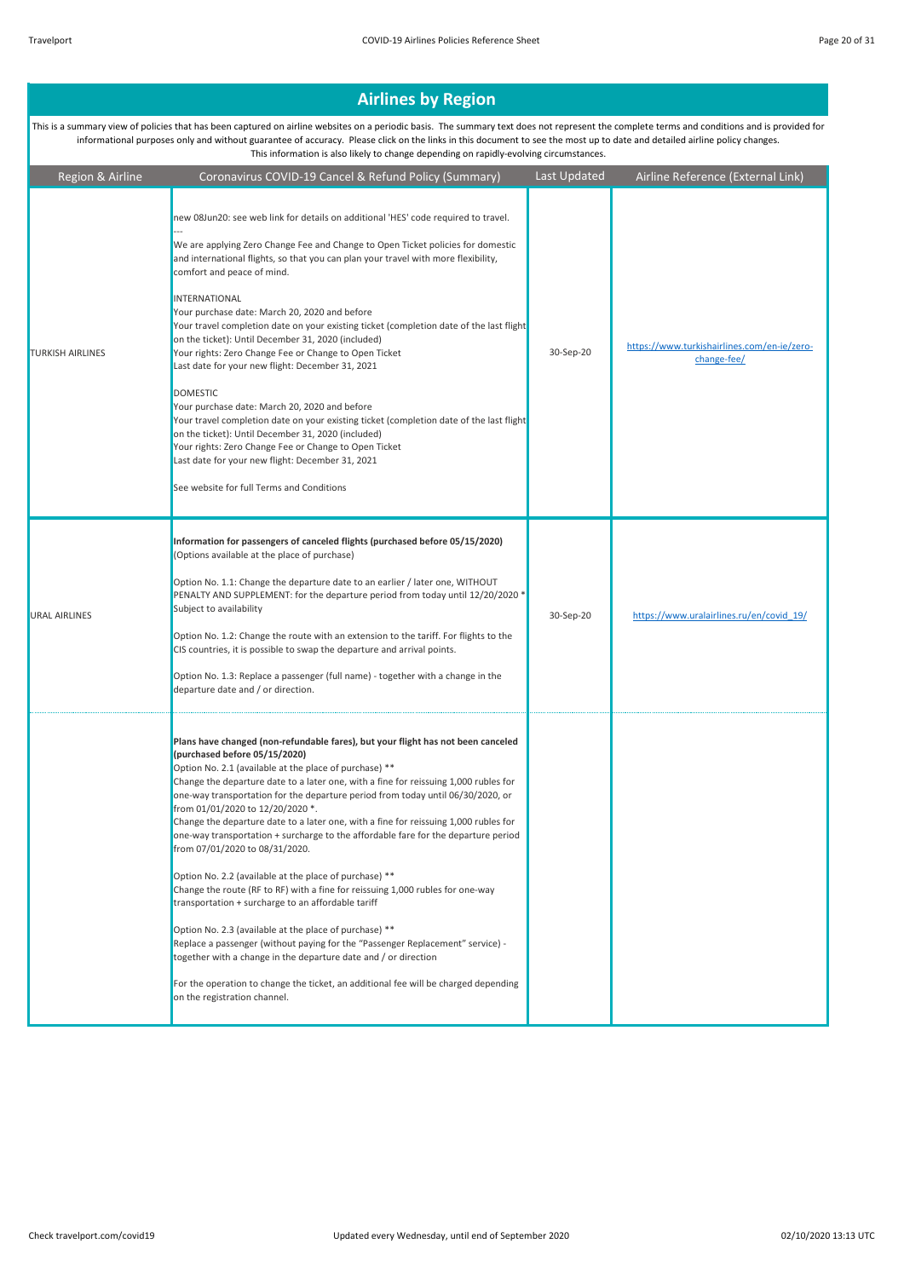| Region & Airline        | Coronavirus COVID-19 Cancel & Refund Policy (Summary)                                                                                                                                                                                                                                                                                                                                                                                                                                                                                                                                                                                                                                                                                                                                                                                                                                                                                                                                                                                                                                                                                              | Last Updated | Airline Reference (External Link)                          |
|-------------------------|----------------------------------------------------------------------------------------------------------------------------------------------------------------------------------------------------------------------------------------------------------------------------------------------------------------------------------------------------------------------------------------------------------------------------------------------------------------------------------------------------------------------------------------------------------------------------------------------------------------------------------------------------------------------------------------------------------------------------------------------------------------------------------------------------------------------------------------------------------------------------------------------------------------------------------------------------------------------------------------------------------------------------------------------------------------------------------------------------------------------------------------------------|--------------|------------------------------------------------------------|
| <b>TURKISH AIRLINES</b> | new 08Jun20: see web link for details on additional 'HES' code required to travel.<br>We are applying Zero Change Fee and Change to Open Ticket policies for domestic<br>and international flights, so that you can plan your travel with more flexibility,<br>comfort and peace of mind.<br>INTERNATIONAL<br>Your purchase date: March 20, 2020 and before<br>Your travel completion date on your existing ticket (completion date of the last flight<br>on the ticket): Until December 31, 2020 (included)<br>Your rights: Zero Change Fee or Change to Open Ticket<br>Last date for your new flight: December 31, 2021<br><b>DOMESTIC</b><br>Your purchase date: March 20, 2020 and before<br>Your travel completion date on your existing ticket (completion date of the last flight<br>on the ticket): Until December 31, 2020 (included)<br>Your rights: Zero Change Fee or Change to Open Ticket<br>Last date for your new flight: December 31, 2021<br>See website for full Terms and Conditions                                                                                                                                           | 30-Sep-20    | https://www.turkishairlines.com/en-ie/zero-<br>change-fee/ |
| <b>URAL AIRLINES</b>    | Information for passengers of canceled flights (purchased before 05/15/2020)<br>(Options available at the place of purchase)<br>Option No. 1.1: Change the departure date to an earlier / later one, WITHOUT<br>PENALTY AND SUPPLEMENT: for the departure period from today until 12/20/2020 *<br>Subject to availability<br>Option No. 1.2: Change the route with an extension to the tariff. For flights to the<br>CIS countries, it is possible to swap the departure and arrival points.<br>Option No. 1.3: Replace a passenger (full name) - together with a change in the<br>departure date and / or direction.                                                                                                                                                                                                                                                                                                                                                                                                                                                                                                                              | 30-Sep-20    | https://www.uralairlines.ru/en/covid_19/                   |
|                         | Plans have changed (non-refundable fares), but your flight has not been canceled<br>(purchased before 05/15/2020)<br>Option No. 2.1 (available at the place of purchase) **<br>Change the departure date to a later one, with a fine for reissuing 1,000 rubles for<br>one-way transportation for the departure period from today until 06/30/2020, or<br>from 01/01/2020 to 12/20/2020 *.<br>Change the departure date to a later one, with a fine for reissuing 1,000 rubles for<br>one-way transportation + surcharge to the affordable fare for the departure period<br>from 07/01/2020 to 08/31/2020.<br>Option No. 2.2 (available at the place of purchase) **<br>Change the route (RF to RF) with a fine for reissuing 1,000 rubles for one-way<br>transportation + surcharge to an affordable tariff<br>Option No. 2.3 (available at the place of purchase) **<br>Replace a passenger (without paying for the "Passenger Replacement" service) -<br>together with a change in the departure date and / or direction<br>For the operation to change the ticket, an additional fee will be charged depending<br>on the registration channel. |              |                                                            |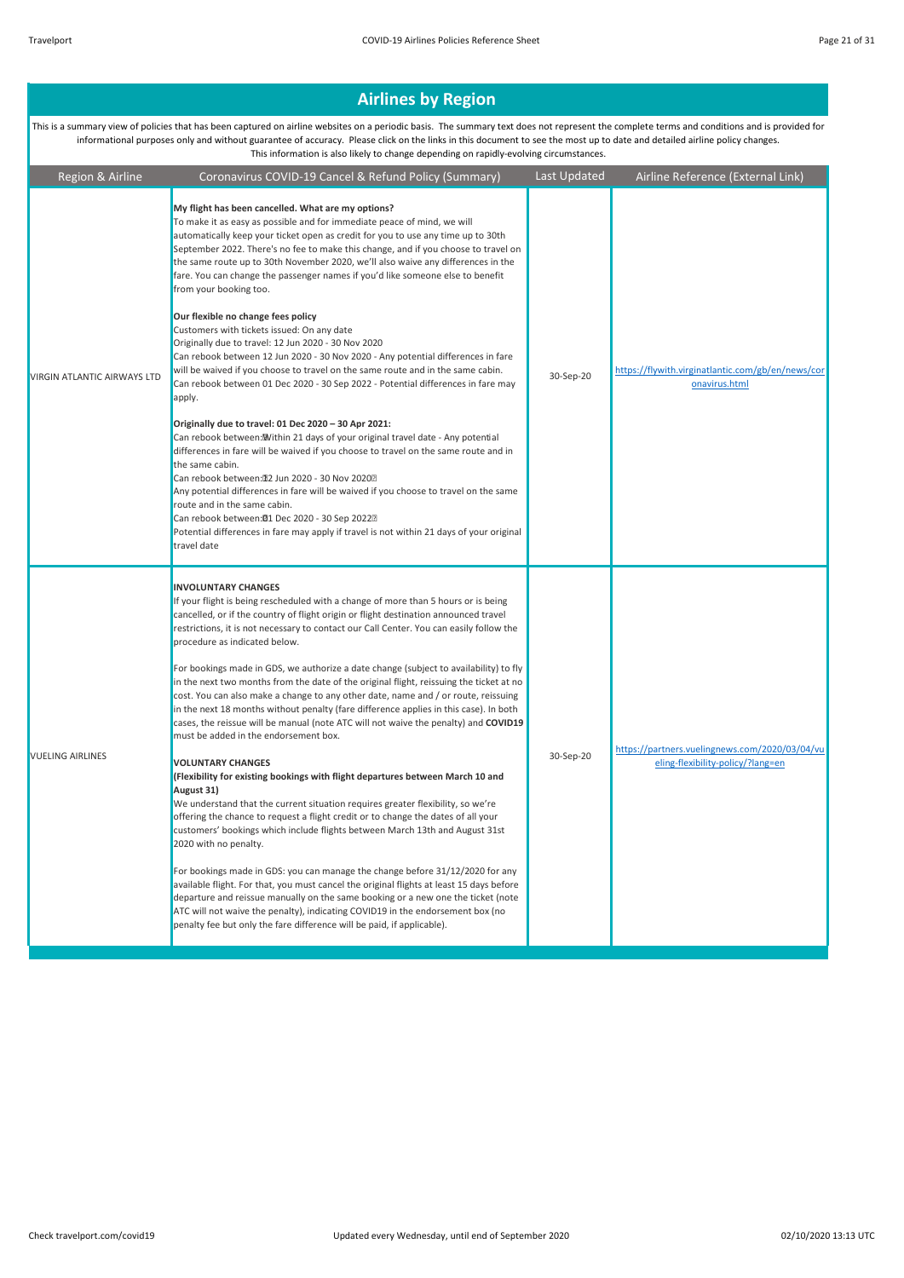| Region & Airline            | Coronavirus COVID-19 Cancel & Refund Policy (Summary)                                                                                                                                                                                                                                                                                                                                                                                                                                                                                                                                                                                                                                                                                                                                                                                                                                                                                                                                                                                                                                                                                                                                                                                                                                                                                                                                                                                                                                                                                                                                                                                                                                            | Last Updated | Airline Reference (External Link)                                                   |
|-----------------------------|--------------------------------------------------------------------------------------------------------------------------------------------------------------------------------------------------------------------------------------------------------------------------------------------------------------------------------------------------------------------------------------------------------------------------------------------------------------------------------------------------------------------------------------------------------------------------------------------------------------------------------------------------------------------------------------------------------------------------------------------------------------------------------------------------------------------------------------------------------------------------------------------------------------------------------------------------------------------------------------------------------------------------------------------------------------------------------------------------------------------------------------------------------------------------------------------------------------------------------------------------------------------------------------------------------------------------------------------------------------------------------------------------------------------------------------------------------------------------------------------------------------------------------------------------------------------------------------------------------------------------------------------------------------------------------------------------|--------------|-------------------------------------------------------------------------------------|
| VIRGIN ATLANTIC AIRWAYS LTD | My flight has been cancelled. What are my options?<br>To make it as easy as possible and for immediate peace of mind, we will<br>automatically keep your ticket open as credit for you to use any time up to 30th<br>September 2022. There's no fee to make this change, and if you choose to travel on<br>the same route up to 30th November 2020, we'll also waive any differences in the<br>fare. You can change the passenger names if you'd like someone else to benefit<br>from your booking too.<br>Our flexible no change fees policy<br>Customers with tickets issued: On any date<br>Originally due to travel: 12 Jun 2020 - 30 Nov 2020<br>Can rebook between 12 Jun 2020 - 30 Nov 2020 - Any potential differences in fare<br>will be waived if you choose to travel on the same route and in the same cabin.<br>Can rebook between 01 Dec 2020 - 30 Sep 2022 - Potential differences in fare may<br>apply.<br>Originally due to travel: 01 Dec 2020 - 30 Apr 2021:<br>Can rebook between: Within 21 days of your original travel date - Any potential<br>differences in fare will be waived if you choose to travel on the same route and in<br>the same cabin.<br>Can rebook between: 12 Jun 2020 - 30 Nov 20202<br>Any potential differences in fare will be waived if you choose to travel on the same<br>route and in the same cabin.<br>Can rebook between:01 Dec 2020 - 30 Sep 20222<br>Potential differences in fare may apply if travel is not within 21 days of your original                                                                                                                                                                                              | 30-Sep-20    | https://flywith.virginatlantic.com/gb/en/news/cor<br>onavirus.html                  |
| <b>VUELING AIRLINES</b>     | travel date<br><b>INVOLUNTARY CHANGES</b><br>If your flight is being rescheduled with a change of more than 5 hours or is being<br>cancelled, or if the country of flight origin or flight destination announced travel<br>restrictions, it is not necessary to contact our Call Center. You can easily follow the<br>procedure as indicated below.<br>For bookings made in GDS, we authorize a date change (subject to availability) to fly<br>in the next two months from the date of the original flight, reissuing the ticket at no<br>cost. You can also make a change to any other date, name and / or route, reissuing<br>in the next 18 months without penalty (fare difference applies in this case). In both<br>cases, the reissue will be manual (note ATC will not waive the penalty) and COVID19<br>must be added in the endorsement box.<br><b>VOLUNTARY CHANGES</b><br>(Flexibility for existing bookings with flight departures between March 10 and<br>August 31)<br>We understand that the current situation requires greater flexibility, so we're<br>offering the chance to request a flight credit or to change the dates of all your<br>customers' bookings which include flights between March 13th and August 31st<br>2020 with no penalty.<br>For bookings made in GDS: you can manage the change before 31/12/2020 for any<br>available flight. For that, you must cancel the original flights at least 15 days before<br>departure and reissue manually on the same booking or a new one the ticket (note<br>ATC will not waive the penalty), indicating COVID19 in the endorsement box (no<br>penalty fee but only the fare difference will be paid, if applicable). | 30-Sep-20    | https://partners.vuelingnews.com/2020/03/04/vu<br>eling-flexibility-policy/?lang=en |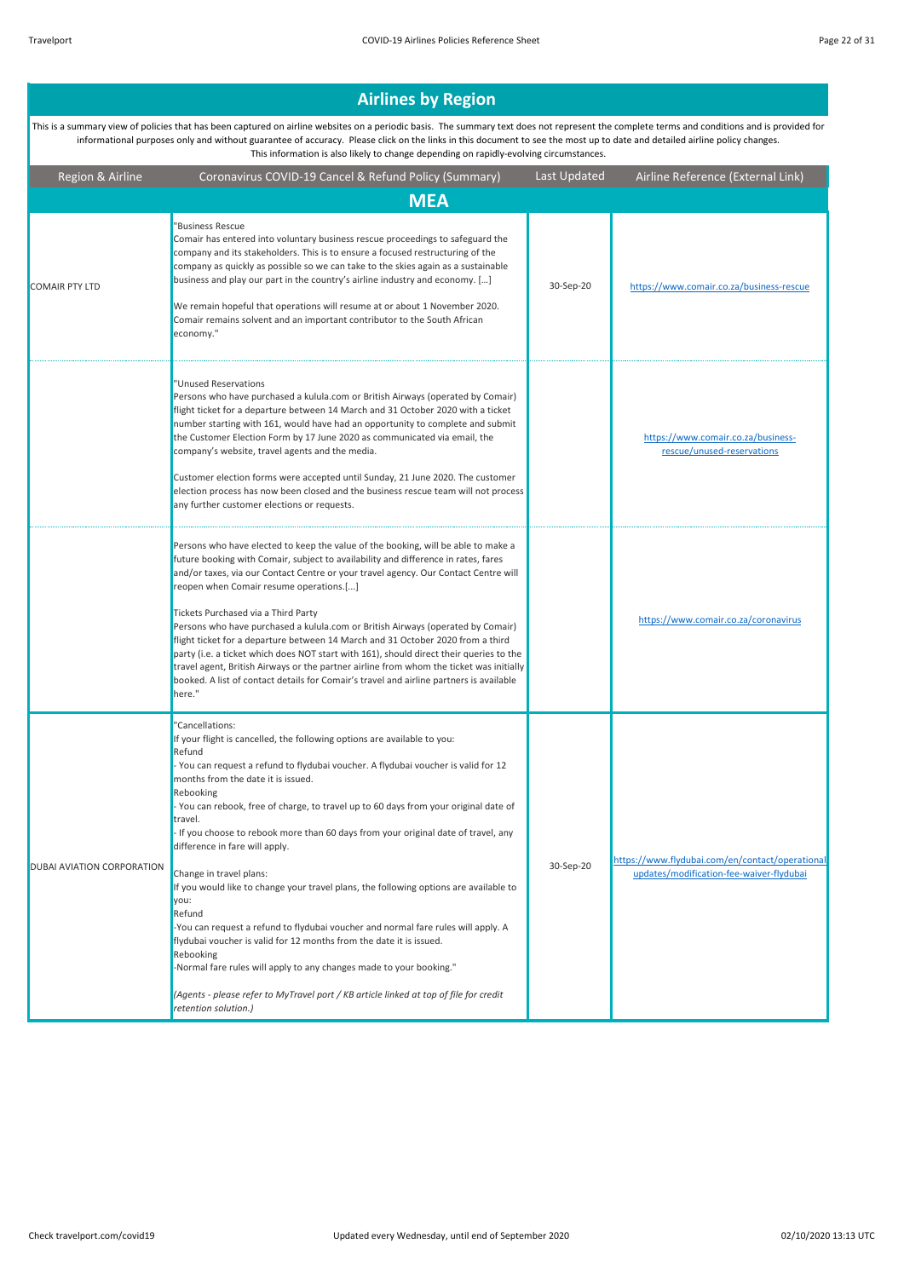#### Region & Airline Coronavirus COVID-19 Cancel & Refund Policy (Summary) Last Updated Airline Reference (External Link) **Airlines by Region**  This is a summary view of policies that has been captured on airline websites on a periodic basis. The summary text does not represent the complete terms and conditions and is provided for informational purposes only and without guarantee of accuracy. Please click on the links in this document to see the most up to date and detailed airline policy changes. This information is also likely to change depending on rapidly-evolving circumstances. COMAIR PTY LTD "Business Rescue Comair has entered into voluntary business rescue proceedings to safeguard the company and its stakeholders. This is to ensure a focused restructuring of the company as quickly as possible so we can take to the skies again as a sustainable business and play our part in the country's airline industry and economy. […] We remain hopeful that operations will resume at or about 1 November 2020. Comair remains solvent and an important contributor to the South African economy. 30-Sep-20 https://www.comair.co.za/business-rescue "Unused Reservations Persons who have purchased a kulula.com or British Airways (operated by Comair) flight ticket for a departure between 14 March and 31 October 2020 with a ticket number starting with 161, would have had an opportunity to complete and submit the Customer Election Form by 17 June 2020 as communicated via email, the company's website, travel agents and the media. Customer election forms were accepted until Sunday, 21 June 2020. The customer election process has now been closed and the business rescue team will not process any further customer elections or requests. https://www.comair.co.za/businessrescue/unused-reservations Persons who have elected to keep the value of the booking, will be able to make a future booking with Comair, subject to availability and difference in rates, fares and/or taxes, via our Contact Centre or your travel agency. Our Contact Centre will reopen when Comair resume operations.[...] Tickets Purchased via a Third Party Persons who have purchased a kulula.com or British Airways (operated by Comair) flight ticket for a departure between 14 March and 31 October 2020 from a third party (i.e. a ticket which does NOT start with 161), should direct their queries to the travel agent, British Airways or the partner airline from whom the ticket was initially booked. A list of contact details for Comair's travel and airline partners is available here." https://www.comair.co.za/coronavirus DUBAI AVIATION CORPORATION "Cancellations: If your flight is cancelled, the following options are available to you: Refund - You can request a refund to flydubai voucher. A flydubai voucher is valid for 12 months from the date it is issued. Rebooking - You can rebook, free of charge, to travel up to 60 days from your original date of travel. - If you choose to rebook more than 60 days from your original date of travel, any difference in fare will apply. Change in travel plans: If you would like to change your travel plans, the following options are available to you: Refund -You can request a refund to flydubai voucher and normal fare rules will apply. A flydubai voucher is valid for 12 months from the date it is issued. Rebooking -Normal fare rules will apply to any changes made to your booking." *(Agents - please refer to MyTravel port / KB article linked at top of file for credit retention solution.)* 30-Sep-20 https://www.flydubai.com/en/contact/operationalupdates/modification-fee-waiver-flydubai **MEA**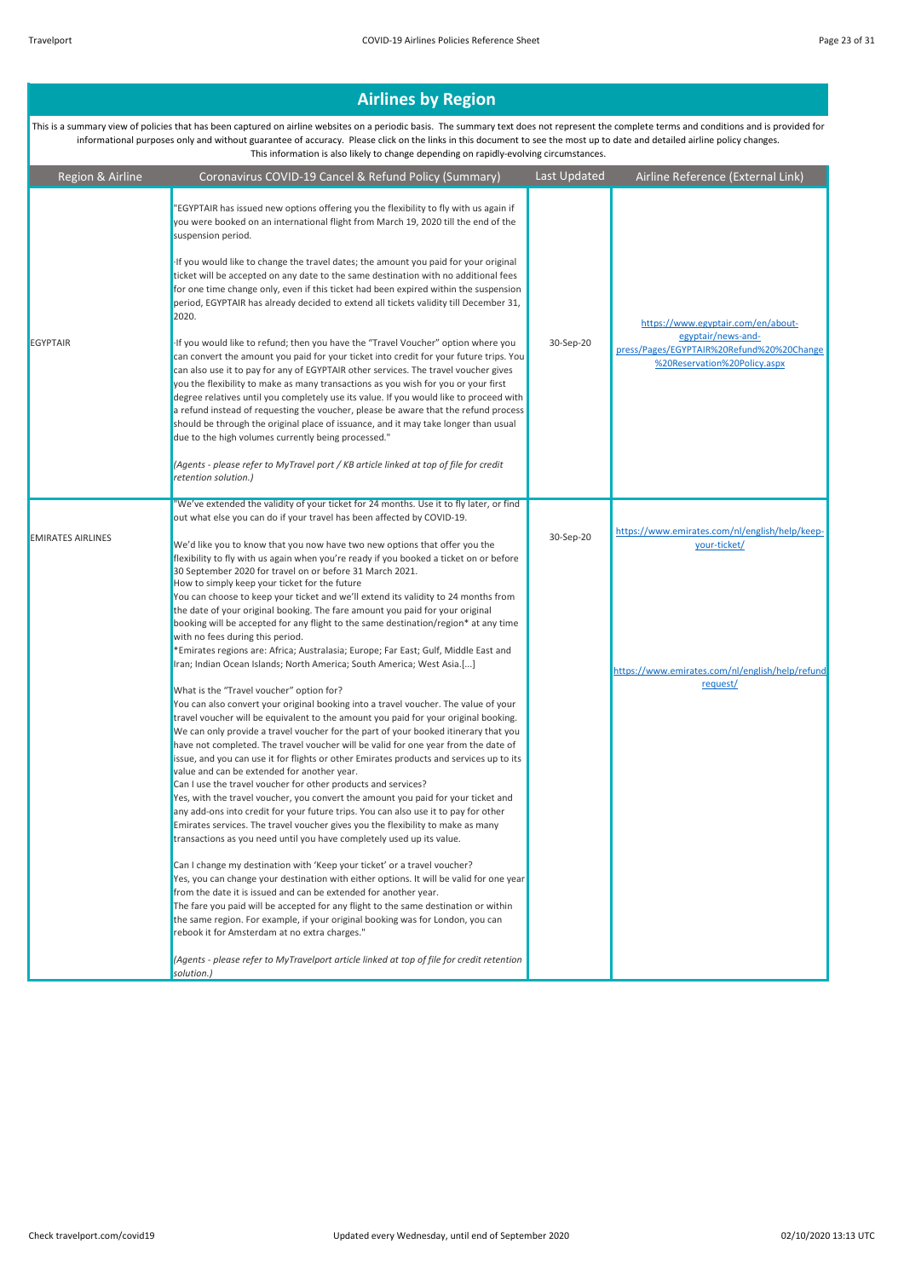| Region & Airline         | Coronavirus COVID-19 Cancel & Refund Policy (Summary)                                                                                                                                                                                                                                                                                                                                                                                                                                                                                                                                                                                                                                                                                                                                                                                                                                                                                                                                                                                                                                                                                                                                                                                                                                                                                                                                                                                               | Last Updated | Airline Reference (External Link)                                                                                                     |
|--------------------------|-----------------------------------------------------------------------------------------------------------------------------------------------------------------------------------------------------------------------------------------------------------------------------------------------------------------------------------------------------------------------------------------------------------------------------------------------------------------------------------------------------------------------------------------------------------------------------------------------------------------------------------------------------------------------------------------------------------------------------------------------------------------------------------------------------------------------------------------------------------------------------------------------------------------------------------------------------------------------------------------------------------------------------------------------------------------------------------------------------------------------------------------------------------------------------------------------------------------------------------------------------------------------------------------------------------------------------------------------------------------------------------------------------------------------------------------------------|--------------|---------------------------------------------------------------------------------------------------------------------------------------|
| <b>EGYPTAIR</b>          | 'EGYPTAIR has issued new options offering you the flexibility to fly with us again if<br>you were booked on an international flight from March 19, 2020 till the end of the<br>suspension period.<br>If you would like to change the travel dates; the amount you paid for your original<br>ticket will be accepted on any date to the same destination with no additional fees<br>for one time change only, even if this ticket had been expired within the suspension<br>period, EGYPTAIR has already decided to extend all tickets validity till December 31,<br>2020.<br>If you would like to refund; then you have the "Travel Voucher" option where you<br>can convert the amount you paid for your ticket into credit for your future trips. You<br>can also use it to pay for any of EGYPTAIR other services. The travel voucher gives<br>you the flexibility to make as many transactions as you wish for you or your first<br>degree relatives until you completely use its value. If you would like to proceed with<br>a refund instead of requesting the voucher, please be aware that the refund process<br>should be through the original place of issuance, and it may take longer than usual<br>due to the high volumes currently being processed."<br>(Agents - please refer to MyTravel port / KB article linked at top of file for credit                                                                                        | 30-Sep-20    | https://www.egyptair.com/en/about-<br>egyptair/news-and-<br>press/Pages/EGYPTAIR%20Refund%20%20Change<br>%20Reservation%20Policy.aspx |
| <b>EMIRATES AIRLINES</b> | retention solution.)<br>"We've extended the validity of your ticket for 24 months. Use it to fly later, or find<br>out what else you can do if your travel has been affected by COVID-19.<br>We'd like you to know that you now have two new options that offer you the<br>flexibility to fly with us again when you're ready if you booked a ticket on or before<br>30 September 2020 for travel on or before 31 March 2021.<br>How to simply keep your ticket for the future<br>You can choose to keep your ticket and we'll extend its validity to 24 months from<br>the date of your original booking. The fare amount you paid for your original<br>booking will be accepted for any flight to the same destination/region* at any time<br>with no fees during this period.<br>*Emirates regions are: Africa; Australasia; Europe; Far East; Gulf, Middle East and<br>Iran; Indian Ocean Islands; North America; South America; West Asia.[]<br>What is the "Travel voucher" option for?<br>You can also convert your original booking into a travel voucher. The value of your<br>travel voucher will be equivalent to the amount you paid for your original booking.<br>We can only provide a travel voucher for the part of your booked itinerary that you<br>have not completed. The travel voucher will be valid for one year from the date of<br>issue, and you can use it for flights or other Emirates products and services up to its | 30-Sep-20    | https://www.emirates.com/nl/english/help/keep-<br>your-ticket/<br>https://www.emirates.com/nl/english/help/refund<br>request/         |
|                          | value and can be extended for another year.<br>Can I use the travel voucher for other products and services?<br>Yes, with the travel voucher, you convert the amount you paid for your ticket and<br>any add-ons into credit for your future trips. You can also use it to pay for other<br>Emirates services. The travel voucher gives you the flexibility to make as many<br>transactions as you need until you have completely used up its value.<br>Can I change my destination with 'Keep your ticket' or a travel voucher?<br>Yes, you can change your destination with either options. It will be valid for one year<br>from the date it is issued and can be extended for another year.<br>The fare you paid will be accepted for any flight to the same destination or within<br>the same region. For example, if your original booking was for London, you can<br>rebook it for Amsterdam at no extra charges."<br>(Agents - please refer to MyTravelport article linked at top of file for credit retention<br>solution.)                                                                                                                                                                                                                                                                                                                                                                                                                |              |                                                                                                                                       |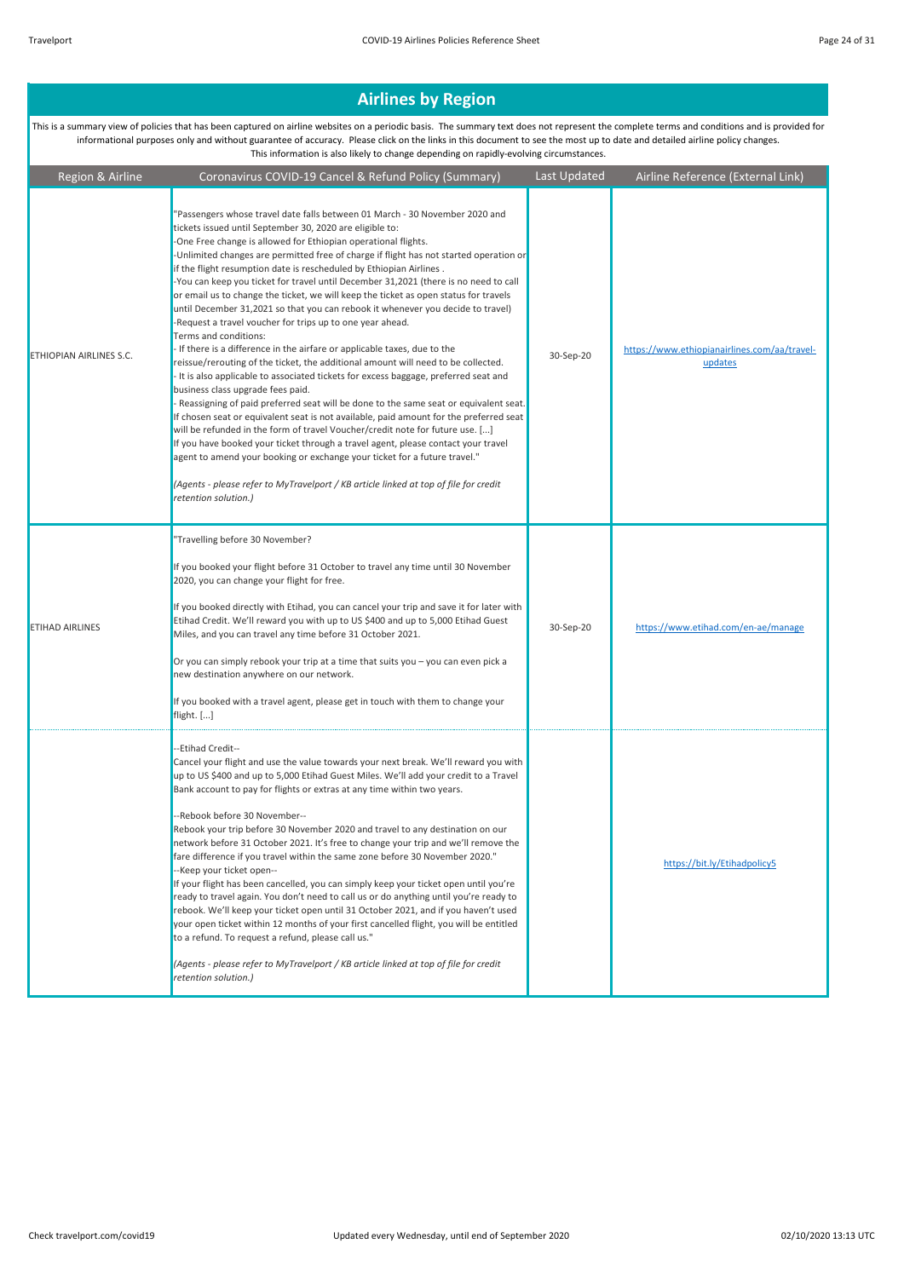| Region & Airline        | Coronavirus COVID-19 Cancel & Refund Policy (Summary)                                                                                                                                                                                                                                                                                                                                                                                                                                                                                                                                                                                                                                                                                                                                                                                                                                                                                                                                                                                                                                                                                                                                                                                                                                                                                                                                                                                                                                                                                                                                     | Last Updated | Airline Reference (External Link)                       |
|-------------------------|-------------------------------------------------------------------------------------------------------------------------------------------------------------------------------------------------------------------------------------------------------------------------------------------------------------------------------------------------------------------------------------------------------------------------------------------------------------------------------------------------------------------------------------------------------------------------------------------------------------------------------------------------------------------------------------------------------------------------------------------------------------------------------------------------------------------------------------------------------------------------------------------------------------------------------------------------------------------------------------------------------------------------------------------------------------------------------------------------------------------------------------------------------------------------------------------------------------------------------------------------------------------------------------------------------------------------------------------------------------------------------------------------------------------------------------------------------------------------------------------------------------------------------------------------------------------------------------------|--------------|---------------------------------------------------------|
| ETHIOPIAN AIRLINES S.C. | 'Passengers whose travel date falls between 01 March - 30 November 2020 and<br>tickets issued until September 30, 2020 are eligible to:<br>-One Free change is allowed for Ethiopian operational flights.<br>-Unlimited changes are permitted free of charge if flight has not started operation or<br>if the flight resumption date is rescheduled by Ethiopian Airlines.<br>-You can keep you ticket for travel until December 31,2021 (there is no need to call<br>or email us to change the ticket, we will keep the ticket as open status for travels<br>until December 31,2021 so that you can rebook it whenever you decide to travel)<br>-Request a travel voucher for trips up to one year ahead.<br>Terms and conditions:<br>- If there is a difference in the airfare or applicable taxes, due to the<br>reissue/rerouting of the ticket, the additional amount will need to be collected.<br>- It is also applicable to associated tickets for excess baggage, preferred seat and<br>business class upgrade fees paid.<br>- Reassigning of paid preferred seat will be done to the same seat or equivalent seat.<br>If chosen seat or equivalent seat is not available, paid amount for the preferred seat<br>will be refunded in the form of travel Voucher/credit note for future use. []<br>If you have booked your ticket through a travel agent, please contact your travel<br>agent to amend your booking or exchange your ticket for a future travel."<br>(Agents - please refer to MyTravelport / KB article linked at top of file for credit<br>retention solution.) | 30-Sep-20    | https://www.ethiopianairlines.com/aa/travel-<br>updates |
| <b>ETIHAD AIRLINES</b>  | "Travelling before 30 November?<br>If you booked your flight before 31 October to travel any time until 30 November<br>2020, you can change your flight for free.<br>If you booked directly with Etihad, you can cancel your trip and save it for later with<br>Etihad Credit. We'll reward you with up to US \$400 and up to 5,000 Etihad Guest<br>Miles, and you can travel any time before 31 October 2021.<br>Or you can simply rebook your trip at a time that suits you - you can even pick a<br>new destination anywhere on our network.<br>If you booked with a travel agent, please get in touch with them to change your<br>flight. []                                                                                                                                                                                                                                                                                                                                                                                                                                                                                                                                                                                                                                                                                                                                                                                                                                                                                                                                          | 30-Sep-20    | https://www.etihad.com/en-ae/manage                     |
|                         | --Etihad Credit--<br>Cancel your flight and use the value towards your next break. We'll reward you with<br>up to US \$400 and up to 5,000 Etihad Guest Miles. We'll add your credit to a Travel<br>Bank account to pay for flights or extras at any time within two years.<br>--Rebook before 30 November--<br>Rebook your trip before 30 November 2020 and travel to any destination on our<br>network before 31 October 2021. It's free to change your trip and we'll remove the<br>fare difference if you travel within the same zone before 30 November 2020."<br>--Keep your ticket open--<br>If your flight has been cancelled, you can simply keep your ticket open until you're<br>ready to travel again. You don't need to call us or do anything until you're ready to<br>rebook. We'll keep your ticket open until 31 October 2021, and if you haven't used<br>your open ticket within 12 months of your first cancelled flight, you will be entitled<br>to a refund. To request a refund, please call us."<br>(Agents - please refer to MyTravelport / KB article linked at top of file for credit<br>retention solution.)                                                                                                                                                                                                                                                                                                                                                                                                                                                   |              | https://bit.ly/Etihadpolicy5                            |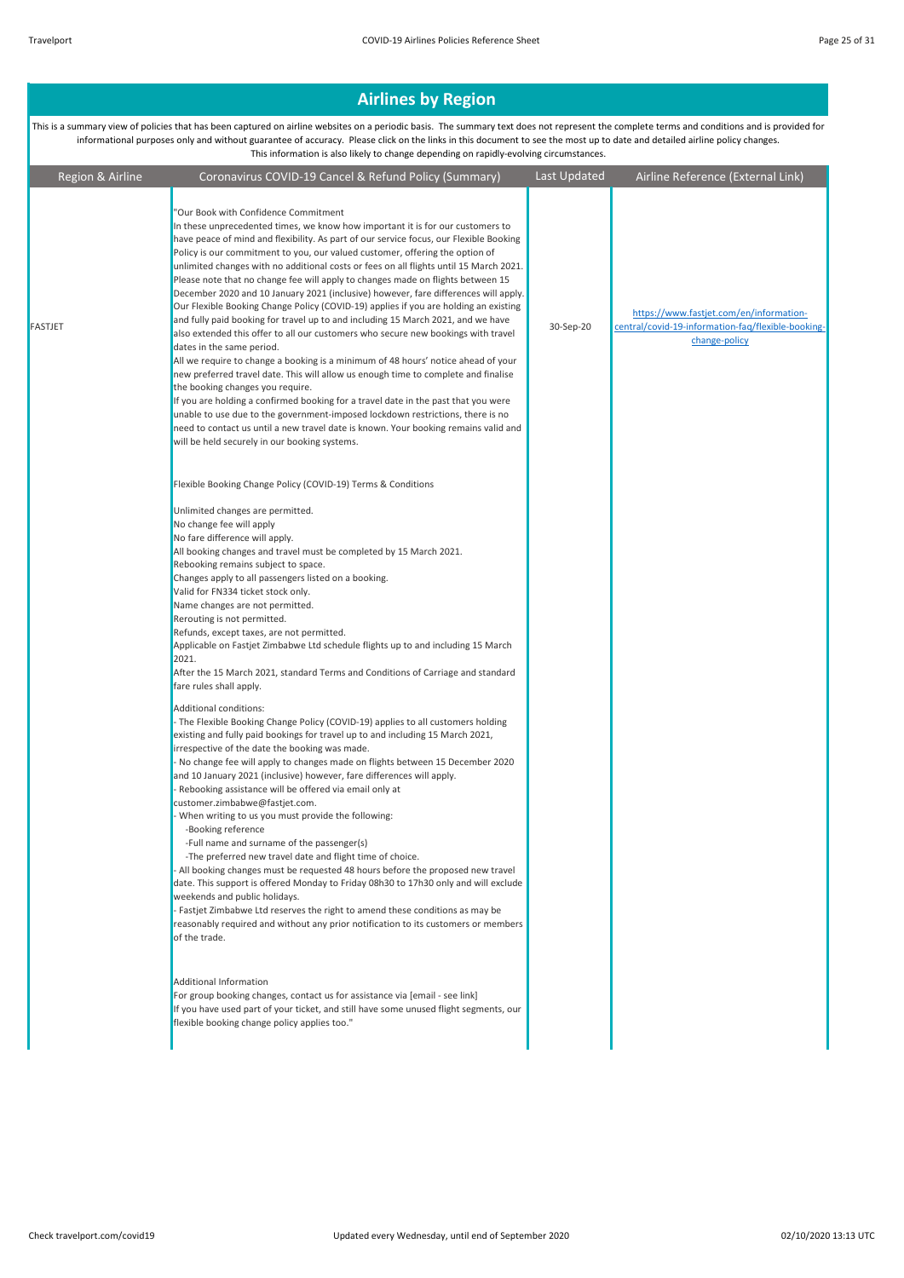| Region & Airline | Coronavirus COVID-19 Cancel & Refund Policy (Summary)                                                                                                                                                                                                                                                                                                                                                                                                                                                                                                                                                                                                                                                                                                                                                                                                                                                                                                                                                                                                                                                                                                                                                                                                                                                                                                                                                                                                                                                                                                                                                                                                                                                                                                                                                                                     | Last Updated | Airline Reference (External Link)                                                                              |
|------------------|-------------------------------------------------------------------------------------------------------------------------------------------------------------------------------------------------------------------------------------------------------------------------------------------------------------------------------------------------------------------------------------------------------------------------------------------------------------------------------------------------------------------------------------------------------------------------------------------------------------------------------------------------------------------------------------------------------------------------------------------------------------------------------------------------------------------------------------------------------------------------------------------------------------------------------------------------------------------------------------------------------------------------------------------------------------------------------------------------------------------------------------------------------------------------------------------------------------------------------------------------------------------------------------------------------------------------------------------------------------------------------------------------------------------------------------------------------------------------------------------------------------------------------------------------------------------------------------------------------------------------------------------------------------------------------------------------------------------------------------------------------------------------------------------------------------------------------------------|--------------|----------------------------------------------------------------------------------------------------------------|
| FASTJET          | 'Our Book with Confidence Commitment<br>In these unprecedented times, we know how important it is for our customers to<br>have peace of mind and flexibility. As part of our service focus, our Flexible Booking<br>Policy is our commitment to you, our valued customer, offering the option of<br>unlimited changes with no additional costs or fees on all flights until 15 March 2021.<br>Please note that no change fee will apply to changes made on flights between 15<br>December 2020 and 10 January 2021 (inclusive) however, fare differences will apply.<br>Our Flexible Booking Change Policy (COVID-19) applies if you are holding an existing<br>and fully paid booking for travel up to and including 15 March 2021, and we have<br>also extended this offer to all our customers who secure new bookings with travel<br>dates in the same period.<br>All we require to change a booking is a minimum of 48 hours' notice ahead of your<br>new preferred travel date. This will allow us enough time to complete and finalise<br>the booking changes you require.<br>If you are holding a confirmed booking for a travel date in the past that you were<br>unable to use due to the government-imposed lockdown restrictions, there is no<br>need to contact us until a new travel date is known. Your booking remains valid and<br>will be held securely in our booking systems.                                                                                                                                                                                                                                                                                                                                                                                                                                         | 30-Sep-20    | https://www.fastjet.com/en/information-<br>central/covid-19-information-faq/flexible-booking-<br>change-policy |
|                  | Flexible Booking Change Policy (COVID-19) Terms & Conditions<br>Unlimited changes are permitted.<br>No change fee will apply<br>No fare difference will apply.<br>All booking changes and travel must be completed by 15 March 2021.<br>Rebooking remains subject to space.<br>Changes apply to all passengers listed on a booking.<br>Valid for FN334 ticket stock only.<br>Name changes are not permitted.<br>Rerouting is not permitted.<br>Refunds, except taxes, are not permitted.<br>Applicable on Fastjet Zimbabwe Ltd schedule flights up to and including 15 March<br>2021.<br>After the 15 March 2021, standard Terms and Conditions of Carriage and standard<br>fare rules shall apply.<br><b>Additional conditions:</b><br>- The Flexible Booking Change Policy (COVID-19) applies to all customers holding<br>existing and fully paid bookings for travel up to and including 15 March 2021,<br>irrespective of the date the booking was made.<br>- No change fee will apply to changes made on flights between 15 December 2020<br>and 10 January 2021 (inclusive) however, fare differences will apply.<br>- Rebooking assistance will be offered via email only at<br>customer.zimbabwe@fastjet.com.<br>When writing to us you must provide the following:<br>-Booking reference<br>-Full name and surname of the passenger(s)<br>-The preferred new travel date and flight time of choice.<br>- All booking changes must be requested 48 hours before the proposed new travel<br>date. This support is offered Monday to Friday 08h30 to 17h30 only and will exclude<br>weekends and public holidays.<br>- Fastiet Zimbabwe Ltd reserves the right to amend these conditions as may be<br>reasonably required and without any prior notification to its customers or members<br>of the trade.<br>Additional Information |              |                                                                                                                |
|                  | For group booking changes, contact us for assistance via [email - see link]<br>If you have used part of your ticket, and still have some unused flight segments, our<br>flexible booking change policy applies too."                                                                                                                                                                                                                                                                                                                                                                                                                                                                                                                                                                                                                                                                                                                                                                                                                                                                                                                                                                                                                                                                                                                                                                                                                                                                                                                                                                                                                                                                                                                                                                                                                      |              |                                                                                                                |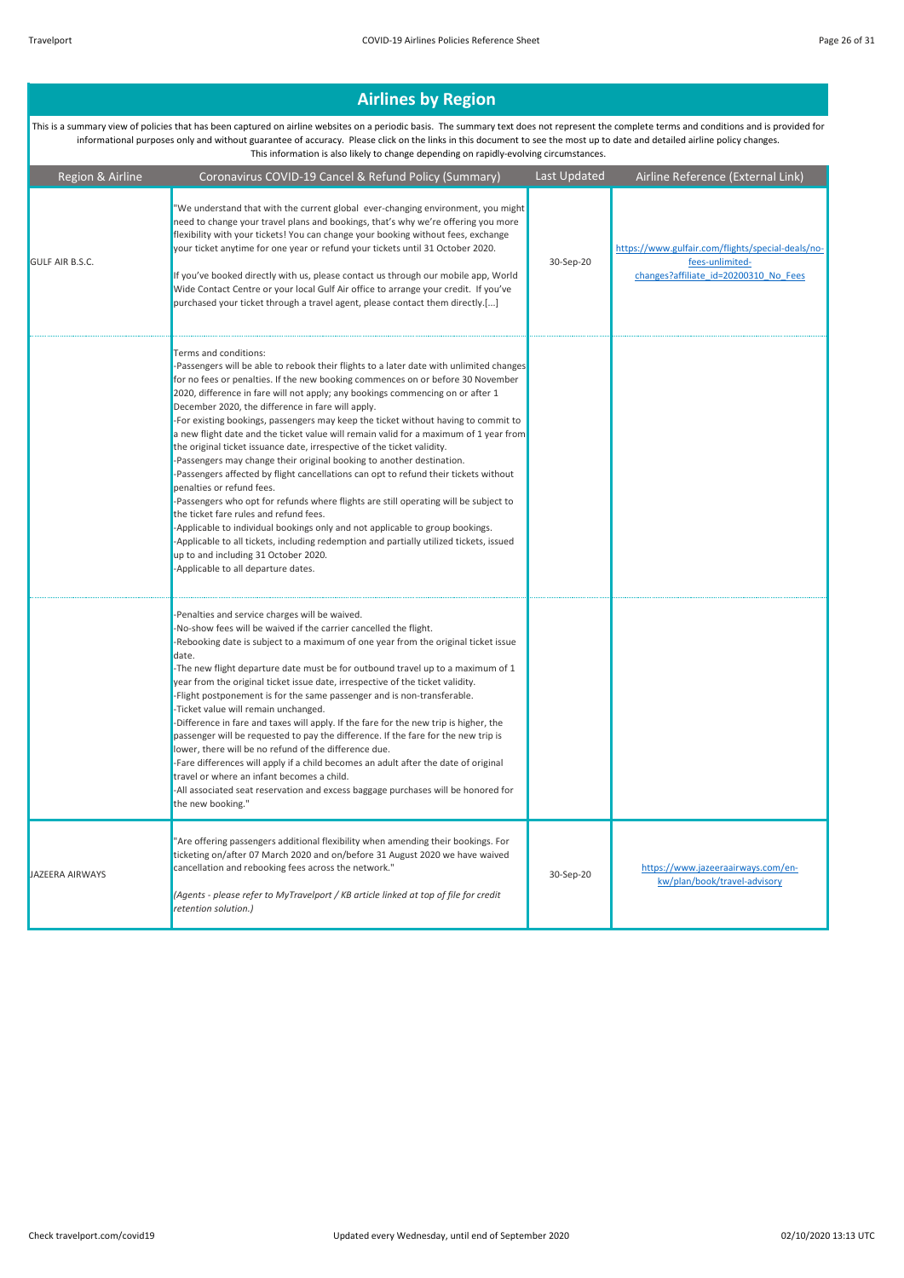| Region & Airline       | Coronavirus COVID-19 Cancel & Refund Policy (Summary)                                                                                                                                                                                                                                                                                                                                                                                                                                                                                                                                                                                                                                                                                                                                                                                                                                                                                                                                                                                                                                                                                                                                           | Last Updated | Airline Reference (External Link)                                                                             |
|------------------------|-------------------------------------------------------------------------------------------------------------------------------------------------------------------------------------------------------------------------------------------------------------------------------------------------------------------------------------------------------------------------------------------------------------------------------------------------------------------------------------------------------------------------------------------------------------------------------------------------------------------------------------------------------------------------------------------------------------------------------------------------------------------------------------------------------------------------------------------------------------------------------------------------------------------------------------------------------------------------------------------------------------------------------------------------------------------------------------------------------------------------------------------------------------------------------------------------|--------------|---------------------------------------------------------------------------------------------------------------|
| <b>GULF AIR B.S.C.</b> | "We understand that with the current global ever-changing environment, you might<br>need to change your travel plans and bookings, that's why we're offering you more<br>flexibility with your tickets! You can change your booking without fees, exchange<br>your ticket anytime for one year or refund your tickets until 31 October 2020.<br>If you've booked directly with us, please contact us through our mobile app. World<br>Wide Contact Centre or your local Gulf Air office to arrange your credit. If you've<br>purchased your ticket through a travel agent, please contact them directly.[]                                                                                                                                                                                                                                                                                                                                                                                                                                                                                                                                                                                      | 30-Sep-20    | https://www.gulfair.com/flights/special-deals/no-<br>fees-unlimited-<br>changes?affiliate id=20200310 No Fees |
|                        | Terms and conditions:<br>-Passengers will be able to rebook their flights to a later date with unlimited changes<br>for no fees or penalties. If the new booking commences on or before 30 November<br>2020, difference in fare will not apply; any bookings commencing on or after 1<br>December 2020, the difference in fare will apply.<br>-For existing bookings, passengers may keep the ticket without having to commit to<br>a new flight date and the ticket value will remain valid for a maximum of 1 year from<br>the original ticket issuance date, irrespective of the ticket validity.<br>-Passengers may change their original booking to another destination.<br>-Passengers affected by flight cancellations can opt to refund their tickets without<br>penalties or refund fees.<br>-Passengers who opt for refunds where flights are still operating will be subject to<br>the ticket fare rules and refund fees.<br>-Applicable to individual bookings only and not applicable to group bookings.<br>-Applicable to all tickets, including redemption and partially utilized tickets, issued<br>up to and including 31 October 2020.<br>-Applicable to all departure dates. |              |                                                                                                               |
|                        | -Penalties and service charges will be waived.<br>-No-show fees will be waived if the carrier cancelled the flight.<br>-Rebooking date is subject to a maximum of one year from the original ticket issue<br>date.<br>-The new flight departure date must be for outbound travel up to a maximum of 1<br>year from the original ticket issue date, irrespective of the ticket validity.<br>-Flight postponement is for the same passenger and is non-transferable.<br>-Ticket value will remain unchanged.<br>-Difference in fare and taxes will apply. If the fare for the new trip is higher, the<br>passenger will be requested to pay the difference. If the fare for the new trip is<br>lower, there will be no refund of the difference due.<br>-Fare differences will apply if a child becomes an adult after the date of original<br>travel or where an infant becomes a child.<br>-All associated seat reservation and excess baggage purchases will be honored for<br>the new booking."                                                                                                                                                                                               |              |                                                                                                               |
| JAZEERA AIRWAYS        | "Are offering passengers additional flexibility when amending their bookings. For<br>ticketing on/after 07 March 2020 and on/before 31 August 2020 we have waived<br>cancellation and rebooking fees across the network."<br>(Agents - please refer to MyTravelport / KB article linked at top of file for credit<br>retention solution.)                                                                                                                                                                                                                                                                                                                                                                                                                                                                                                                                                                                                                                                                                                                                                                                                                                                       | 30-Sep-20    | https://www.jazeeraairways.com/en-<br>kw/plan/book/travel-advisory                                            |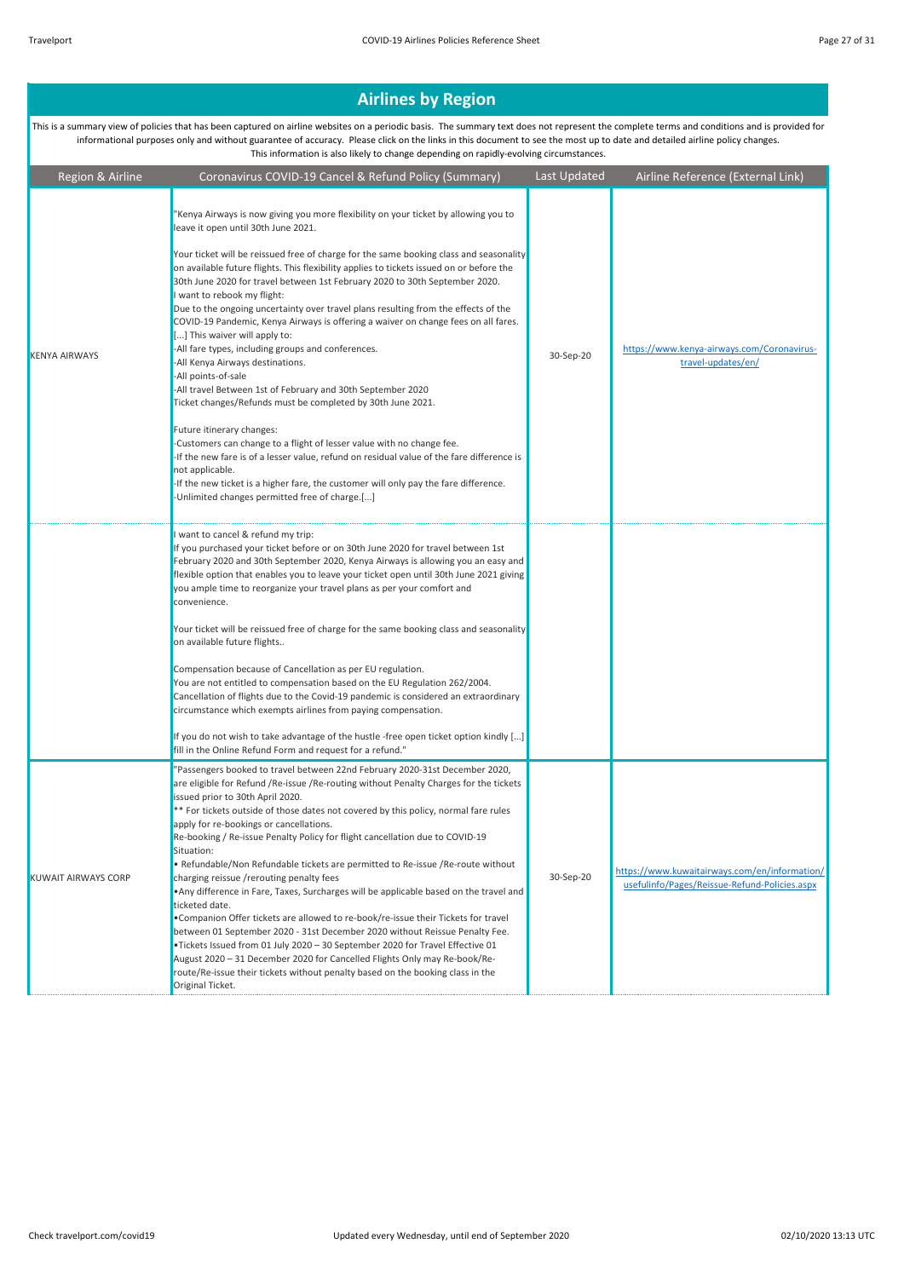| Region & Airline     | Coronavirus COVID-19 Cancel & Refund Policy (Summary)                                                                                                                                                                                                                                                                                                                                                                                                                                                                                                                                                                                                                                                                                                                                                                                                                                                                                                                                                                                                                                                                                                                                                                                                      | Last Updated | Airline Reference (External Link)                                                              |
|----------------------|------------------------------------------------------------------------------------------------------------------------------------------------------------------------------------------------------------------------------------------------------------------------------------------------------------------------------------------------------------------------------------------------------------------------------------------------------------------------------------------------------------------------------------------------------------------------------------------------------------------------------------------------------------------------------------------------------------------------------------------------------------------------------------------------------------------------------------------------------------------------------------------------------------------------------------------------------------------------------------------------------------------------------------------------------------------------------------------------------------------------------------------------------------------------------------------------------------------------------------------------------------|--------------|------------------------------------------------------------------------------------------------|
| <b>KENYA AIRWAYS</b> | "Kenya Airways is now giving you more flexibility on your ticket by allowing you to<br>leave it open until 30th June 2021.<br>Your ticket will be reissued free of charge for the same booking class and seasonality<br>on available future flights. This flexibility applies to tickets issued on or before the<br>30th June 2020 for travel between 1st February 2020 to 30th September 2020.<br>I want to rebook my flight:<br>Due to the ongoing uncertainty over travel plans resulting from the effects of the<br>COVID-19 Pandemic, Kenya Airways is offering a waiver on change fees on all fares.<br>[] This waiver will apply to:<br>-All fare types, including groups and conferences.<br>-All Kenya Airways destinations.<br>-All points-of-sale<br>-All travel Between 1st of February and 30th September 2020<br>Ticket changes/Refunds must be completed by 30th June 2021.<br>Future itinerary changes:<br>-Customers can change to a flight of lesser value with no change fee.<br>-If the new fare is of a lesser value, refund on residual value of the fare difference is<br>not applicable.<br>-If the new ticket is a higher fare, the customer will only pay the fare difference.<br>-Unlimited changes permitted free of charge.[] | 30-Sep-20    | https://www.kenya-airways.com/Coronavirus-<br>travel-updates/en/                               |
|                      | I want to cancel & refund my trip:<br>If you purchased your ticket before or on 30th June 2020 for travel between 1st<br>February 2020 and 30th September 2020, Kenya Airways is allowing you an easy and<br>flexible option that enables you to leave your ticket open until 30th June 2021 giving<br>you ample time to reorganize your travel plans as per your comfort and<br>convenience.<br>Your ticket will be reissued free of charge for the same booking class and seasonality<br>on available future flights<br>Compensation because of Cancellation as per EU regulation.<br>You are not entitled to compensation based on the EU Regulation 262/2004.<br>Cancellation of flights due to the Covid-19 pandemic is considered an extraordinary<br>circumstance which exempts airlines from paying compensation.<br>If you do not wish to take advantage of the hustle -free open ticket option kindly []<br>fill in the Online Refund Form and request for a refund."                                                                                                                                                                                                                                                                            |              |                                                                                                |
| KUWAIT AIRWAYS CORP  | "Passengers booked to travel between 22nd February 2020-31st December 2020,<br>are eligible for Refund / Re-issue / Re-routing without Penalty Charges for the tickets<br>issued prior to 30th April 2020.<br>** For tickets outside of those dates not covered by this policy, normal fare rules<br>apply for re-bookings or cancellations.<br>Re-booking / Re-issue Penalty Policy for flight cancellation due to COVID-19<br>Situation:<br>. Refundable/Non Refundable tickets are permitted to Re-issue /Re-route without<br>charging reissue / rerouting penalty fees<br>. Any difference in Fare, Taxes, Surcharges will be applicable based on the travel and<br>ticketed date.<br>. Companion Offer tickets are allowed to re-book/re-issue their Tickets for travel<br>between 01 September 2020 - 31st December 2020 without Reissue Penalty Fee.<br>.Tickets Issued from 01 July 2020 - 30 September 2020 for Travel Effective 01<br>August 2020 - 31 December 2020 for Cancelled Flights Only may Re-book/Re-<br>route/Re-issue their tickets without penalty based on the booking class in the<br>Original Ticket.                                                                                                                            | 30-Sep-20    | https://www.kuwaitairways.com/en/information/<br>usefulinfo/Pages/Reissue-Refund-Policies.aspx |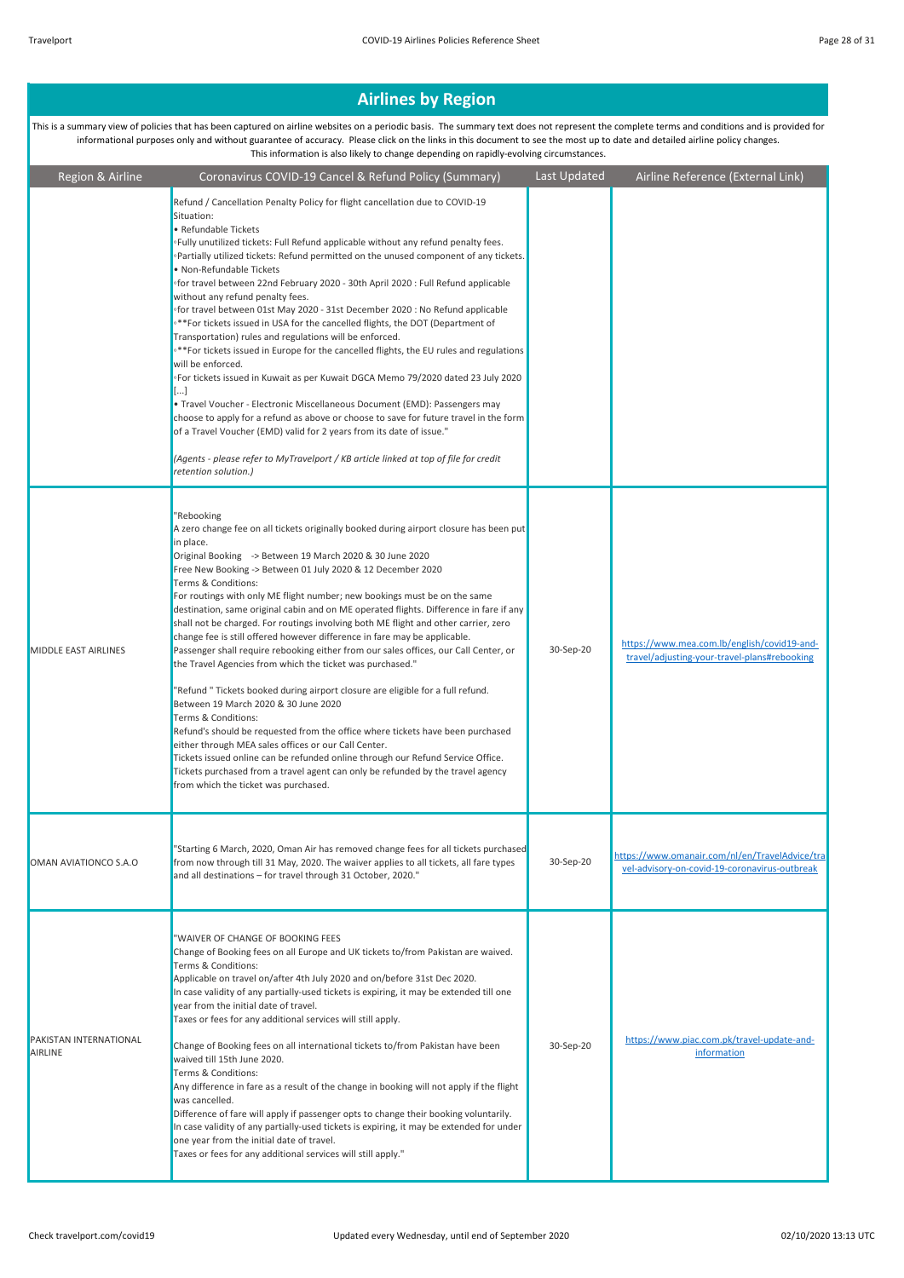| Region & Airline                         | Coronavirus COVID-19 Cancel & Refund Policy (Summary)                                                                                                                                                                                                                                                                                                                                                                                                                                                                                                                                                                                                                                                                                                                                                                                                                                                                                                                                                                                                                                                                                                                                                                                                                         | Last Updated | Airline Reference (External Link)                                                               |
|------------------------------------------|-------------------------------------------------------------------------------------------------------------------------------------------------------------------------------------------------------------------------------------------------------------------------------------------------------------------------------------------------------------------------------------------------------------------------------------------------------------------------------------------------------------------------------------------------------------------------------------------------------------------------------------------------------------------------------------------------------------------------------------------------------------------------------------------------------------------------------------------------------------------------------------------------------------------------------------------------------------------------------------------------------------------------------------------------------------------------------------------------------------------------------------------------------------------------------------------------------------------------------------------------------------------------------|--------------|-------------------------------------------------------------------------------------------------|
|                                          | Refund / Cancellation Penalty Policy for flight cancellation due to COVID-19<br>Situation:<br>• Refundable Tickets<br>.Fully unutilized tickets: Full Refund applicable without any refund penalty fees.<br>∘Partially utilized tickets: Refund permitted on the unused component of any tickets.<br>· Non-Refundable Tickets<br>ofor travel between 22nd February 2020 - 30th April 2020 : Full Refund applicable<br>without any refund penalty fees.<br>ofor travel between 01st May 2020 - 31st December 2020 : No Refund applicable<br><sup>®</sup> *For tickets issued in USA for the cancelled flights, the DOT (Department of<br>Transportation) rules and regulations will be enforced.<br>∘**For tickets issued in Europe for the cancelled flights, the EU rules and regulations<br>will be enforced.<br>∘For tickets issued in Kuwait as per Kuwait DGCA Memo 79/2020 dated 23 July 2020<br>[]<br>• Travel Voucher - Electronic Miscellaneous Document (EMD): Passengers may<br>choose to apply for a refund as above or choose to save for future travel in the form<br>of a Travel Voucher (EMD) valid for 2 years from its date of issue."<br>(Agents - please refer to MyTravelport / KB article linked at top of file for credit<br>retention solution.)      |              |                                                                                                 |
| <b>MIDDLE EAST AIRLINES</b>              | "Rebooking<br>A zero change fee on all tickets originally booked during airport closure has been put<br>in place.<br>Original Booking -> Between 19 March 2020 & 30 June 2020<br>Free New Booking -> Between 01 July 2020 & 12 December 2020<br>Terms & Conditions:<br>For routings with only ME flight number; new bookings must be on the same<br>destination, same original cabin and on ME operated flights. Difference in fare if any<br>shall not be charged. For routings involving both ME flight and other carrier, zero<br>change fee is still offered however difference in fare may be applicable.<br>Passenger shall require rebooking either from our sales offices, our Call Center, or<br>the Travel Agencies from which the ticket was purchased."<br>"Refund " Tickets booked during airport closure are eligible for a full refund.<br>Between 19 March 2020 & 30 June 2020<br>Terms & Conditions:<br>Refund's should be requested from the office where tickets have been purchased<br>either through MEA sales offices or our Call Center.<br>Tickets issued online can be refunded online through our Refund Service Office.<br>Tickets purchased from a travel agent can only be refunded by the travel agency<br>from which the ticket was purchased. | 30-Sep-20    | https://www.mea.com.lb/english/covid19-and-<br>travel/adjusting-your-travel-plans#rebooking     |
| OMAN AVIATIONCO S.A.O                    | 'Starting 6 March, 2020, Oman Air has removed change fees for all tickets purchased<br>from now through till 31 May, 2020. The waiver applies to all tickets, all fare types<br>and all destinations - for travel through 31 October, 2020."                                                                                                                                                                                                                                                                                                                                                                                                                                                                                                                                                                                                                                                                                                                                                                                                                                                                                                                                                                                                                                  | 30-Sep-20    | https://www.omanair.com/nl/en/TravelAdvice/tra<br>vel-advisory-on-covid-19-coronavirus-outbreak |
| PAKISTAN INTERNATIONAL<br><b>AIRLINE</b> | "WAIVER OF CHANGE OF BOOKING FEES<br>Change of Booking fees on all Europe and UK tickets to/from Pakistan are waived.<br>Terms & Conditions:<br>Applicable on travel on/after 4th July 2020 and on/before 31st Dec 2020.<br>In case validity of any partially-used tickets is expiring, it may be extended till one<br>year from the initial date of travel.<br>Taxes or fees for any additional services will still apply.<br>Change of Booking fees on all international tickets to/from Pakistan have been<br>waived till 15th June 2020.<br>Terms & Conditions:<br>Any difference in fare as a result of the change in booking will not apply if the flight<br>was cancelled.<br>Difference of fare will apply if passenger opts to change their booking voluntarily.<br>In case validity of any partially-used tickets is expiring, it may be extended for under<br>one year from the initial date of travel.<br>Taxes or fees for any additional services will still apply."                                                                                                                                                                                                                                                                                            | 30-Sep-20    | https://www.piac.com.pk/travel-update-and-<br>information                                       |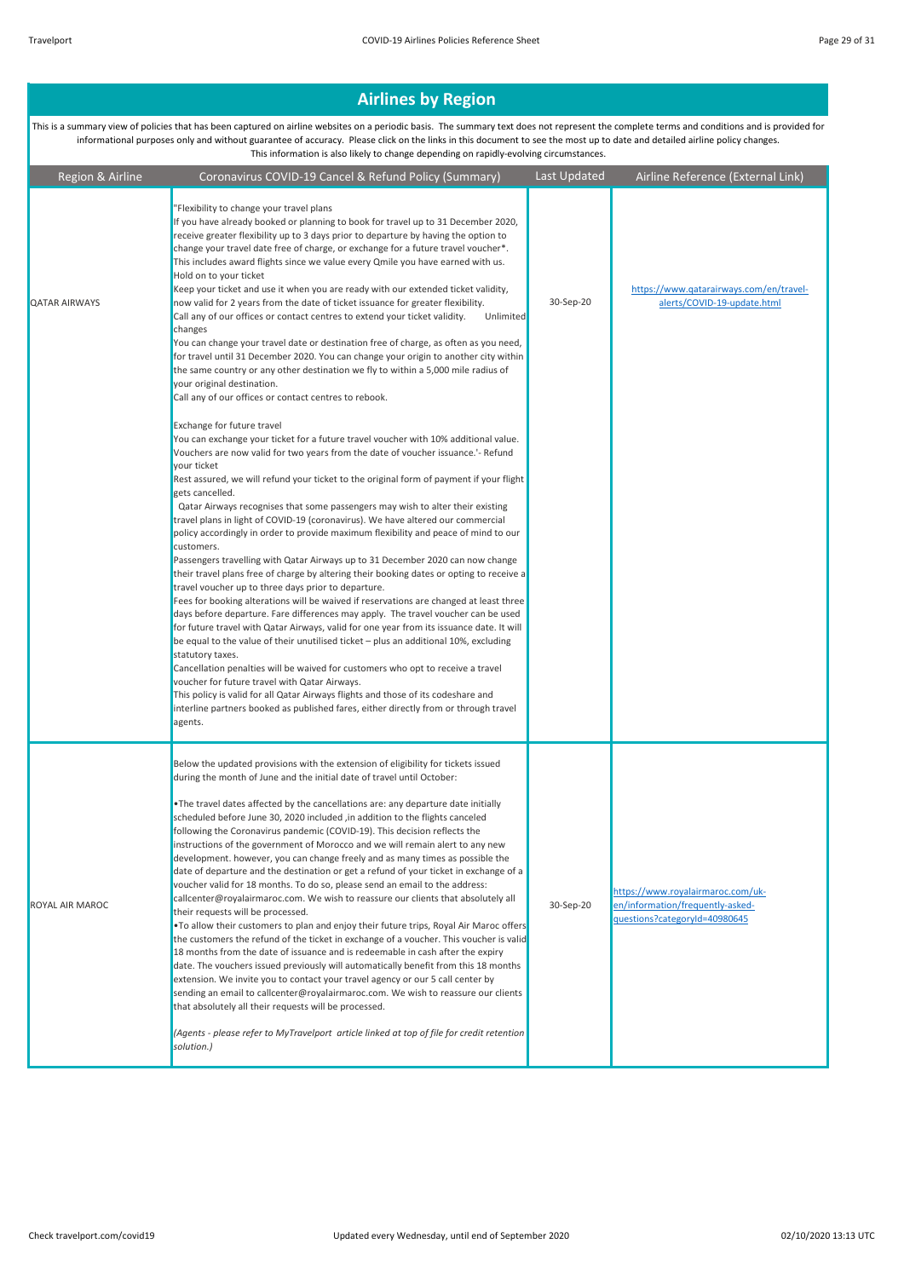| Region & Airline     | Coronavirus COVID-19 Cancel & Refund Policy (Summary)                                                                                                                                                                                                                                                                                                                                                                                                                                                                                                                                                                                                                                                                                                                                                                                                                                                                                                                                                                                                                                                                                                                                                                                                                                                                                                                                                                                                                                                                                                                                       | Last Updated | Airline Reference (External Link)                                                                      |
|----------------------|---------------------------------------------------------------------------------------------------------------------------------------------------------------------------------------------------------------------------------------------------------------------------------------------------------------------------------------------------------------------------------------------------------------------------------------------------------------------------------------------------------------------------------------------------------------------------------------------------------------------------------------------------------------------------------------------------------------------------------------------------------------------------------------------------------------------------------------------------------------------------------------------------------------------------------------------------------------------------------------------------------------------------------------------------------------------------------------------------------------------------------------------------------------------------------------------------------------------------------------------------------------------------------------------------------------------------------------------------------------------------------------------------------------------------------------------------------------------------------------------------------------------------------------------------------------------------------------------|--------------|--------------------------------------------------------------------------------------------------------|
| <b>QATAR AIRWAYS</b> | "Flexibility to change your travel plans<br>If you have already booked or planning to book for travel up to 31 December 2020,<br>receive greater flexibility up to 3 days prior to departure by having the option to<br>change your travel date free of charge, or exchange for a future travel voucher*.<br>This includes award flights since we value every Qmile you have earned with us.<br>Hold on to your ticket<br>Keep your ticket and use it when you are ready with our extended ticket validity,<br>now valid for 2 years from the date of ticket issuance for greater flexibility.<br>Call any of our offices or contact centres to extend your ticket validity.<br>Unlimited<br>changes<br>You can change your travel date or destination free of charge, as often as you need,<br>for travel until 31 December 2020. You can change your origin to another city within<br>the same country or any other destination we fly to within a 5,000 mile radius of<br>your original destination.<br>Call any of our offices or contact centres to rebook.                                                                                                                                                                                                                                                                                                                                                                                                                                                                                                                            | 30-Sep-20    | https://www.qatarairways.com/en/travel-<br>alerts/COVID-19-update.html                                 |
|                      | Exchange for future travel<br>You can exchange your ticket for a future travel voucher with 10% additional value.<br>Vouchers are now valid for two years from the date of voucher issuance.'- Refund<br>your ticket<br>Rest assured, we will refund your ticket to the original form of payment if your flight<br>gets cancelled.<br>Qatar Airways recognises that some passengers may wish to alter their existing<br>travel plans in light of COVID-19 (coronavirus). We have altered our commercial<br>policy accordingly in order to provide maximum flexibility and peace of mind to our<br>customers.<br>Passengers travelling with Qatar Airways up to 31 December 2020 can now change<br>their travel plans free of charge by altering their booking dates or opting to receive a<br>travel voucher up to three days prior to departure.<br>Fees for booking alterations will be waived if reservations are changed at least three<br>days before departure. Fare differences may apply. The travel voucher can be used<br>for future travel with Qatar Airways, valid for one year from its issuance date. It will<br>be equal to the value of their unutilised ticket $-$ plus an additional 10%, excluding<br>statutory taxes.<br>Cancellation penalties will be waived for customers who opt to receive a travel<br>voucher for future travel with Qatar Airways.<br>This policy is valid for all Qatar Airways flights and those of its codeshare and<br>interline partners booked as published fares, either directly from or through travel<br>agents.                      |              |                                                                                                        |
| ROYAL AIR MAROC      | Below the updated provisions with the extension of eligibility for tickets issued<br>during the month of June and the initial date of travel until October:<br>.The travel dates affected by the cancellations are: any departure date initially<br>scheduled before June 30, 2020 included , in addition to the flights canceled<br>following the Coronavirus pandemic (COVID-19). This decision reflects the<br>instructions of the government of Morocco and we will remain alert to any new<br>development. however, you can change freely and as many times as possible the<br>date of departure and the destination or get a refund of your ticket in exchange of a<br>voucher valid for 18 months. To do so, please send an email to the address:<br>callcenter@royalairmaroc.com. We wish to reassure our clients that absolutely all<br>their requests will be processed.<br>. To allow their customers to plan and enjoy their future trips, Royal Air Maroc offers<br>the customers the refund of the ticket in exchange of a voucher. This voucher is valid<br>18 months from the date of issuance and is redeemable in cash after the expiry<br>date. The vouchers issued previously will automatically benefit from this 18 months<br>extension. We invite you to contact your travel agency or our 5 call center by<br>sending an email to callcenter@royalairmaroc.com. We wish to reassure our clients<br>that absolutely all their requests will be processed.<br>(Agents - please refer to MyTravelport article linked at top of file for credit retention<br>solution.) | 30-Sep-20    | https://www.royalairmaroc.com/uk-<br>en/information/frequently-asked-<br>questions?categoryId=40980645 |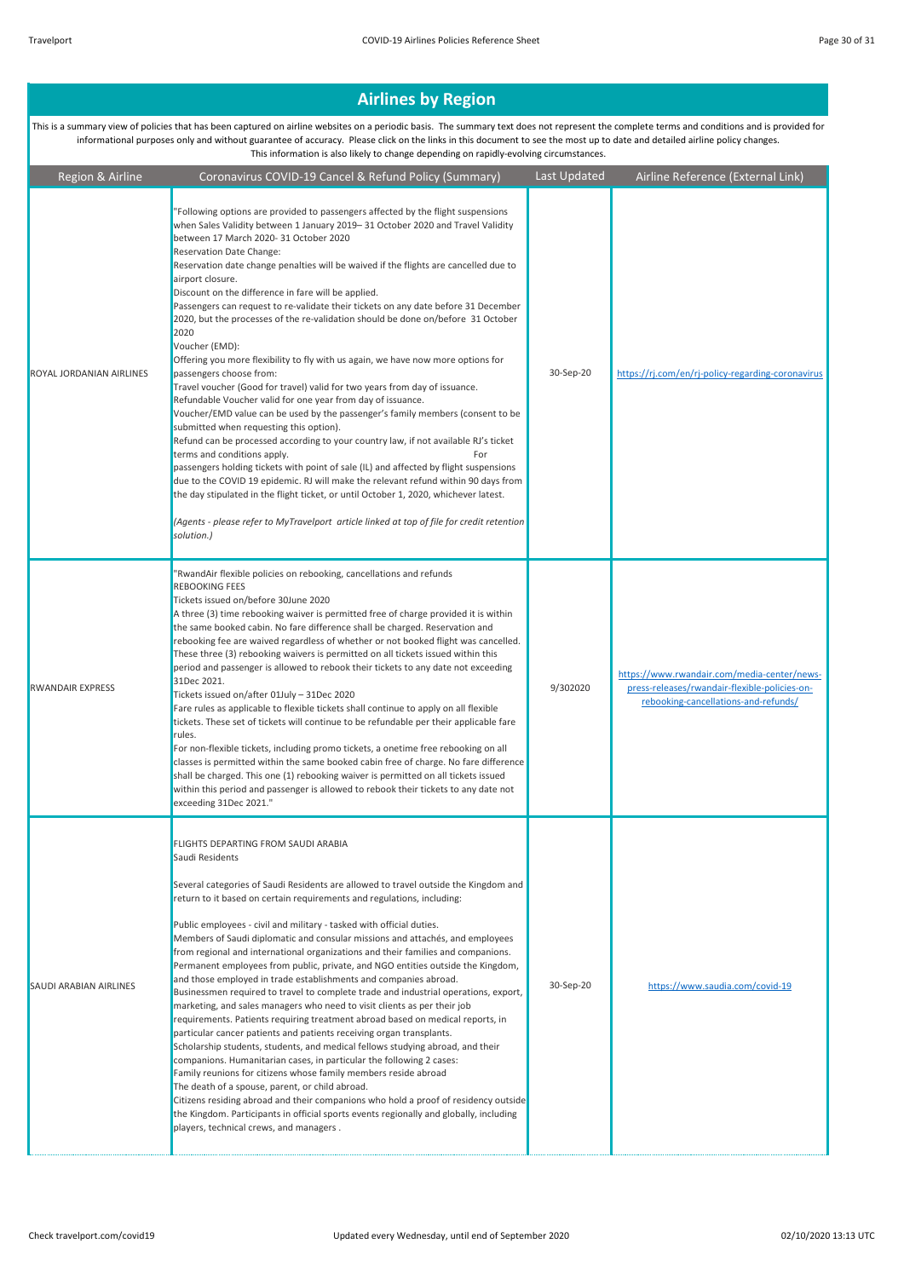| Region & Airline              | Coronavirus COVID-19 Cancel & Refund Policy (Summary)                                                                                                                                                                                                                                                                                                                                                                                                                                                                                                                                                                                                                                                                                                                                                                                                                                                                                                                                                                                                                                                                                                                                                                                                                                                                                                                                                                                                                                                                  | Last Updated | Airline Reference (External Link)                                                                                                    |
|-------------------------------|------------------------------------------------------------------------------------------------------------------------------------------------------------------------------------------------------------------------------------------------------------------------------------------------------------------------------------------------------------------------------------------------------------------------------------------------------------------------------------------------------------------------------------------------------------------------------------------------------------------------------------------------------------------------------------------------------------------------------------------------------------------------------------------------------------------------------------------------------------------------------------------------------------------------------------------------------------------------------------------------------------------------------------------------------------------------------------------------------------------------------------------------------------------------------------------------------------------------------------------------------------------------------------------------------------------------------------------------------------------------------------------------------------------------------------------------------------------------------------------------------------------------|--------------|--------------------------------------------------------------------------------------------------------------------------------------|
| ROYAL JORDANIAN AIRLINES      | "Following options are provided to passengers affected by the flight suspensions<br>when Sales Validity between 1 January 2019-31 October 2020 and Travel Validity<br>between 17 March 2020-31 October 2020<br>Reservation Date Change:<br>Reservation date change penalties will be waived if the flights are cancelled due to<br>airport closure.<br>Discount on the difference in fare will be applied.<br>Passengers can request to re-validate their tickets on any date before 31 December<br>2020, but the processes of the re-validation should be done on/before 31 October<br>2020<br>Voucher (EMD):<br>Offering you more flexibility to fly with us again, we have now more options for<br>passengers choose from:<br>Travel voucher (Good for travel) valid for two years from day of issuance.<br>Refundable Voucher valid for one year from day of issuance.<br>Voucher/EMD value can be used by the passenger's family members (consent to be<br>submitted when requesting this option).<br>Refund can be processed according to your country law, if not available RJ's ticket<br>terms and conditions apply.<br>For<br>passengers holding tickets with point of sale (IL) and affected by flight suspensions<br>due to the COVID 19 epidemic. RJ will make the relevant refund within 90 days from<br>the day stipulated in the flight ticket, or until October 1, 2020, whichever latest.<br>(Agents - please refer to MyTravelport article linked at top of file for credit retention<br>solution.) | 30-Sep-20    | https://ri.com/en/ri-policy-regarding-coronavirus                                                                                    |
| <b>RWANDAIR EXPRESS</b>       | 'RwandAir flexible policies on rebooking, cancellations and refunds<br><b>REBOOKING FEES</b><br>Tickets issued on/before 30June 2020<br>A three (3) time rebooking waiver is permitted free of charge provided it is within<br>the same booked cabin. No fare difference shall be charged. Reservation and<br>rebooking fee are waived regardless of whether or not booked flight was cancelled.<br>These three (3) rebooking waivers is permitted on all tickets issued within this<br>period and passenger is allowed to rebook their tickets to any date not exceeding<br>31Dec 2021.<br>Tickets issued on/after 01July - 31Dec 2020<br>Fare rules as applicable to flexible tickets shall continue to apply on all flexible<br>tickets. These set of tickets will continue to be refundable per their applicable fare<br>rules.<br>For non-flexible tickets, including promo tickets, a onetime free rebooking on all<br>classes is permitted within the same booked cabin free of charge. No fare difference<br>shall be charged. This one (1) rebooking waiver is permitted on all tickets issued<br>within this period and passenger is allowed to rebook their tickets to any date not<br>exceeding 31Dec 2021."                                                                                                                                                                                                                                                                                               | 9/302020     | https://www.rwandair.com/media-center/news-<br>press-releases/rwandair-flexible-policies-on-<br>rebooking-cancellations-and-refunds/ |
| <b>SAUDI ARABIAN AIRLINES</b> | FLIGHTS DEPARTING FROM SAUDI ARABIA<br>Saudi Residents<br>Several categories of Saudi Residents are allowed to travel outside the Kingdom and<br>return to it based on certain requirements and regulations, including:<br>Public employees - civil and military - tasked with official duties.<br>Members of Saudi diplomatic and consular missions and attachés, and employees<br>from regional and international organizations and their families and companions.<br>Permanent employees from public, private, and NGO entities outside the Kingdom,<br>and those employed in trade establishments and companies abroad.<br>Businessmen required to travel to complete trade and industrial operations, export,<br>marketing, and sales managers who need to visit clients as per their job<br>requirements. Patients requiring treatment abroad based on medical reports, in<br>particular cancer patients and patients receiving organ transplants.<br>Scholarship students, students, and medical fellows studying abroad, and their<br>companions. Humanitarian cases, in particular the following 2 cases:<br>Family reunions for citizens whose family members reside abroad<br>The death of a spouse, parent, or child abroad.<br>Citizens residing abroad and their companions who hold a proof of residency outside<br>the Kingdom. Participants in official sports events regionally and globally, including<br>players, technical crews, and managers.                                                   | 30-Sep-20    | https://www.saudia.com/covid-19                                                                                                      |